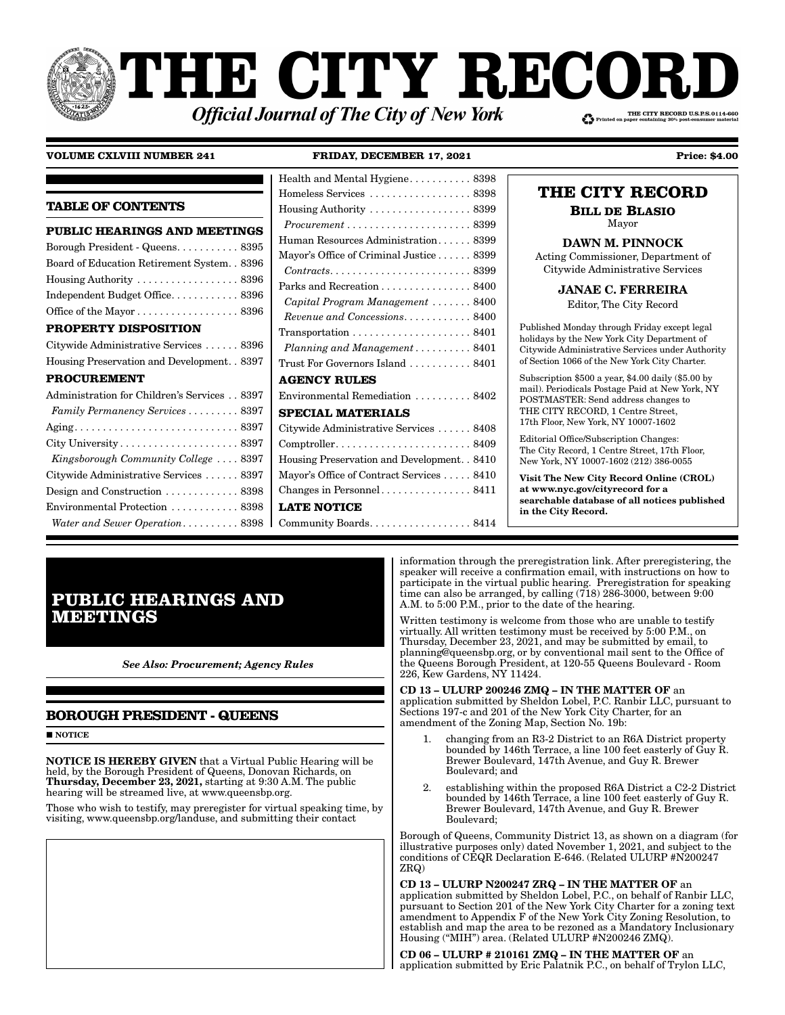# HE CITY RECOI THE CITY RECORD U.S.P.S.0114-660 **Official Journal of The City of New York**

# **VOLUME CXLVIII NUMBER 241**

FRIDAY, DECEMBER 17, 2021

**Price: \$4.00** 

|                                                    | Homeless Ser         |
|----------------------------------------------------|----------------------|
| <b>TABLE OF CONTENTS</b>                           | Housing Auth         |
| PUBLIC HEARINGS AND MEETINGS                       | Procurement          |
| Borough President - Queens 8395                    | Human Resou          |
| Board of Education Retirement System. . 8396       | Mayor's Office       |
| Housing Authority $\dots\dots\dots\dots\dots 8396$ | Contracts            |
| Independent Budget Office 8396                     | Parks and Red        |
|                                                    | Capital Prog         |
| Office of the Mayor 8396                           | Revenue and          |
| <b>PROPERTY DISPOSITION</b>                        | Transportatio        |
| Citywide Administrative Services  8396             | Planning an          |
| Housing Preservation and Development. . 8397       | Trust For Gov        |
| <b>PROCUREMENT</b>                                 | <b>AGENCY R</b>      |
| Administration for Children's Services 8397        | Environmenta         |
| Family Permanency Services 8397                    | <b>SPECIAL N</b>     |
|                                                    | Citywide Adm         |
|                                                    | Comptroller          |
| Kingsborough Community College  8397               | <b>Housing Prese</b> |
| Citywide Administrative Services  8397             | Mayor's Office       |
| Design and Construction 8398                       | Changes in Pe        |
| Environmental Protection 8398                      | <b>LATE NOTI</b>     |
| Water and Sewer Operation 8398                     | Community B          |

| Health and Mental Hygiene 8398                                            |
|---------------------------------------------------------------------------|
| Homeless Services  8398                                                   |
| Housing Authority $\dots \dots \dots \dots \dots \dots$ 8399              |
| $Procurrent \ldots \ldots \ldots \ldots \ldots \ldots \ldots 8399$        |
| Human Resources Administration 8399                                       |
| Mayor's Office of Criminal Justice 8399                                   |
| $Contracts. \ldots \ldots \ldots \ldots \ldots \ldots \ldots \ldots 8399$ |
| Parks and Recreation 8400                                                 |
| Capital Program Management  8400                                          |
| $Revenue$ and Concessions. 8400                                           |
| $Transportation \ldots \ldots \ldots \ldots \ldots \ldots 8401$           |
| Planning and Management $\ldots \ldots \ldots 8401$                       |
| Trust For Governors Island  8401                                          |
| <b>AGENCY RULES</b>                                                       |
| Environmental Remediation  8402                                           |
| <b>SPECIAL MATERIALS</b>                                                  |
| Citywide Administrative Services  8408                                    |
| $Comptroller. \ldots \ldots \ldots \ldots \ldots \ldots \ldots 8409$      |
| Housing Preservation and Development. . 8410                              |
| Mayor's Office of Contract Services 8410                                  |
|                                                                           |
| <b>LATE NOTICE</b>                                                        |
| Community Boards 8414                                                     |

| 398 | THE CITY RECORD                                                                                                                                                                     |
|-----|-------------------------------------------------------------------------------------------------------------------------------------------------------------------------------------|
| 399 | <b>BILL DE BLASIO</b>                                                                                                                                                               |
| 399 | Mayor                                                                                                                                                                               |
| 399 | <b>DAWN M. PINNOCK</b>                                                                                                                                                              |
| 399 | Acting Commissioner, Department of                                                                                                                                                  |
| 399 | Citywide Administrative Services                                                                                                                                                    |
| 400 | <b>JANAE C. FERREIRA</b>                                                                                                                                                            |
| 400 | Editor, The City Record                                                                                                                                                             |
| 400 |                                                                                                                                                                                     |
| 401 | Published Monday through Friday except legal<br>holidays by the New York City Department of                                                                                         |
| 401 | Citywide Administrative Services under Authority                                                                                                                                    |
| 401 | of Section 1066 of the New York City Charter.                                                                                                                                       |
| 402 | Subscription $$500$ a year, $$4.00$ daily $$5.00$ by<br>mail). Periodicals Postage Paid at New York, NY<br>POSTMASTER: Send address changes to<br>THE CITY RECORD, 1 Centre Street, |
| 408 | 17th Floor, New York, NY 10007-1602                                                                                                                                                 |
| 409 | Editorial Office/Subscription Changes:<br>The City Record, 1 Centre Street, 17th Floor,                                                                                             |
| 410 | New York, NY 10007-1602 (212) 386-0055                                                                                                                                              |
| 410 | Visit The New City Record Online (CROL)                                                                                                                                             |
| 411 | at www.nyc.gov/cityrecord for a<br>searchable database of all notices published<br>in the City Record.                                                                              |

# **PUBLIC HEARINGS AND MEETINGS**

**See Also: Procurement; Agency Rules** 

# **BOROUGH PRESIDENT - QUEENS**

 $\blacksquare$  NOTICE

**NOTICE IS HEREBY GIVEN** that a Virtual Public Hearing will be held, by the Borough President of Queens, Donovan Richards, on<br>Thursday, December 23, 2021, starting at 9:30 A.M. The public hearing will be streamed live, at www.queensbp.org.

Those who wish to testify, may preregister for virtual speaking time, by visiting, www.queensbp.org/landuse, and submitting their contact

information through the preregistration link. After preregistering, the speaker will receive a confirmation email, with instructions on how to participate in the virtual public hearing. Preregistration for speaking<br>time can also be arranged, by calling (718) 286-3000, between 9:00 A.M. to 5:00 P.M., prior to the date of the hearing.

Written testimony is welcome from those who are unable to testify virtually. All written testimony must be received by 5:00 P.M., on Thursday, December 23, 2021, and may be submitted by email, to planning@queensbp.org, or by conventional mail sent to the Office of the Queens Borough President, at 120-55 Queens Boulevard - Room 226, Kew Gardens, NY 11424.

CD 13 - ULURP 200246 ZMQ - IN THE MATTER OF an application submitted by Sheldon Lobel, P.C. Ranbir LLC, pursuant to Sections 197-c and 201 of the New York City Charter, for an amendment of the Zoning Map, Section No. 19b:

- changing from an R3-2 District to an R6A District property bounded by 146th Terrace, a line 100 feet easterly of Guy R. Brewer Boulevard, 147th Avenue, and Guy R. Brewer Boulevard: and
- $2^{1}$ establishing within the proposed R6A District a C2-2 District bounded by 146th Terrace, a line 100 feet easterly of Guy R. Brewer Boulevard, 147th Avenue, and Guy R. Brewer Boulevard;

Borough of Queens, Community District 13, as shown on a diagram (for illustrative purposes only) dated November 1, 2021, and subject to the conditions of CEQR Declaration E-646. (Related ULURP #N200247 ZRQ)

CD 13 - ULURP N200247 ZRQ - IN THE MATTER OF an application submitted by Sheldon Lobel, P.C., on behalf of Ranbir LLC, pursuant to Section 201 of the New York City Charter for a zoning text amendment to Appendix F of the New York City Zoning Resolution, to establish and map the area to be rezoned as a Mandatory Inclusionary Housing ("MIH") area. (Related ULURP #N200246 ZMQ).

CD 06 - ULURP # 210161 ZMQ - IN THE MATTER OF an application submitted by Eric Palatnik P.C., on behalf of Trylon LLC,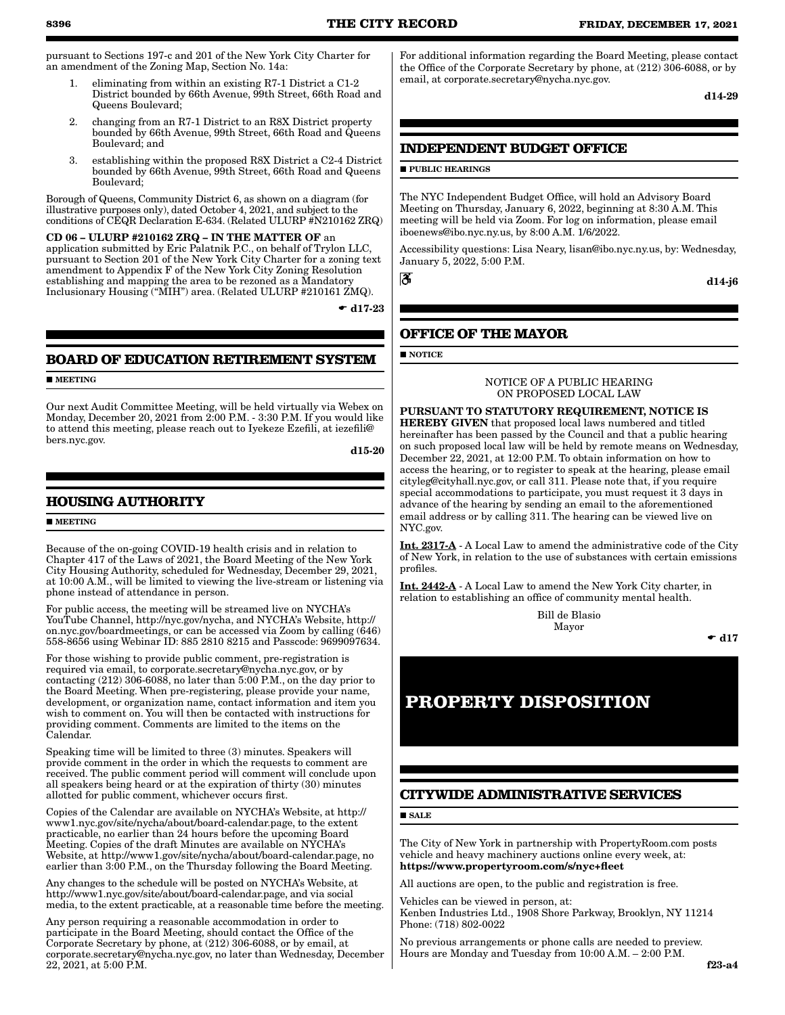pursuant to Sections 197-c and 201 of the New York City Charter for an amendment of the Zoning Map, Section No. 14a:

- 1. eliminating from within an existing R7-1 District a C1-2 District bounded by 66th Avenue, 99th Street, 66th Road and Queens Boulevard;
- 2. changing from an R7-1 District to an R8X District property bounded by 66th Avenue, 99th Street, 66th Road and Queens Boulevard; and
- 3. establishing within the proposed R8X District a C2-4 District bounded by 66th Avenue, 99th Street, 66th Road and Queens Boulevard;

Borough of Queens, Community District 6, as shown on a diagram (for illustrative purposes only), dated October 4, 2021, and subject to the conditions of CEQR Declaration E-634. (Related ULURP #N210162 ZRQ)

CD 06 – ULURP #210162 ZRQ – IN THE MATTER OF an application submitted by Eric Palatnik P.C., on behalf of Trylon LLC, pursuant to Section 201 of the New York City Charter for a zoning text amendment to Appendix F of the New York City Zoning Resolution establishing and mapping the area to be rezoned as a Mandatory Inclusionary Housing ("MIH") area. (Related ULURP #210161 ZMQ).

 $\bullet$  d17-23

# **BOARD OF EDUCATION RETIREMENT SYSTEM**

**MEETING** 

Our next Audit Committee Meeting, will be held virtually via Webex on Monday, December 20, 2021 from 2:00 P.M. - 3:30 P.M. If you would like to attend this meeting, please reach out to Iyekeze Ezefili, at iezefili@ bers.nyc.gov.

d15-20

# **HOUSING AUTHORITY**

### **MEETING**

Because of the on-going COVID-19 health crisis and in relation to Chapter 417 of the Laws of 2021, the Board Meeting of the New York City Housing Authority, scheduled for Wednesday, December 29, 2021, at 10:00 A.M., will be limited to viewing the live-stream or listening via phone instead of attendance in person.

For public access, the meeting will be streamed live on NYCHA's YouTube Channel, http://nyc.gov/nycha, and NYCHA's Website, http:// on.nyc.gov/boardmeetings, or can be accessed via Zoom by calling (646) 558-8656 using Webinar ID: 885 2810 8215 and Passcode: 9699097634.

For those wishing to provide public comment, pre-registration is required via email, to corporate.secretary@nycha.nyc.gov, or by contacting (212) 306-6088, no later than 5:00 P.M., on the day prior to the Board Meeting. When pre-registering, please provide your name, development, or organization name, contact information and item you wish to comment on. You will then be contacted with instructions for providing comment. Comments are limited to the items on the Calendar.

Speaking time will be limited to three (3) minutes. Speakers will provide comment in the order in which the requests to comment are received. The public comment period will comment will conclude upon all speakers being heard or at the expiration of thirty (30) minutes allotted for public comment, whichever occurs first.

Copies of the Calendar are available on NYCHA's Website, at http:// www1.nyc.gov/site/nycha/about/board-calendar.page, to the extent practicable, no earlier than 24 hours before the upcoming Board Meeting. Copies of the draft Minutes are available on NYCHA's Website, at http://www1.gov/site/nycha/about/board-calendar.page, no earlier than 3:00 P.M., on the Thursday following the Board Meeting.

Any changes to the schedule will be posted on NYCHA's Website, at http://www1.nyc.gov/site/about/board-calendar.page, and via social media, to the extent practicable, at a reasonable time before the meeting.

Any person requiring a reasonable accommodation in order to participate in the Board Meeting, should contact the Office of the Corporate Secretary by phone, at (212) 306-6088, or by email, at corporate.secretary@nycha.nyc.gov, no later than Wednesday, December 22, 2021, at 5:00 P.M.

For additional information regarding the Board Meeting, please contact the Office of the Corporate Secretary by phone, at (212) 306-6088, or by email, at corporate.secretary@nycha.nyc.gov.

d14-29

# **INDEPENDENT BUDGET OFFICE**

# **PUBLIC HEARINGS**

The NYC Independent Budget Office, will hold an Advisory Board Meeting on Thursday, January 6, 2022, beginning at 8:30 A.M. This meeting will be held via Zoom. For log on information, please email iboenews@ibo.nyc.ny.us, by 8:00 A.M. 1/6/2022.

Accessibility questions: Lisa Neary, lisan@ibo.nyc.ny.us, by: Wednesday, January 5, 2022, 5:00 P.M.

ð

d14-j6

# **OFFICE OF THE MAYOR**

**NOTICE** 

NOTICE OF A PUBLIC HEARING ON PROPOSED LOCAL LAW

PURSUANT TO STATUTORY REQUIREMENT, NOTICE IS HEREBY GIVEN that proposed local laws numbered and titled hereinafter has been passed by the Council and that a public hearing on such proposed local law will be held by remote means on Wednesday, December 22, 2021, at 12:00 P.M. To obtain information on how to access the hearing, or to register to speak at the hearing, please email cityleg@cityhall.nyc.gov, or call 311. Please note that, if you require special accommodations to participate, you must request it 3 days in advance of the hearing by sending an email to the aforementioned email address or by calling 311. The hearing can be viewed live on NYC.gov.

Int. 2317-A - A Local Law to amend the administrative code of the City of New York, in relation to the use of substances with certain emissions profiles.

Int. 2442-A - A Local Law to amend the New York City charter, in relation to establishing an office of community mental health.

> Bill de Blasio Mayor

 $\bullet$  d17

# **PROPERTY DISPOSITION**

# **CITYWIDE ADMINISTRATIVE SERVICES**

**SALE** 

The City of New York in partnership with PropertyRoom.com posts vehicle and heavy machinery auctions online every week, at: https://www.propertyroom.com/s/nyc+fleet

All auctions are open, to the public and registration is free.

Vehicles can be viewed in person, at:

Kenben Industries Ltd., 1908 Shore Parkway, Brooklyn, NY 11214 Phone: (718) 802-0022

No previous arrangements or phone calls are needed to preview. Hours are Monday and Tuesday from 10:00 A.M. – 2:00 P.M.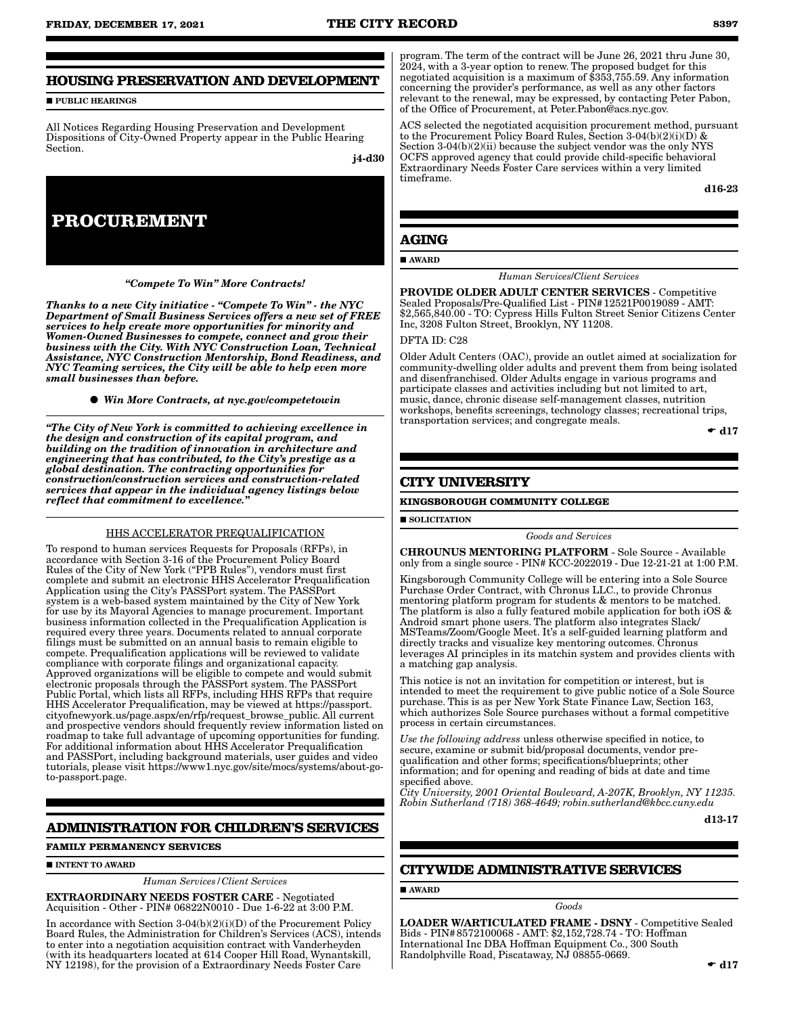# **HOUSING PRESERVATION AND DEVELOPMENT**

**PUBLIC HEARINGS** 

All Notices Regarding Housing Preservation and Development Dispositions of City-Owned Property appear in the Public Hearing Section.

j4-d30



*"Compete To Win" More Contracts!* 

*Thanks to a new City initiative - "Compete To Win" - the NYC Department of Small Business Services offers a new set of FREE services to help create more opportunities for minority and Women-Owned Businesses to compete, connect and grow their business with the City. With NYC Construction Loan, Technical Assistance, NYC Construction Mentorship, Bond Readiness, and NYC Teaming services, the City will be able to help even more small businesses than before.*

*Win More Contracts, at nyc.gov/competetowin*

*"The City of New York is committed to achieving excellence in the design and construction of its capital program, and building on the tradition of innovation in architecture and engineering that has contributed, to the City's prestige as a global destination. The contracting opportunities for construction/construction services and construction-related services that appear in the individual agency listings below reflect that commitment to excellence."*

#### HHS ACCELERATOR PREQUALIFICATION

To respond to human services Requests for Proposals (RFPs), in accordance with Section 3-16 of the Procurement Policy Board Rules of the City of New York ("PPB Rules"), vendors must first complete and submit an electronic HHS Accelerator Prequalification Application using the City's PASSPort system. The PASSPort system is a web-based system maintained by the City of New York for use by its Mayoral Agencies to manage procurement. Important business information collected in the Prequalification Application is required every three years. Documents related to annual corporate filings must be submitted on an annual basis to remain eligible to compete. Prequalification applications will be reviewed to validate compliance with corporate filings and organizational capacity. Approved organizations will be eligible to compete and would submit electronic proposals through the PASSPort system. The PASSPort Public Portal, which lists all RFPs, including HHS RFPs that require HHS Accelerator Prequalification, may be viewed at https://passport. cityofnewyork.us/page.aspx/en/rfp/request\_browse\_public. All current and prospective vendors should frequently review information listed on roadmap to take full advantage of upcoming opportunities for funding. For additional information about HHS Accelerator Prequalification and PASSPort, including background materials, user guides and video tutorials, please visit https://www1.nyc.gov/site/mocs/systems/about-goto-passport.page.

# **ADMINISTRATION FOR CHILDREN'S SERVICES**

**FAMILY PERMANENCY SERVICES**

**INTENT TO AWARD** 

*Human Services/Client Services*

EXTRAORDINARY NEEDS FOSTER CARE - Negotiated Acquisition - Other - PIN# 06822N0010 - Due 1-6-22 at 3:00 P.M.

In accordance with Section 3-04(b)(2)(i)(D) of the Procurement Policy Board Rules, the Administration for Children's Services (ACS), intends to enter into a negotiation acquisition contract with Vanderheyden (with its headquarters located at 614 Cooper Hill Road, Wynantskill, NY 12198), for the provision of a Extraordinary Needs Foster Care

program. The term of the contract will be June 26, 2021 thru June 30, 2024, with a 3-year option to renew. The proposed budget for this negotiated acquisition is a maximum of \$353,755.59. Any information concerning the provider's performance, as well as any other factors relevant to the renewal, may be expressed, by contacting Peter Pabon, of the Office of Procurement, at Peter.Pabon@acs.nyc.gov.

ACS selected the negotiated acquisition procurement method, pursuant to the Procurement Policy Board Rules, Section 3-04(b)(2)(i)(D) & Section 3-04(b)(2)(ii) because the subject vendor was the only NYS OCFS approved agency that could provide child-specific behavioral Extraordinary Needs Foster Care services within a very limited timeframe.

d16-23

# **AGING**

**AWARD** 

*Human Services*/*Client Services*

PROVIDE OLDER ADULT CENTER SERVICES - Competitive Sealed Proposals/Pre-Qualified List - PIN#12521P0019089 - AMT: \$2,565,840.00 - TO: Cypress Hills Fulton Street Senior Citizens Center Inc, 3208 Fulton Street, Brooklyn, NY 11208.

#### DFTA ID: C28

Older Adult Centers (OAC), provide an outlet aimed at socialization for community-dwelling older adults and prevent them from being isolated and disenfranchised. Older Adults engage in various programs and participate classes and activities including but not limited to art, music, dance, chronic disease self-management classes, nutrition workshops, benefits screenings, technology classes; recreational trips, transportation services; and congregate meals.

 $\bullet$  d17

# **CITY UNIVERSITY**

#### **KINGSBOROUGH COMMUNITY COLLEGE**

**SOLICITATION** 

*Goods and Services*

CHROUNUS MENTORING PLATFORM - Sole Source - Available only from a single source - PIN# KCC-2022019 - Due 12-21-21 at 1:00 P.M.

Kingsborough Community College will be entering into a Sole Source Purchase Order Contract, with Chronus LLC., to provide Chronus mentoring platform program for students & mentors to be matched. The platform is also a fully featured mobile application for both iOS & Android smart phone users. The platform also integrates Slack/ MSTeams/Zoom/Google Meet. It's a self-guided learning platform and directly tracks and visualize key mentoring outcomes. Chronus leverages AI principles in its matchin system and provides clients with a matching gap analysis.

This notice is not an invitation for competition or interest, but is intended to meet the requirement to give public notice of a Sole Source purchase. This is as per New York State Finance Law, Section 163, which authorizes Sole Source purchases without a formal competitive process in certain circumstances.

*Use the following address* unless otherwise specified in notice, to secure, examine or submit bid/proposal documents, vendor prequalification and other forms; specifications/blueprints; other information; and for opening and reading of bids at date and time specified above.

*City University, 2001 Oriental Boulevard, A-207K, Brooklyn, NY 11235. Robin Sutherland (718) 368-4649; robin.sutherland@kbcc.cuny.edu*

d13-17

# **CITYWIDE ADMINISTRATIVE SERVICES**

AWARD

*Goods*

LOADER W/ARTICULATED FRAME - DSNY - Competitive Sealed Bids - PIN#8572100068 - AMT: \$2,152,728.74 - TO: Hoffman International Inc DBA Hoffman Equipment Co., 300 South Randolphville Road, Piscataway, NJ 08855-0669.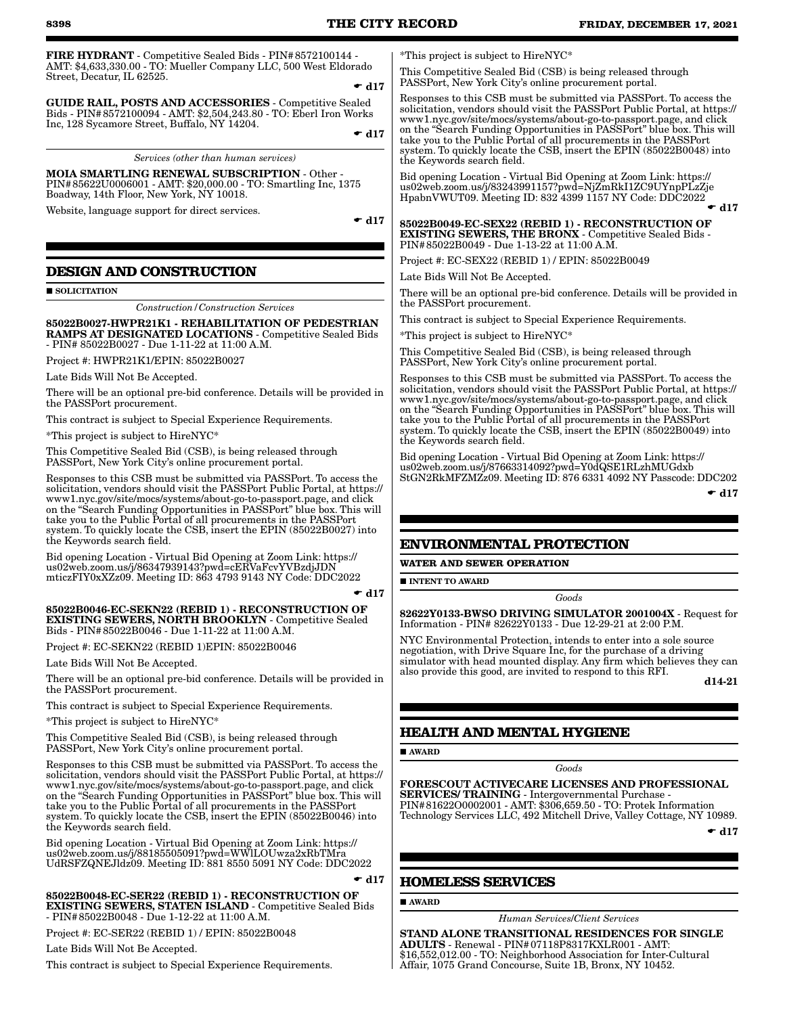FIRE HYDRANT - Competitive Sealed Bids - PIN#8572100144 - AMT: \$4,633,330.00 - TO: Mueller Company LLC, 500 West Eldorado Street, Decatur, IL 62525.  $\bullet$  d17

GUIDE RAIL, POSTS AND ACCESSORIES - Competitive Sealed Bids - PIN#8572100094 - AMT: \$2,504,243.80 - TO: Eberl Iron Works Inc, 128 Sycamore Street, Buffalo, NY 14204.

*Services (other than human services)*

MOIA SMARTLING RENEWAL SUBSCRIPTION - Other - PIN#85622U0006001 - AMT: \$20,000.00 - TO: Smartling Inc, 1375 Boadway, 14th Floor, New York, NY 10018.

Website, language support for direct services.

 $\bullet$  d17

 $\bullet$  d17

# **DESIGN AND CONSTRUCTION**

SOLICITATION

*Construction/Construction Services*

85022B0027-HWPR21K1 - REHABILITATION OF PEDESTRIAN RAMPS AT DESIGNATED LOCATIONS - Competitive Sealed Bids - PIN# 85022B0027 - Due 1-11-22 at 11:00 A.M.

Project #: HWPR21K1/EPIN: 85022B0027

Late Bids Will Not Be Accepted.

There will be an optional pre-bid conference. Details will be provided in the PASSPort procurement.

This contract is subject to Special Experience Requirements.

\*This project is subject to HireNYC\*

This Competitive Sealed Bid (CSB), is being released through PASSPort, New York City's online procurement portal.

Responses to this CSB must be submitted via PASSPort. To access the solicitation, vendors should visit the PASSPort Public Portal, at https:// www1.nyc.gov/site/mocs/systems/about-go-to-passport.page, and click on the "Search Funding Opportunities in PASSPort" blue box. This will take you to the Public Portal of all procurements in the PASSPort system. To quickly locate the CSB, insert the EPIN (85022B0027) into the Keywords search field.

Bid opening Location - Virtual Bid Opening at Zoom Link: https:// us02web.zoom.us/j/86347939143?pwd=cERVaFcvYVBzdjJDN mticzFIY0xXZz09. Meeting ID: 863 4793 9143 NY Code: DDC2022

#### $\div$  d17

85022B0046-EC-SEKN22 (REBID 1) - RECONSTRUCTION OF EXISTING SEWERS, NORTH BROOKLYN - Competitive Sealed Bids - PIN#85022B0046 - Due 1-11-22 at 11:00 A.M.

Project #: EC-SEKN22 (REBID 1)EPIN: 85022B0046

Late Bids Will Not Be Accepted.

There will be an optional pre-bid conference. Details will be provided in the PASSPort procurement.

This contract is subject to Special Experience Requirements.

\*This project is subject to HireNYC\*

This Competitive Sealed Bid (CSB), is being released through PASSPort, New York City's online procurement portal.

Responses to this CSB must be submitted via PASSPort. To access the solicitation, vendors should visit the PASSPort Public Portal, at https:// www1.nyc.gov/site/mocs/systems/about-go-to-passport.page, and click on the "Search Funding Opportunities in PASSPort" blue box. This will take you to the Public Portal of all procurements in the PASSPort system. To quickly locate the CSB, insert the EPIN (85022B0046) into the Keywords search field.

Bid opening Location - Virtual Bid Opening at Zoom Link: https:// us02web.zoom.us/j/88185505091?pwd=WWlLOUwza2xRbTMra UdRSFZQNEJldz09. Meeting ID: 881 8550 5091 NY Code: DDC2022

85022B0048-EC-SER22 (REBID 1) - RECONSTRUCTION OF EXISTING SEWERS, STATEN ISLAND - Competitive Sealed Bids - PIN#85022B0048 - Due 1-12-22 at 11:00 A.M.

Project #: EC-SER22 (REBID 1) / EPIN: 85022B0048

Late Bids Will Not Be Accepted.

This contract is subject to Special Experience Requirements.

\*This project is subject to HireNYC\*

This Competitive Sealed Bid (CSB) is being released through PASSPort, New York City's online procurement portal.

Responses to this CSB must be submitted via PASSPort. To access the solicitation, vendors should visit the PASSPort Public Portal, at https:// www1.nyc.gov/site/mocs/systems/about-go-to-passport.page, and click on the "Search Funding Opportunities in PASSPort" blue box. This will take you to the Public Portal of all procurements in the PASSPort system. To quickly locate the CSB, insert the EPIN (85022B0048) into the Keywords search field.

Bid opening Location - Virtual Bid Opening at Zoom Link: https:// us02web.zoom.us/j/83243991157?pwd=NjZmRkI1ZC9UYnpPLzZje HpabnVWUT09. Meeting ID: 832 4399 1157 NY Code: DDC2022  $\bullet$  d17

85022B0049-EC-SEX22 (REBID 1) - RECONSTRUCTION OF EXISTING SEWERS, THE BRONX - Competitive Sealed Bids - PIN#85022B0049 - Due 1-13-22 at 11:00 A.M.

Project #: EC-SEX22 (REBID 1) / EPIN: 85022B0049

Late Bids Will Not Be Accepted.

There will be an optional pre-bid conference. Details will be provided in the PASSPort procurement.

This contract is subject to Special Experience Requirements.

\*This project is subject to HireNYC\*

This Competitive Sealed Bid (CSB), is being released through PASSPort, New York City's online procurement portal.

Responses to this CSB must be submitted via PASSPort. To access the solicitation, vendors should visit the PASSPort Public Portal, at https:// www1.nyc.gov/site/mocs/systems/about-go-to-passport.page, and click on the "Search Funding Opportunities in PASSPort" blue box. This will take you to the Public Portal of all procurements in the PASSPort system. To quickly locate the CSB, insert the EPIN (85022B0049) into the Keywords search field.

Bid opening Location - Virtual Bid Opening at Zoom Link: https:// us02web.zoom.us/j/87663314092?pwd=Y0dQSE1RLzhMUGdxb StGN2RkMFZMZz09. Meeting ID: 876 6331 4092 NY Passcode: DDC202

 $\bullet$  d17

## **ENVIRONMENTAL PROTECTION**

**WATER AND SEWER OPERATION**

**INTENT TO AWARD** 

*Goods*

82622Y0133-BWSO DRIVING SIMULATOR 2001004X - Request for Information - PIN# 82622Y0133 - Due 12-29-21 at 2:00 P.M.

NYC Environmental Protection, intends to enter into a sole source negotiation, with Drive Square Inc, for the purchase of a driving simulator with head mounted display. Any firm which believes they can also provide this good, are invited to respond to this RFI.

d14-21

## **HEALTH AND MENTAL HYGIENE**

AWARD

#### *Goods*

FORESCOUT ACTIVECARE LICENSES AND PROFESSIONAL SERVICES/ TRAINING - Intergovernmental Purchase - PIN#81622O0002001 - AMT: \$306,659.50 - TO: Protek Information

Technology Services LLC, 492 Mitchell Drive, Valley Cottage, NY 10989.

 $\bullet$  d17

# **HOMELESS SERVICES**

AWARD

 $\blacktriangledown$  d17

*Human Services*/*Client Services*

STAND ALONE TRANSITIONAL RESIDENCES FOR SINGLE ADULTS - Renewal - PIN#07118P8317KXLR001 - AMT: \$16,552,012.00 - TO: Neighborhood Association for Inter-Cultural Affair, 1075 Grand Concourse, Suite 1B, Bronx, NY 10452.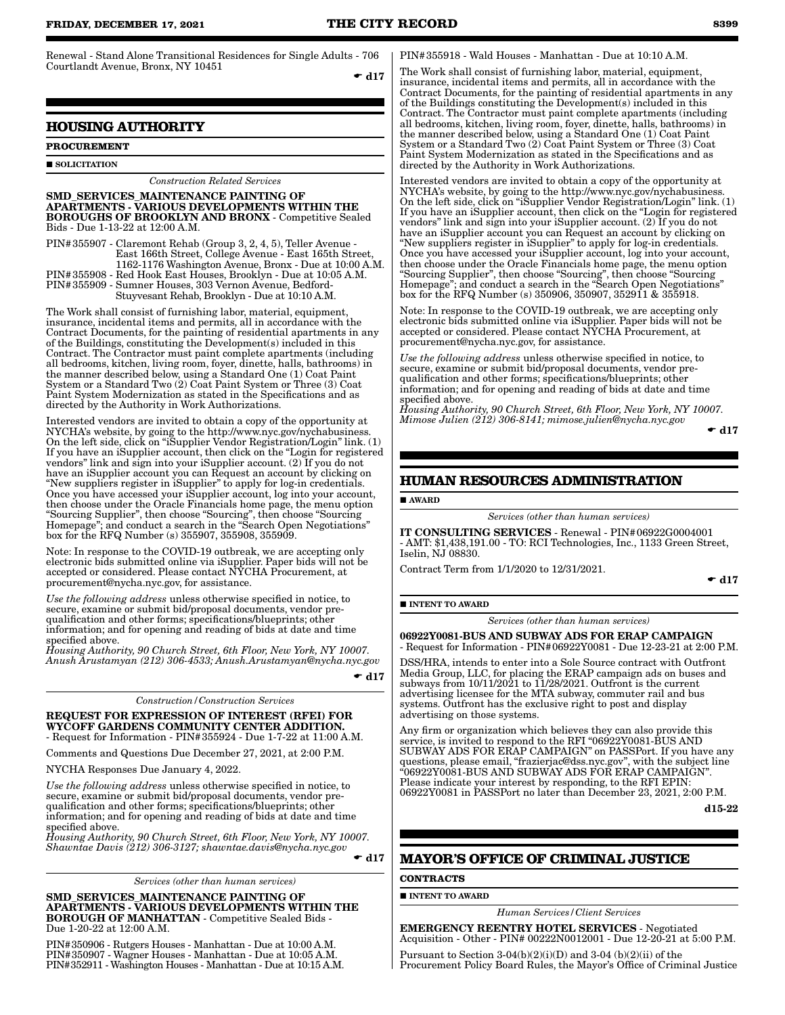Renewal - Stand Alone Transitional Residences for Single Adults - 706 Courtlandt Avenue, Bronx, NY 10451  $\bullet$  d17

### **HOUSING AUTHORITY**

# **PROCUREMENT**

**SOLICITATION** 

#### *Construction Related Services*

SMD\_SERVICES\_MAINTENANCE PAINTING OF APARTMENTS - VARIOUS DEVELOPMENTS WITHIN THE BOROUGHS OF BROOKLYN AND BRONX - Competitive Sealed Bids - Due 1-13-22 at 12:00 A.M.

PIN#355907 - Claremont Rehab (Group 3, 2, 4, 5), Teller Avenue - East 166th Street, College Avenue - East 165th Street, 1162-1176 Washington Avenue, Bronx - Due at 10:00 A.M. PIN#355908 - Red Hook East Houses, Brooklyn - Due at 10:05 A.M. PIN#355909 - Sumner Houses, 303 Vernon Avenue, Bedford-Stuyvesant Rehab, Brooklyn - Due at 10:10 A.M.

The Work shall consist of furnishing labor, material, equipment, insurance, incidental items and permits, all in accordance with the Contract Documents, for the painting of residential apartments in any of the Buildings, constituting the Development(s) included in this Contract. The Contractor must paint complete apartments (including all bedrooms, kitchen, living room, foyer, dinette, halls, bathrooms) in the manner described below, using a Standard One (1) Coat Paint System or a Standard Two (2) Coat Paint System or Three (3) Coat Paint System Modernization as stated in the Specifications and as directed by the Authority in Work Authorizations.

Interested vendors are invited to obtain a copy of the opportunity at NYCHA's website, by going to the http://www.nyc.gov/nychabusiness. On the left side, click on "iSupplier Vendor Registration/Login" link. (1) If you have an iSupplier account, then click on the "Login for registered vendors" link and sign into your iSupplier account. (2) If you do not have an iSupplier account you can Request an account by clicking on "New suppliers register in iSupplier" to apply for log-in credentials. Once you have accessed your iSupplier account, log into your account, then choose under the Oracle Financials home page, the menu option "Sourcing Supplier", then choose "Sourcing", then choose "Sourcing Homepage"; and conduct a search in the "Search Open Negotiations" box for the RFQ Number (s) 355907, 355908, 355909.

Note: In response to the COVID-19 outbreak, we are accepting only electronic bids submitted online via iSupplier. Paper bids will not be accepted or considered. Please contact NYCHA Procurement, at procurement@nycha.nyc.gov, for assistance.

*Use the following address* unless otherwise specified in notice, to secure, examine or submit bid/proposal documents, vendor prequalification and other forms; specifications/blueprints; other information; and for opening and reading of bids at date and time specified above.

*Housing Authority, 90 Church Street, 6th Floor, New York, NY 10007. Anush Arustamyan (212) 306-4533; Anush.Arustamyan@nycha.nyc.gov*

 $\bullet$  d17

*Construction/Construction Services*

REQUEST FOR EXPRESSION OF INTEREST (RFEI) FOR WYCOFF GARDENS COMMUNITY CENTER ADDITION.

- Request for Information - PIN#355924 - Due 1-7-22 at 11:00 A.M. Comments and Questions Due December 27, 2021, at 2:00 P.M.

NYCHA Responses Due January 4, 2022.

*Use the following address* unless otherwise specified in notice, to secure, examine or submit bid/proposal documents, vendor prequalification and other forms; specifications/blueprints; other information; and for opening and reading of bids at date and time specified above.

*Housing Authority, 90 Church Street, 6th Floor, New York, NY 10007. Shawntae Davis (212) 306-3127; shawntae.davis@nycha.nyc.gov*

 $\bullet$  d17

*Services (other than human services)*

SMD\_SERVICES\_MAINTENANCE PAINTING OF APARTMENTS - VARIOUS DEVELOPMENTS WITHIN THE BOROUGH OF MANHATTAN - Competitive Sealed Bids - Due 1-20-22 at 12:00 A.M.

PIN#350906 - Rutgers Houses - Manhattan - Due at 10:00 A.M. PIN#350907 - Wagner Houses - Manhattan - Due at 10:05 A.M. PIN#352911 - Washington Houses - Manhattan - Due at 10:15 A.M. PIN#355918 - Wald Houses - Manhattan - Due at 10:10 A.M.

The Work shall consist of furnishing labor, material, equipment, insurance, incidental items and permits, all in accordance with the Contract Documents, for the painting of residential apartments in any of the Buildings constituting the Development(s) included in this Contract. The Contractor must paint complete apartments (including all bedrooms, kitchen, living room, foyer, dinette, halls, bathrooms) in the manner described below, using a Standard One (1) Coat Paint System or a Standard Two (2) Coat Paint System or Three (3) Coat Paint System Modernization as stated in the Specifications and as directed by the Authority in Work Authorizations.

Interested vendors are invited to obtain a copy of the opportunity at NYCHA's website, by going to the http://www.nyc.gov/nychabusiness. On the left side, click on "iSupplier Vendor Registration/Login" link. (1) If you have an iSupplier account, then click on the "Login for registered vendors" link and sign into your iSupplier account. (2) If you do not have an iSupplier account you can Request an account by clicking on "New suppliers register in iSupplier" to apply for log-in credentials. Once you have accessed your iSupplier account, log into your account, then choose under the Oracle Financials home page, the menu option "Sourcing Supplier", then choose "Sourcing", then choose "Sourcing Homepage"; and conduct a search in the "Search Open Negotiations" box for the RFQ Number (s) 350906, 350907, 352911 & 355918.

Note: In response to the COVID-19 outbreak, we are accepting only electronic bids submitted online via iSupplier. Paper bids will not be accepted or considered. Please contact NYCHA Procurement, at procurement@nycha.nyc.gov, for assistance.

*Use the following address* unless otherwise specified in notice, to secure, examine or submit bid/proposal documents, vendor prequalification and other forms; specifications/blueprints; other information; and for opening and reading of bids at date and time specified above.

*Housing Authority, 90 Church Street, 6th Floor, New York, NY 10007. Mimose Julien (212) 306-8141; mimose.julien@nycha.nyc.gov*

```
\bullet d17
```
#### **HUMAN RESOURCES ADMINISTRATION**

AWARD

*Services (other than human services)*

IT CONSULTING SERVICES - Renewal - PIN#06922G0004001 - AMT: \$1,438,191.00 - TO: RCI Technologies, Inc., 1133 Green Street, Iselin, NJ 08830.

Contract Term from 1/1/2020 to 12/31/2021.

 $\bullet$  d17

#### **INTENT TO AWARD**

*Services (other than human services)*

06922Y0081-BUS AND SUBWAY ADS FOR ERAP CAMPAIGN - Request for Information - PIN#06922Y0081 - Due 12-23-21 at 2:00 P.M.

DSS/HRA, intends to enter into a Sole Source contract with Outfront Media Group, LLC, for placing the ERAP campaign ads on buses and subways from  $10/11/2021$  to  $11/28/2021$ . Outfront is the current advertising licensee for the MTA subway, commuter rail and bus systems. Outfront has the exclusive right to post and display advertising on those systems.

Any firm or organization which believes they can also provide this service, is invited to respond to the RFI "06922Y0081-BUS AND SUBWAY ADS FOR ERAP CAMPAIGN" on PASSPort. If you have any questions, please email, "frazierjac@dss.nyc.gov", with the subject line "06922Y0081-BUS AND SUBWAY ADS FOR ERAP CAMPAIGN". Please indicate your interest by responding, to the RFI EPIN: 06922Y0081 in PASSPort no later than December 23, 2021, 2:00 P.M.

d15-22

# **MAYOR'S OFFICE OF CRIMINAL JUSTICE**

#### **CONTRACTS**

#### **INTENT TO AWARD**

*Human Services/Client Services*

EMERGENCY REENTRY HOTEL SERVICES - Negotiated Acquisition - Other - PIN# 00222N0012001 - Due 12-20-21 at 5:00 P.M.

Pursuant to Section  $3-04(b)(2)(i)(D)$  and  $3-04(b)(2)(ii)$  of the Procurement Policy Board Rules, the Mayor's Office of Criminal Justice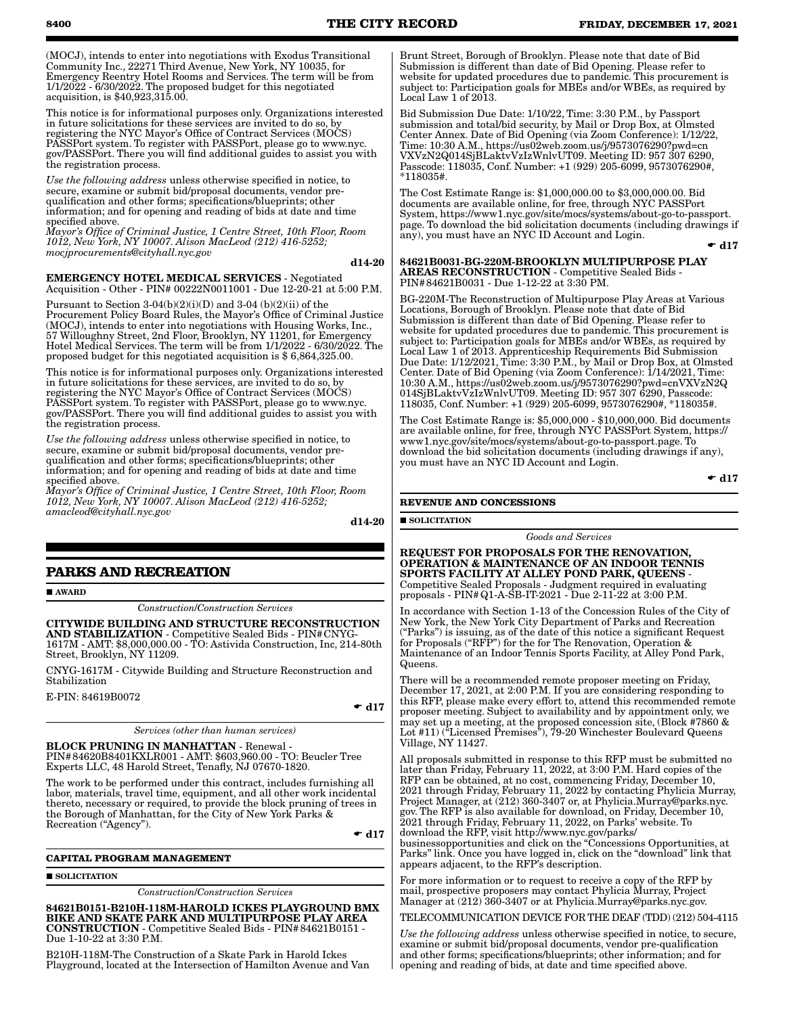(MOCJ), intends to enter into negotiations with Exodus Transitional Community Inc., 22271 Third Avenue, New York, NY 10035, for Emergency Reentry Hotel Rooms and Services. The term will be from 1/1/2022 - 6/30/2022. The proposed budget for this negotiated acquisition, is \$40,923,315.00.

This notice is for informational purposes only. Organizations interested in future solicitations for these services are invited to do so, by registering the NYC Mayor's Office of Contract Services (MOCS) PASSPort system. To register with PASSPort, please go to www.nyc. gov/PASSPort. There you will find additional guides to assist you with the registration process.

*Use the following address* unless otherwise specified in notice, to secure, examine or submit bid/proposal documents, vendor prequalification and other forms; specifications/blueprints; other information; and for opening and reading of bids at date and time specified above.

*Mayor's Office of Criminal Justice, 1 Centre Street, 10th Floor, Room 1012, New York, NY 10007. Alison MacLeod (212) 416-5252; mocjprocurements@cityhall.nyc.gov*

#### d14-20

EMERGENCY HOTEL MEDICAL SERVICES - Negotiated Acquisition - Other - PIN# 00222N0011001 - Due 12-20-21 at 5:00 P.M.

Pursuant to Section  $3-04(b)(2)(i)(D)$  and  $3-04(b)(2)(ii)$  of the Procurement Policy Board Rules, the Mayor's Office of Criminal Justice (MOCJ), intends to enter into negotiations with Housing Works, Inc., 57 Willoughny Street, 2nd Floor, Brooklyn, NY 11201, for Emergency Hotel Medical Services. The term will be from 1/1/2022 - 6/30/2022. The proposed budget for this negotiated acquisition is \$ 6,864,325.00.

This notice is for informational purposes only. Organizations interested in future solicitations for these services, are invited to do so, by registering the NYC Mayor's Office of Contract Services (MOCS) PASSPort system. To register with PASSPort, please go to www.nyc. gov/PASSPort. There you will find additional guides to assist you with the registration process.

*Use the following address* unless otherwise specified in notice, to secure, examine or submit bid/proposal documents, vendor prequalification and other forms; specifications/blueprints; other information; and for opening and reading of bids at date and time specified above.

*Mayor's Office of Criminal Justice, 1 Centre Street, 10th Floor, Room 1012, New York, NY 10007. Alison MacLeod (212) 416-5252; amacleod@cityhall.nyc.gov*

d14-20

# **PARKS AND RECREATION**

**AWARD** 

*Construction*/*Construction Services*

CITYWIDE BUILDING AND STRUCTURE RECONSTRUCTION AND STABILIZATION - Competitive Sealed Bids - PIN#CNYG-1617M - AMT: \$8,000,000.00 - TO: Astivida Construction, Inc, 214-80th Street, Brooklyn, NY 11209.

CNYG-1617M - Citywide Building and Structure Reconstruction and Stabilization

E-PIN: 84619B0072

 $\bullet$  d17

*Services (other than human services)*

BLOCK PRUNING IN MANHATTAN - Renewal - PIN#84620B8401KXLR001 - AMT: \$603,960.00 - TO: Beucler Tree Experts LLC, 48 Harold Street, Tenafly, NJ 07670-1820.

The work to be performed under this contract, includes furnishing all labor, materials, travel time, equipment, and all other work incidental thereto, necessary or required, to provide the block pruning of trees in the Borough of Manhattan, for the City of New York Parks & Recreation ("Agency").

 $\bullet$  d17

#### **CAPITAL PROGRAM MANAGEMENT**

#### **SOLICITATION**

*Construction*/*Construction Services*

84621B0151-B210H-118M-HAROLD ICKES PLAYGROUND BMX BIKE AND SKATE PARK AND MULTIPURPOSE PLAY AREA CONSTRUCTION - Competitive Sealed Bids - PIN#84621B0151 - Due 1-10-22 at 3:30 P.M.

B210H-118M-The Construction of a Skate Park in Harold Ickes Playground, located at the Intersection of Hamilton Avenue and Van Brunt Street, Borough of Brooklyn. Please note that date of Bid Submission is different than date of Bid Opening. Please refer to website for updated procedures due to pandemic. This procurement is subject to: Participation goals for MBEs and/or WBEs, as required by Local Law 1 of 2013.

Bid Submission Due Date: 1/10/22, Time: 3:30 P.M., by Passport submission and total/bid security, by Mail or Drop Box, at Olmsted Center Annex. Date of Bid Opening (via Zoom Conference): 1/12/22, Time: 10:30 A.M., https://us02web.zoom.us/j/9573076290?pwd=cn VXVzN2Q014SjBLaktvVzIzWnlvUT09. Meeting ID: 957 307 6290, Passcode: 118035, Conf. Number: +1 (929) 205-6099, 9573076290#, \*118035#.

The Cost Estimate Range is: \$1,000,000.00 to \$3,000,000.00. Bid documents are available online, for free, through NYC PASSPort System, https://www1.nyc.gov/site/mocs/systems/about-go-to-passport. page. To download the bid solicitation documents (including drawings if any), you must have an NYC ID Account and Login.

 $\div$  d17

84621B0031-BG-220M-BROOKLYN MULTIPURPOSE PLAY AREAS RECONSTRUCTION - Competitive Sealed Bids - PIN#84621B0031 - Due 1-12-22 at 3:30 PM.

BG-220M-The Reconstruction of Multipurpose Play Areas at Various Locations, Borough of Brooklyn. Please note that date of Bid Submission is different than date of Bid Opening. Please refer to website for updated procedures due to pandemic. This procurement is subject to: Participation goals for MBEs and/or WBEs, as required by Local Law 1 of 2013. Apprenticeship Requirements Bid Submission Due Date: 1/12/2021, Time: 3:30 P.M., by Mail or Drop Box, at Olmsted Center. Date of Bid Opening (via Zoom Conference): 1/14/2021, Time: 10:30 A.M., https://us02web.zoom.us/j/9573076290?pwd=cnVXVzN2Q 014SjBLaktvVzIzWnlvUT09. Meeting ID: 957 307 6290, Passcode: 118035, Conf. Number: +1 (929) 205-6099, 9573076290#, \*118035#.

The Cost Estimate Range is: \$5,000,000 - \$10,000,000. Bid documents are available online, for free, through NYC PASSPort System, https:// www1.nyc.gov/site/mocs/systems/about-go-to-passport.page. To download the bid solicitation documents (including drawings if any), you must have an NYC ID Account and Login.

 $\bullet$  d17

#### **REVENUE AND CONCESSIONS**

**SOLICITATION** 

*Goods and Services*

REQUEST FOR PROPOSALS FOR THE RENOVATION, OPERATION & MAINTENANCE OF AN INDOOR TENNIS SPORTS FACILITY AT ALLEY POND PARK, QUEENS -

Competitive Sealed Proposals - Judgment required in evaluating proposals - PIN#Q1-A-SB-IT-2021 - Due 2-11-22 at 3:00 P.M.

In accordance with Section 1-13 of the Concession Rules of the City of New York, the New York City Department of Parks and Recreation ("Parks") is issuing, as of the date of this notice a significant Request for Proposals ("RFP") for the for The Renovation, Operation & Maintenance of an Indoor Tennis Sports Facility, at Alley Pond Park, Queens.

There will be a recommended remote proposer meeting on Friday, December 17, 2021, at 2:00 P.M. If you are considering responding to this RFP, please make every effort to, attend this recommended remote proposer meeting. Subject to availability and by appointment only, we may set up a meeting, at the proposed concession site, (Block #7860 & Lot #11) ("Licensed Premises"), 79-20 Winchester Boulevard Queens Village, NY 11427.

All proposals submitted in response to this RFP must be submitted no later than Friday, February 11, 2022, at 3:00 P.M. Hard copies of the RFP can be obtained, at no cost, commencing Friday, December 10, 2021 through Friday, February 11, 2022 by contacting Phylicia Murray, Project Manager, at (212) 360-3407 or, at Phylicia.Murray@parks.nyc. gov. The RFP is also available for download, on Friday, December 10, 2021 through Friday, February 11, 2022, on Parks' website. To download the RFP, visit http://www.nyc.gov/parks/

businessopportunities and click on the "Concessions Opportunities, at Parks" link. Once you have logged in, click on the "download" link that appears adjacent, to the RFP's description.

For more information or to request to receive a copy of the RFP by mail, prospective proposers may contact Phylicia Murray, Project Manager at (212) 360-3407 or at Phylicia.Murray@parks.nyc.gov.

TELECOMMUNICATION DEVICE FOR THE DEAF (TDD) (212) 504-4115

*Use the following address* unless otherwise specified in notice, to secure, examine or submit bid/proposal documents, vendor pre-qualification and other forms; specifications/blueprints; other information; and for opening and reading of bids, at date and time specified above.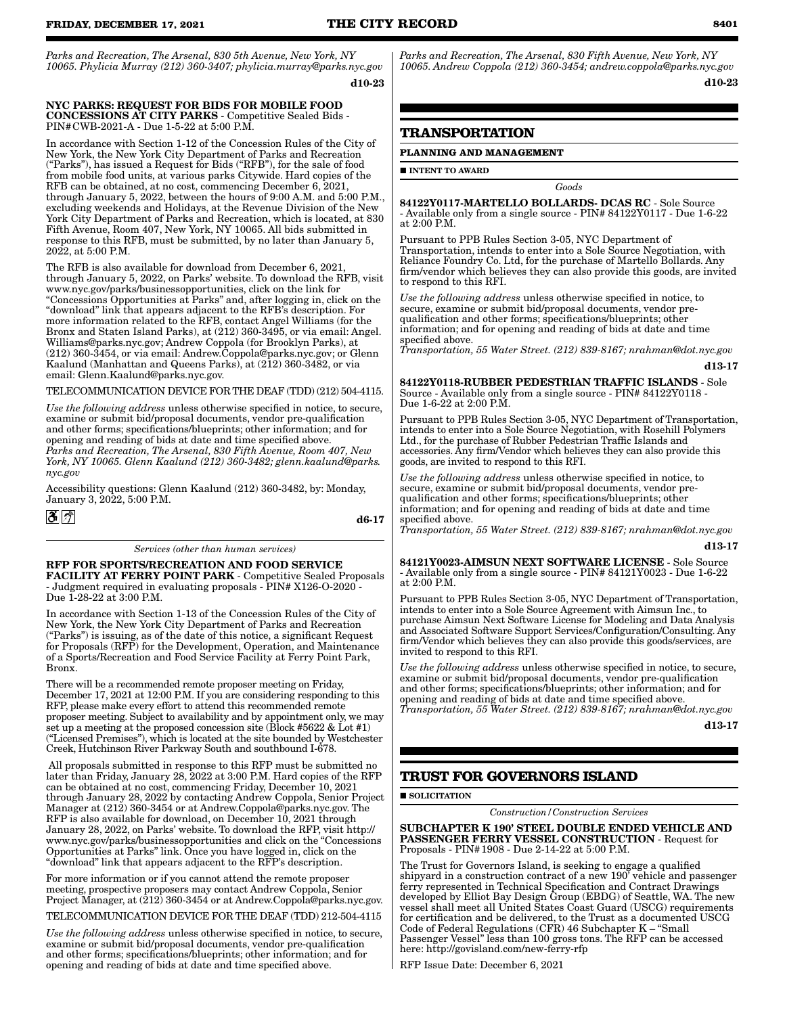*Parks and Recreation, The Arsenal, 830 5th Avenue, New York, NY 10065. Phylicia Murray (212) 360-3407; phylicia.murray@parks.nyc.gov* d10-23

#### NYC PARKS: REQUEST FOR BIDS FOR MOBILE FOOD CONCESSIONS AT CITY PARKS - Competitive Sealed Bids - PIN#CWB-2021-A - Due 1-5-22 at 5:00 P.M.

In accordance with Section 1-12 of the Concession Rules of the City of New York, the New York City Department of Parks and Recreation ("Parks"), has issued a Request for Bids ("RFB"), for the sale of food from mobile food units, at various parks Citywide. Hard copies of the RFB can be obtained, at no cost, commencing December 6, 2021, through January 5, 2022, between the hours of 9:00 A.M. and 5:00 P.M., excluding weekends and Holidays, at the Revenue Division of the New York City Department of Parks and Recreation, which is located, at 830 Fifth Avenue, Room 407, New York, NY 10065. All bids submitted in response to this RFB, must be submitted, by no later than January 5, 2022, at 5:00 P.M.

The RFB is also available for download from December 6, 2021, through January 5, 2022, on Parks' website. To download the RFB, visit www.nyc.gov/parks/businessopportunities, click on the link for "Concessions Opportunities at Parks" and, after logging in, click on the "download" link that appears adjacent to the RFB's description. For more information related to the RFB, contact Angel Williams (for the Bronx and Staten Island Parks), at (212) 360-3495, or via email: Angel. Williams@parks.nyc.gov; Andrew Coppola (for Brooklyn Parks), at (212) 360-3454, or via email: Andrew.Coppola@parks.nyc.gov; or Glenn Kaalund (Manhattan and Queens Parks), at (212) 360-3482, or via email: Glenn.Kaalund@parks.nyc.gov.

#### TELECOMMUNICATION DEVICE FOR THE DEAF (TDD) (212) 504-4115.

*Use the following address* unless otherwise specified in notice, to secure, examine or submit bid/proposal documents, vendor pre-qualification and other forms; specifications/blueprints; other information; and for opening and reading of bids at date and time specified above. *Parks and Recreation, The Arsenal, 830 Fifth Avenue, Room 407, New York, NY 10065. Glenn Kaalund (212) 360-3482; glenn.kaalund@parks. nyc.gov*

Accessibility questions: Glenn Kaalund (212) 360-3482, by: Monday, January 3, 2022, 5:00 P.M.

 $3\degree$ 

d6-17

#### *Services (other than human services)*

# RFP FOR SPORTS/RECREATION AND FOOD SERVICE

FACILITY AT FERRY POINT PARK - Competitive Sealed Proposals - Judgment required in evaluating proposals - PIN# X126-O-2020 - Due 1-28-22 at 3:00 P.M.

In accordance with Section 1-13 of the Concession Rules of the City of New York, the New York City Department of Parks and Recreation ("Parks") is issuing, as of the date of this notice, a significant Request for Proposals (RFP) for the Development, Operation, and Maintenance of a Sports/Recreation and Food Service Facility at Ferry Point Park, Bronx.

There will be a recommended remote proposer meeting on Friday, December 17, 2021 at 12:00 P.M. If you are considering responding to this RFP, please make every effort to attend this recommended remote proposer meeting. Subject to availability and by appointment only, we may set up a meeting at the proposed concession site (Block #5622 & Lot #1) ("Licensed Premises"), which is located at the site bounded by Westchester Creek, Hutchinson River Parkway South and southbound I-678.

 All proposals submitted in response to this RFP must be submitted no later than Friday, January 28, 2022 at 3:00 P.M. Hard copies of the RFP can be obtained at no cost, commencing Friday, December 10, 2021 through January 28, 2022 by contacting Andrew Coppola, Senior Project Manager at (212) 360-3454 or at Andrew.Coppola@parks.nyc.gov. The RFP is also available for download, on December 10, 2021 through January 28, 2022, on Parks' website. To download the RFP, visit http:// www.nyc.gov/parks/businessopportunities and click on the "Concessions Opportunities at Parks" link. Once you have logged in, click on the "download" link that appears adjacent to the RFP's description.

For more information or if you cannot attend the remote proposer meeting, prospective proposers may contact Andrew Coppola, Senior Project Manager, at (212) 360-3454 or at Andrew.Coppola@parks.nyc.gov.

TELECOMMUNICATION DEVICE FOR THE DEAF (TDD) 212-504-4115

*Use the following address* unless otherwise specified in notice, to secure, examine or submit bid/proposal documents, vendor pre-qualification and other forms; specifications/blueprints; other information; and for opening and reading of bids at date and time specified above.

*Parks and Recreation, The Arsenal, 830 Fifth Avenue, New York, NY 10065. Andrew Coppola (212) 360-3454; andrew.coppola@parks.nyc.gov* d10-23

# **TRANSPORTATION**

#### **PLANNING AND MANAGEMENT**

**INTENT TO AWARD** 

84122Y0117-MARTELLO BOLLARDS- DCAS RC - Sole Source - Available only from a single source - PIN# 84122Y0117 - Due 1-6-22 at 2:00 P.M.

*Goods*

Pursuant to PPB Rules Section 3-05, NYC Department of Transportation, intends to enter into a Sole Source Negotiation, with Reliance Foundry Co. Ltd, for the purchase of Martello Bollards. Any firm/vendor which believes they can also provide this goods, are invited to respond to this RFI.

*Use the following address* unless otherwise specified in notice, to secure, examine or submit bid/proposal documents, vendor prequalification and other forms; specifications/blueprints; other information; and for opening and reading of bids at date and time specified above.

*Transportation, 55 Water Street. (212) 839-8167; nrahman@dot.nyc.gov* d13-17

84122Y0118-RUBBER PEDESTRIAN TRAFFIC ISLANDS - Sole Source - Available only from a single source - PIN# 84122Y0118 - Due 1-6-22 at 2:00 P.M.

Pursuant to PPB Rules Section 3-05, NYC Department of Transportation, intends to enter into a Sole Source Negotiation, with Rosehill Polymers Ltd., for the purchase of Rubber Pedestrian Traffic Islands and accessories. Any firm/Vendor which believes they can also provide this goods, are invited to respond to this RFI.

*Use the following address* unless otherwise specified in notice, to secure, examine or submit bid/proposal documents, vendor prequalification and other forms; specifications/blueprints; other information; and for opening and reading of bids at date and time specified above.

*Transportation, 55 Water Street. (212) 839-8167; nrahman@dot.nyc.gov*

d13-17

84121Y0023-AIMSUN NEXT SOFTWARE LICENSE - Sole Source - Available only from a single source - PIN# 84121Y0023 - Due 1-6-22 at  $2:00$  PM

Pursuant to PPB Rules Section 3-05, NYC Department of Transportation, intends to enter into a Sole Source Agreement with Aimsun Inc., to purchase Aimsun Next Software License for Modeling and Data Analysis and Associated Software Support Services/Configuration/Consulting. Any firm/Vendor which believes they can also provide this goods/services, are invited to respond to this RFI.

*Use the following address* unless otherwise specified in notice, to secure, examine or submit bid/proposal documents, vendor pre-qualification and other forms; specifications/blueprints; other information; and for opening and reading of bids at date and time specified above. *Transportation, 55 Water Street. (212) 839-8167; nrahman@dot.nyc.gov*

d13-17

# **TRUST FOR GOVERNORS ISLAND**

#### **SOLICITATION**

*Construction/Construction Services*

SUBCHAPTER K 190' STEEL DOUBLE ENDED VEHICLE AND PASSENGER FERRY VESSEL CONSTRUCTION - Request for Proposals - PIN#1908 - Due 2-14-22 at 5:00 P.M.

The Trust for Governors Island, is seeking to engage a qualified shipyard in a construction contract of a new 190' vehicle and passenger ferry represented in Technical Specification and Contract Drawings developed by Elliot Bay Design Group (EBDG) of Seattle, WA. The new vessel shall meet all United States Coast Guard (USCG) requirements for certification and be delivered, to the Trust as a documented USCG Code of Federal Regulations (CFR) 46 Subchapter K – "Small Passenger Vessel" less than 100 gross tons. The RFP can be accessed here: http://govisland.com/new-ferry-rfp

RFP Issue Date: December 6, 2021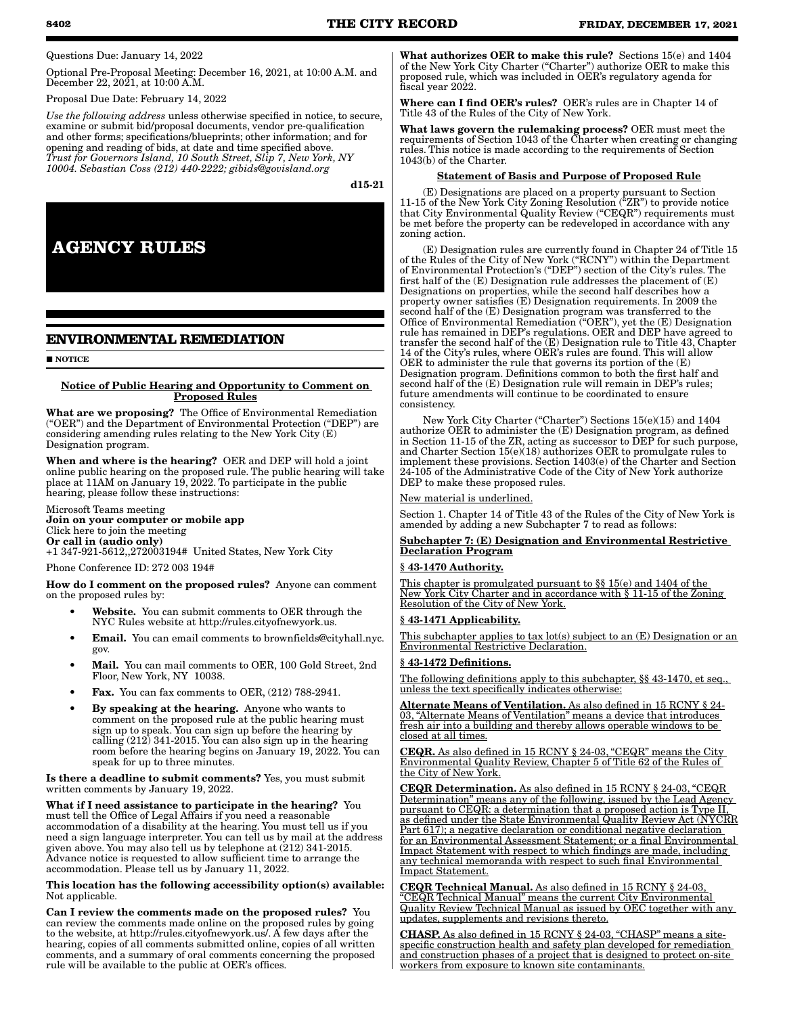Questions Due: January 14, 2022

Optional Pre-Proposal Meeting: December 16, 2021, at 10:00 A.M. and December 22, 2021, at 10:00 A.M.

Proposal Due Date: February 14, 2022

*Use the following address* unless otherwise specified in notice, to secure, examine or submit bid/proposal documents, vendor pre-qualification and other forms; specifications/blueprints; other information; and for opening and reading of bids, at date and time specified above. *Trust for Governors Island, 10 South Street, Slip 7, New York, NY 10004. Sebastian Coss (212) 440-2222; gibids@govisland.org*

d15-21

**AGENCY RULES**

# **ENVIRONMENTAL REMEDIATION**

**NOTICE** 

#### Notice of Public Hearing and Opportunity to Comment on Proposed Rules

What are we proposing? The Office of Environmental Remediation ("OER") and the Department of Environmental Protection ("DEP") are considering amending rules relating to the New York City (E) Designation program.

When and where is the hearing? OER and DEP will hold a joint online public hearing on the proposed rule. The public hearing will take place at 11AM on January 19, 2022. To participate in the public hearing, please follow these instructions:

Microsoft Teams meeting Join on your computer or mobile app Click here to join the meeting Or call in (audio only) +1 347-921-5612,,272003194# United States, New York City

Phone Conference ID: 272 003 194#

How do I comment on the proposed rules? Anyone can comment on the proposed rules by:

- Website. You can submit comments to OER through the NYC Rules website at http://rules.cityofnewyork.us.
- Email. You can email comments to brownfields@cityhall.nyc. gov.
- Mail. You can mail comments to OER, 100 Gold Street, 2nd Floor, New York, NY 10038.
- **Fax.** You can fax comments to OER, (212) 788-2941.
- By speaking at the hearing. Anyone who wants to comment on the proposed rule at the public hearing must sign up to speak. You can sign up before the hearing by calling (212) 341-2015. You can also sign up in the hearing room before the hearing begins on January 19, 2022. You can speak for up to three minutes.

Is there a deadline to submit comments? Yes, you must submit written comments by January 19, 2022.

What if I need assistance to participate in the hearing? You must tell the Office of Legal Affairs if you need a reasonable accommodation of a disability at the hearing. You must tell us if you need a sign language interpreter. You can tell us by mail at the address given above. You may also tell us by telephone at (212) 341-2015. Advance notice is requested to allow sufficient time to arrange the accommodation. Please tell us by January 11, 2022.

#### This location has the following accessibility option(s) available: Not applicable.

Can I review the comments made on the proposed rules? You can review the comments made online on the proposed rules by going to the website, at http://rules.cityofnewyork.us/. A few days after the hearing, copies of all comments submitted online, copies of all written comments, and a summary of oral comments concerning the proposed rule will be available to the public at OER's offices.

What authorizes OER to make this rule? Sections 15(e) and 1404 of the New York City Charter ("Charter") authorize OER to make this proposed rule, which was included in OER's regulatory agenda for fiscal year 2022.

Where can I find OER's rules? OER's rules are in Chapter 14 of Title 43 of the Rules of the City of New York.

What laws govern the rulemaking process? OER must meet the requirements of Section 1043 of the Charter when creating or changing rules. This notice is made according to the requirements of Section 1043(b) of the Charter.

#### Statement of Basis and Purpose of Proposed Rule

(E) Designations are placed on a property pursuant to Section 11-15 of the New York City Zoning Resolution ("ZR") to provide notice that City Environmental Quality Review ("CEQR") requirements must be met before the property can be redeveloped in accordance with any zoning action.

(E) Designation rules are currently found in Chapter 24 of Title 15 of the Rules of the City of New York ("RCNY") within the Department of Environmental Protection's ("DEP") section of the City's rules. The first half of the (E) Designation rule addresses the placement of (E) Designations on properties, while the second half describes how a property owner satisfies (E) Designation requirements. In 2009 the second half of the (E) Designation program was transferred to the Office of Environmental Remediation ("OER"), yet the (E) Designation rule has remained in DEP's regulations. OER and DEP have agreed to transfer the second half of the (E) Designation rule to Title 43, Chapter 14 of the City's rules, where OER's rules are found. This will allow OER to administer the rule that governs its portion of the (E) Designation program. Definitions common to both the first half and second half of the (E) Designation rule will remain in DEP's rules; future amendments will continue to be coordinated to ensure consistency.

New York City Charter ("Charter") Sections 15(e)(15) and 1404 authorize OER to administer the (E) Designation program, as defined in Section 11-15 of the ZR, acting as successor to DEP for such purpose, and Charter Section 15(e)(18) authorizes OER to promulgate rules to implement these provisions. Section 1403(e) of the Charter and Section 24-105 of the Administrative Code of the City of New York authorize DEP to make these proposed rules.

New material is underlined.

Section 1. Chapter 14 of Title 43 of the Rules of the City of New York is amended by adding a new Subchapter 7 to read as follows:

#### Subchapter 7: (E) Designation and Environmental Restrictive Declaration Program

#### § 43-1470 Authority.

This chapter is promulgated pursuant to §§ 15(e) and 1404 of the New York City Charter and in accordance with § 11-15 of the Zoning Resolution of the City of New York.

#### § 43-1471 Applicability.

This subchapter applies to tax lot(s) subject to an (E) Designation or an Environmental Restrictive Declaration.

#### § 43-1472 Definitions.

The following definitions apply to this subchapter, §§ 43-1470, et seq., unless the text specifically indicates otherwise:

Alternate Means of Ventilation. As also defined in 15 RCNY § 24-03, "Alternate Means of Ventilation" means a device that introduces fresh air into a building and thereby allows operable windows to be closed at all times.

CEQR. As also defined in 15 RCNY § 24-03, "CEQR" means the City Environmental Quality Review, Chapter 5 of Title 62 of the Rules of the City of New York.

CEQR Determination. As also defined in 15 RCNY § 24-03, "CEQR Determination" means any of the following, issued by the Lead Agency pursuant to CEQR: a determination that a proposed action is Type II, as defined under the State Environmental Quality Review Act (NYCRR Part 617); a negative declaration or conditional negative declaration for an Environmental Assessment Statement; or a final Environmental Impact Statement with respect to which findings are made, including any technical memoranda with respect to such final Environmental mpact Statement.

CEQR Technical Manual. As also defined in 15 RCNY § 24-03, "CEQR Technical Manual" means the current City Environmental Quality Review Technical Manual as issued by OEC together with any updates, supplements and revisions thereto.

CHASP. As also defined in 15 RCNY § 24-03, "CHASP" means a sitespecific construction health and safety plan developed for remediation and construction phases of a project that is designed to protect on-site workers from exposure to known site contaminants.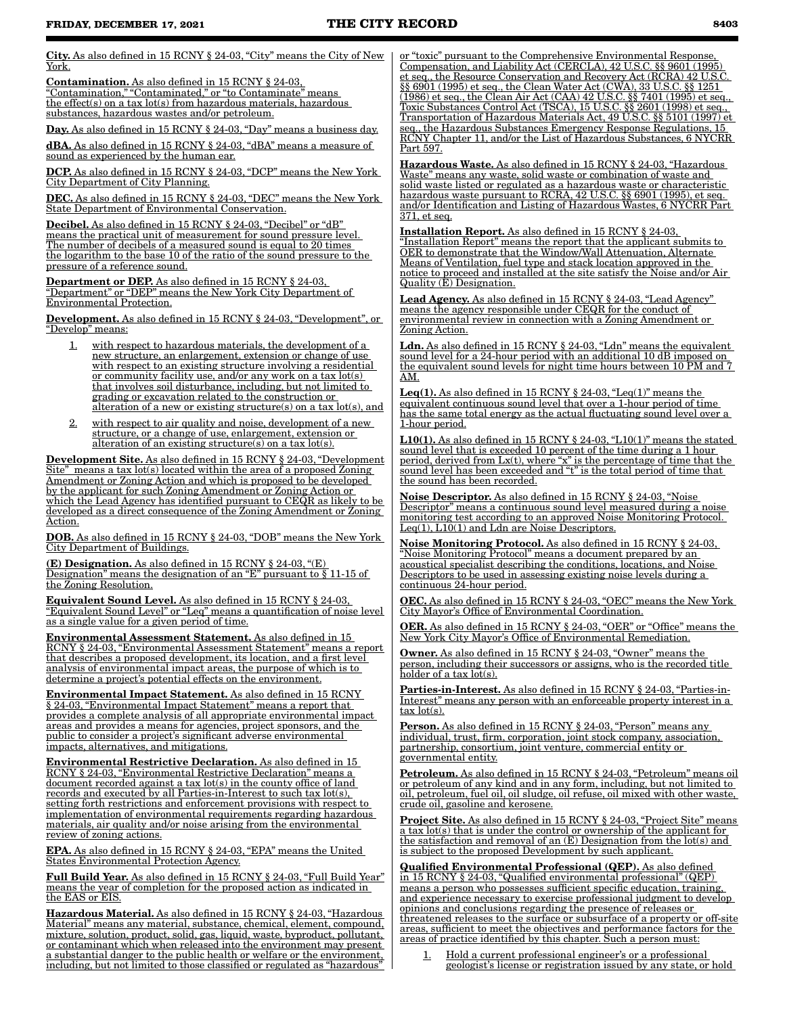City. As also defined in 15 RCNY § 24-03, "City" means the City of New York.

Contamination. As also defined in 15 RCNY § 24-03, "Contamination," "Contaminated," or "to Contaminate" means the effect(s) on a tax lot(s) from hazardous materials, hazardous substances, hazardous wastes and/or petroleum.

Day. As also defined in 15 RCNY § 24-03, "Day" means a business day.

dBA. As also defined in 15 RCNY § 24-03, "dBA" means a measure of sound as experienced by the human ear.

DCP. As also defined in 15 RCNY § 24-03, "DCP" means the New York City Department of City Planning.

DEC. As also defined in 15 RCNY § 24-03, "DEC" means the New York State Department of Environmental Conservation.

Decibel. As also defined in 15 RCNY § 24-03, "Decibel" or "dB" means the practical unit of measurement for sound pressure level. The number of decibels of a measured sound is equal to 20 times the logarithm to the base 10 of the ratio of the sound pressure to the pressure of a reference sound.

Department or DEP. As also defined in 15 RCNY § 24-03, "Department" or "DEP" means the New York City Department of Environmental Protection.

Development. As also defined in 15 RCNY § 24-03, "Development", or "Develop" means:

- with respect to hazardous materials, the development of a new structure, an enlargement, extension or change of use with respect to an existing structure involving a residential or community facility use, and/or any work on a tax lot(s) that involves soil disturbance, including, but not limited to grading or excavation related to the construction or alteration of a new or existing structure(s) on a tax lot(s), and
- 2. with respect to air quality and noise, development of a new structure, or a change of use, enlargement, extension or alteration of an existing structure(s) on a tax lot(s).

Development Site. As also defined in 15 RCNY § 24-03, "Development Site" means a tax lot(s) located within the area of a proposed Zoning Amendment or Zoning Action and which is proposed to be developed by the applicant for such Zoning Amendment or Zoning Action or which the Lead Agency has identified pursuant to CEQR as likely to be developed as a direct consequence of the Zoning Amendment or Zoning Action.

DOB. As also defined in 15 RCNY § 24-03, "DOB" means the New York City Department of Buildings.

(E) Designation. As also defined in 15 RCNY § 24-03, "(E) Designation" means the designation of an "E" pursuant to § 11-15 of the Zoning Resolution.

Equivalent Sound Level. As also defined in 15 RCNY § 24-03, "Equivalent Sound Level" or "Leq" means a quantification of noise level as a single value for a given period of time.

Environmental Assessment Statement. As also defined in 15 RCNY § 24-03, "Environmental Assessment Statement" means a report that describes a proposed development, its location, and a first level analysis of environmental impact areas, the purpose of which is to determine a project's potential effects on the environment.

Environmental Impact Statement. As also defined in 15 RCNY § 24-03, "Environmental Impact Statement" means a report that provides a complete analysis of all appropriate environmental impact areas and provides a means for agencies, project sponsors, and the public to consider a project's significant adverse environmental impacts, alternatives, and mitigations.

Environmental Restrictive Declaration. As also defined in 15 RCNY § 24-03, "Environmental Restrictive Declaration" means a document recorded against a tax lot(s) in the county office of land records and executed by all Parties-in-Interest to such tax lot(s), setting forth restrictions and enforcement provisions with respect to implementation of environmental requirements regarding hazardous materials, air quality and/or noise arising from the environmental review of zoning actions.

EPA. As also defined in 15 RCNY § 24-03, "EPA" means the United States Environmental Protection Agency.

Full Build Year. As also defined in 15 RCNY § 24-03, "Full Build Year" means the year of completion for the proposed action as indicated in the EAS or EIS.

Hazardous Material. As also defined in 15 RCNY § 24-03, "Hazardous Material" means any material, substance, chemical, element, compound, mixture, solution, product, solid, gas, liquid, waste, byproduct, pollutant, or contaminant which when released into the environment may present a substantial danger to the public health or welfare or the environment, including, but not limited to those classified or regulated as "hazardous"

or "toxic" pursuant to the Comprehensive Environmental Response, Compensation, and Liability Act (CERCLA), 42 U.S.C. §§ 9601 (1995) et seq., the Resource Conservation and Recovery Act (RCRA) 42 U.S.C. §§ 6901 (1995) et seq., the Clean Water Act (CWA), 33 U.S.C. §§ 1251 (1986) et seq., the Clean Air Act (CAA) 42 U.S.C. §§ 7401 (1995) et seq., Toxic Substances Control Act (TSCA), 15 U.S.C. §§ 2601 (1998) et seq., Transportation of Hazardous Materials Act, 49 U.S.C. §§ 5101 (1997) et seq., the Hazardous Substances Emergency Response Regulations, 15 RCNY Chapter 11, and/or the List of Hazardous Substances, 6 NYCRR Part 597.

Hazardous Waste. As also defined in 15 RCNY § 24-03, "Hazardous Waste" means any waste, solid waste or combination of waste and solid waste listed or regulated as a hazardous waste or characteristic hazardous waste pursuant to RCRA, 42 U.S.C. §§ 6901 (1995), et seq. and/or Identification and Listing of Hazardous Wastes, 6 NYCRR Part 371, et seq.

Installation Report. As also defined in 15 RCNY § 24-03, "Installation Report" means the report that the applicant submits to OER to demonstrate that the Window/Wall Attenuation, Alternate Means of Ventilation, fuel type and stack location approved in the notice to proceed and installed at the site satisfy the Noise and/or Air Quality (E) Designation.

Lead Agency. As also defined in 15 RCNY § 24-03, "Lead Agency" means the agency responsible under CEQR for the conduct of environmental review in connection with a Zoning Amendment or oning Action

Ldn. As also defined in 15 RCNY § 24-03, "Ldn" means the equivalent sound level for a 24-hour period with an additional 10 dB imposed on the equivalent sound levels for night time hours between 10 PM and 7 AM.

Leq(1). As also defined in 15 RCNY  $\S$  24-03, "Leq(1)" means the equivalent continuous sound level that over a 1-hour period of time has the same total energy as the actual fluctuating sound level over a 1-hour period.

L10(1). As also defined in 15 RCNY § 24-03, "L10(1)" means the stated sound level that is exceeded 10 percent of the time during a 1 hour period, derived from Lx(t), where "x" is the percentage of time that the sound level has been exceeded and "t" is the total period of time that the sound has been recorded.

Noise Descriptor. As also defined in 15 RCNY § 24-03, "Noise Descriptor" means a continuous sound level measured during a noise monitoring test according to an approved Noise Monitoring Protocol.  $Eq(1), L10(1)$  and Ldn are Noise Descriptors.

Noise Monitoring Protocol. As also defined in 15 RCNY § 24-03, "Noise Monitoring Protocol" means a document prepared by an acoustical specialist describing the conditions, locations, and Noise Descriptors to be used in assessing existing noise levels during a continuous 24-hour period.

OEC. As also defined in 15 RCNY § 24-03, "OEC" means the New York City Mayor's Office of Environmental Coordination.

OER. As also defined in 15 RCNY § 24-03, "OER" or "Office" means the New York City Mayor's Office of Environmental Remediation.

Owner. As also defined in 15 RCNY § 24-03, "Owner" means the person, including their successors or assigns, who is the recorded title holder of a tax lot(s).

Parties-in-Interest. As also defined in 15 RCNY § 24-03, "Parties-in-Interest" means any person with an enforceable property interest in a  $tax lot(s)$ .

Person. As also defined in 15 RCNY § 24-03, "Person" means any individual, trust, firm, corporation, joint stock company, association, partnership, consortium, joint venture, commercial entity or governmental entity.

Petroleum. As also defined in 15 RCNY § 24-03, "Petroleum" means oil or petroleum of any kind and in any form, including, but not limited to oil, petroleum, fuel oil, oil sludge, oil refuse, oil mixed with other waste, crude oil, gasoline and kerosene.

Project Site. As also defined in 15 RCNY § 24-03, "Project Site" means a tax lot(s) that is under the control or ownership of the applicant for the satisfaction and removal of an (E) Designation from the lot(s) and is subject to the proposed Development by such applicant.

Qualified Environmental Professional (QEP). As also defined in 15 RCNY § 24-03, "Qualified environmental professional" (QEP) means a person who possesses sufficient specific education, training, and experience necessary to exercise professional judgment to develop opinions and conclusions regarding the presence of releases or threatened releases to the surface or subsurface of a property or off-site areas, sufficient to meet the objectives and performance factors for the areas of practice identified by this chapter. Such a person must:

1. Hold a current professional engineer's or a professional geologist's license or registration issued by any state, or hold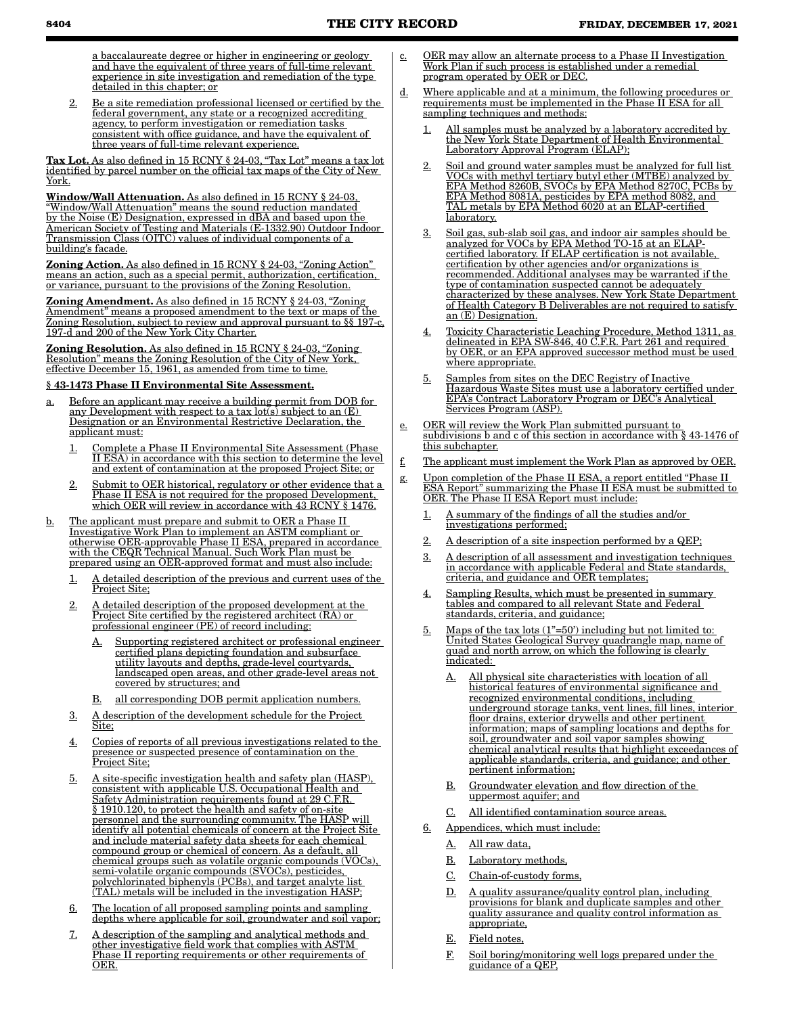a baccalaureate degree or higher in engineering or geology and have the equivalent of three years of full-time relevant experience in site investigation and remediation of the type detailed in this chapter; or

2. Be a site remediation professional licensed or certified by the federal government, any state or a recognized accrediting agency, to perform investigation or remediation tasks consistent with office guidance, and have the equivalent of three years of full-time relevant experience.

Tax Lot. As also defined in 15 RCNY § 24-03, "Tax Lot" means a tax lot identified by parcel number on the official tax maps of the City of New York.

Window/Wall Attenuation. As also defined in 15 RCNY § 24-03, "Window/Wall Attenuation" means the sound reduction mandated by the Noise (E) Designation, expressed in dBA and based upon the American Society of Testing and Materials (E-1332.90) Outdoor Indoor Transmission Class (OITC) values of individual components of a building's facade.

Zoning Action. As also defined in 15 RCNY § 24-03, "Zoning Action" means an action, such as a special permit, authorization, certification, or variance, pursuant to the provisions of the Zoning Resolution.

Zoning Amendment. As also defined in 15 RCNY § 24-03, "Zoning Amendment" means a proposed amendment to the text or maps of the Zoning Resolution, subject to review and approval pursuant to §§ 197-c, 197-d and 200 of the New York City Charter.

Zoning Resolution. As also defined in 15 RCNY § 24-03, "Zoning" Resolution" means the Zoning Resolution of the City of New York, effective December 15, 1961, as amended from time to time.

#### § 43-1473 Phase II Environmental Site Assessment.

- a. Before an applicant may receive a building permit from DOB for any Development with respect to a tax lot(s) subject to an (E) Designation or an Environmental Restrictive Declaration, the applicant must:
	- 1. Complete a Phase II Environmental Site Assessment (Phase II ESA) in accordance with this section to determine the level and extent of contamination at the proposed Project Site; or
	- 2. Submit to OER historical, regulatory or other evidence that a Phase II ESA is not required for the proposed Development, which OER will review in accordance with 43 RCNY § 1476.
- b. The applicant must prepare and submit to OER a Phase II Investigative Work Plan to implement an ASTM compliant or otherwise OER-approvable Phase II ESA, prepared in accordance with the CEQR Technical Manual. Such Work Plan must be prepared using an OER-approved format and must also include:
	- 1. A detailed description of the previous and current uses of the Project Site;
	- 2. A detailed description of the proposed development at the Project Site certified by the registered architect (RA) or professional engineer (PE) of record including:
		- A. Supporting registered architect or professional engineer certified plans depicting foundation and subsurface utility layouts and depths, grade-level courtyards, landscaped open areas, and other grade-level areas not covered by structures; and
		- all corresponding DOB permit application numbers.
	- 3. A description of the development schedule for the Project Site;
	- 4. Copies of reports of all previous investigations related to the presence or suspected presence of contamination on the Project Site;
	- 5. A site-specific investigation health and safety plan (HASP), consistent with applicable U.S. Occupational Health and Safety Administration requirements found at 29 C.F.R. § 1910.120, to protect the health and safety of on-site personnel and the surrounding community. The HASP will identify all potential chemicals of concern at the Project Site and include material safety data sheets for each chemical compound group or chemical of concern. As a default, all chemical groups such as volatile organic compounds (VOCs), semi-volatile organic compounds (SVOCs), pesticides, polychlorinated biphenyls (PCBs), and target analyte list (TAL) metals will be included in the investigation HASP;
	- 6. The location of all proposed sampling points and sampling depths where applicable for soil, groundwater and soil vapor;
	- 7. A description of the sampling and analytical methods and other investigative field work that complies with ASTM Phase II reporting requirements or other requirements of OER.
- c. OER may allow an alternate process to a Phase II Investigation Work Plan if such process is established under a remedial program operated by OER or DEC.
- d. Where applicable and at a minimum, the following procedures or requirements must be implemented in the Phase II ESA for all sampling techniques and methods:
	- 1. All samples must be analyzed by a laboratory accredited by the New York State Department of Health Environmental Laboratory Approval Program (ELAP);
	- 2. Soil and ground water samples must be analyzed for full list VOCs with methyl tertiary butyl ether (MTBE) analyzed by EPA Method 8260B, SVOCs by EPA Method 8270C, PCBs by EPA Method 8081A, pesticides by EPA method 8082, and TAL metals by EPA Method 6020 at an ELAP-certified laboratory.
	- 3. Soil gas, sub-slab soil gas, and indoor air samples should be analyzed for VOCs by EPA Method TO-15 at an ELAPcertified laboratory. If ELAP certification is not available, certification by other agencies and/or organizations is recommended. Additional analyses may be warranted if the type of contamination suspected cannot be adequately characterized by these analyses. New York State Department of Health Category B Deliverables are not required to satisfy  $\overline{a}$ n (E) Designation.
	- 4. Toxicity Characteristic Leaching Procedure, Method 1311, as delineated in EPA SW-846, 40 C.F.R. Part 261 and required by OER, or an EPA approved successor method must be used where appropriate.
	- 5. Samples from sites on the DEC Registry of Inactive Hazardous Waste Sites must use a laboratory certified under EPA's Contract Laboratory Program or DEC's Analytical Services Program (ASP).
- e. OER will review the Work Plan submitted pursuant to subdivisions b and c of this section in accordance with § 43-1476 of this subchapter.
- $f.$  The applicant must implement the Work Plan as approved by OER.
- g. Upon completion of the Phase II ESA, a report entitled "Phase II ESA Report" summarizing the Phase II ESA must be submitted to OER. The Phase II ESA Report must include:
	- 1. A summary of the findings of all the studies and/or investigations performed;
	- 2. A description of a site inspection performed by a QEP;
	- 3. A description of all assessment and investigation techniques in accordance with applicable Federal and State standards, criteria, and guidance and OER templates;
	- 4. Sampling Results, which must be presented in summary tables and compared to all relevant State and Federal standards, criteria, and guidance;
	- 5. Maps of the tax lots (1"=50') including but not limited to: United States Geological Survey quadrangle map, name of quad and north arrow, on which the following is clearly indicated:
		- A. All physical site characteristics with location of all historical features of environmental significance and recognized environmental conditions, including underground storage tanks, vent lines, fill lines, interior floor drains, exterior drywells and other pertinent information; maps of sampling locations and depths for soil, groundwater and soil vapor samples showing chemical analytical results that highlight exceedances of applicable standards, criteria, and guidance; and other pertinent information;
		- B. Groundwater elevation and flow direction of the uppermost aquifer; and
		- C. All identified contamination source areas.
	- Appendices, which must include:
		- A. All raw data,
		- B. Laboratory methods,
		- C. Chain-of-custody forms,
		- D. A quality assurance/quality control plan, including provisions for blank and duplicate samples and other quality assurance and quality control information as appropriate,
		- E. Field notes
		- F. Soil boring/monitoring well logs prepared under the guidance of a QEP,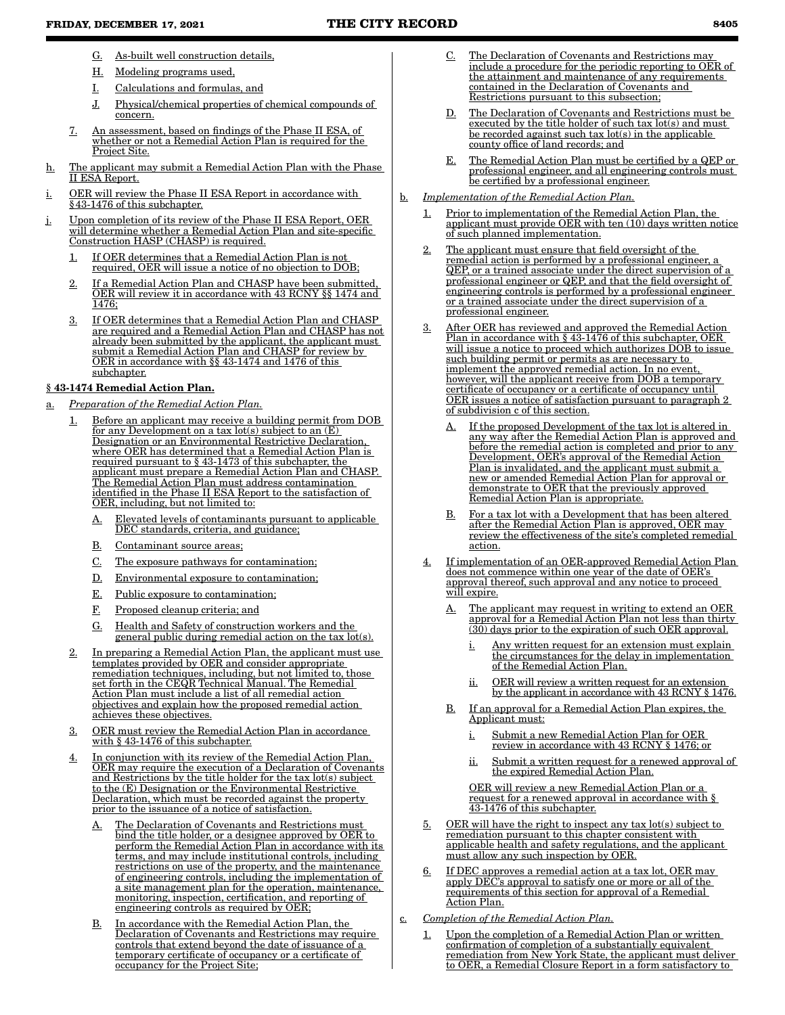- G. As-built well construction details,
- H. Modeling programs used,
- I. Calculations and formulas, and
- J. Physical/chemical properties of chemical compounds of concern.
- 7. An assessment, based on findings of the Phase II ESA, of whether or not a Remedial Action Plan is required for the Project Site.
- h. The applicant may submit a Remedial Action Plan with the Phase II ESA Report.
- i. OER will review the Phase II ESA Report in accordance with §43-1476 of this subchapter.
- j. Upon completion of its review of the Phase II ESA Report, OER will determine whether a Remedial Action Plan and site-specific Construction HASP (CHASP) is required.
	- 1. If OER determines that a Remedial Action Plan is not required, OER will issue a notice of no objection to DOB;
	- 2. If a Remedial Action Plan and CHASP have been submitted, OER will review it in accordance with 43 RCNY §§ 1474 and 1476;
	- 3. If OER determines that a Remedial Action Plan and CHASP are required and a Remedial Action Plan and CHASP has not already been submitted by the applicant, the applicant must submit a Remedial Action Plan and CHASP for review by OER in accordance with §§ 43-1474 and 1476 of this subchapter.

# § 43-1474 Remedial Action Plan.

- a. *Preparation of the Remedial Action Plan.*
	- 1. Before an applicant may receive a building permit from DOB for any Development on a tax lot(s) subject to an (E) Designation or an Environmental Restrictive Declaration, where OER has determined that a Remedial Action Plan is required pursuant to § 43-1473 of this subchapter, the applicant must prepare a Remedial Action Plan and CHASP. The Remedial Action Plan must address contamination identified in the Phase II ESA Report to the satisfaction of OER, including, but not limited to:
		- A. Elevated levels of contaminants pursuant to applicable DEC standards, criteria, and guidance;
		- B. Contaminant source areas;
		- C. The exposure pathways for contamination;
		- D. Environmental exposure to contamination;
		- E. Public exposure to contamination;
		- F. Proposed cleanup criteria; and
		- G. Health and Safety of construction workers and the general public during remedial action on the tax lot(s).
	- In preparing a Remedial Action Plan, the applicant must use templates provided by OER and consider appropriate remediation techniques, including, but not limited to, those set forth in the CEQR Technical Manual. The Remedial Action Plan must include a list of all remedial action objectives and explain how the proposed remedial action achieves these objectives.
	- 3. OER must review the Remedial Action Plan in accordance with § 43-1476 of this subchapter.
	- 4. In conjunction with its review of the Remedial Action Plan, OER may require the execution of a Declaration of Covenants and Restrictions by the title holder for the tax lot(s) subject to the (E) Designation or the Environmental Restrictive Declaration, which must be recorded against the property prior to the issuance of a notice of satisfaction.
		- A. The Declaration of Covenants and Restrictions must bind the title holder, or a designee approved by OER to perform the Remedial Action Plan in accordance with its terms, and may include institutional controls, including restrictions on use of the property, and the maintenance of engineering controls, including the implementation of a site management plan for the operation, maintenance, monitoring, inspection, certification, and reporting of engineering controls as required by OER;
		- B. In accordance with the Remedial Action Plan, the Declaration of Covenants and Restrictions may require controls that extend beyond the date of issuance of a temporary certificate of occupancy or a certificate of occupancy for the Project Site;
- The Declaration of Covenants and Restrictions may include a procedure for the periodic reporting to OER of the attainment and maintenance of any requirements contained in the Declaration of Covenants and Restrictions pursuant to this subsection;
- D. The Declaration of Covenants and Restrictions must be executed by the title holder of such tax lot(s) and must be recorded against such tax lot(s) in the applicable county office of land records; and
- E. The Remedial Action Plan must be certified by a QEP or professional engineer, and all engineering controls must be certified by a professional engineer.
- b. *Implementation of the Remedial Action Plan.*
	- 1. Prior to implementation of the Remedial Action Plan, the applicant must provide OER with ten (10) days written notice of such planned implementation.
	- 2. The applicant must ensure that field oversight of the remedial action is performed by a professional engineer, a QEP, or a trained associate under the direct supervision of a professional engineer or QEP, and that the field oversight of engineering controls is performed by a professional engineer or a trained associate under the direct supervision of a professional engineer.
	- 3. After OER has reviewed and approved the Remedial Action Plan in accordance with § 43-1476 of this subchapter, OER will issue a notice to proceed which authorizes DOB to issue such building permit or permits as are necessary to implement the approved remedial action. In no event, however, will the applicant receive from DOB a temporary certificate of occupancy or a certificate of occupancy until OER issues a notice of satisfaction pursuant to paragraph 2 of subdivision c of this section.
		- A. If the proposed Development of the tax lot is altered in any way after the Remedial Action Plan is approved and before the remedial action is completed and prior to any Development, OER's approval of the Remedial Action Plan is invalidated, and the applicant must submit a new or amended Remedial Action Plan for approval or demonstrate to OER that the previously approved Remedial Action Plan is appropriate.
		- B. For a tax lot with a Development that has been altered after the Remedial Action Plan is approved, OER may review the effectiveness of the site's completed remedial action.
	- 4. If implementation of an OER-approved Remedial Action Plan does not commence within one year of the date of OER's approval thereof, such approval and any notice to proceed will expire.
		- A. The applicant may request in writing to extend an OER approval for a Remedial Action Plan not less than thirty (30) days prior to the expiration of such OER approval.
			- i. Any written request for an extension must explain the circumstances for the delay in implementation of the Remedial Action Plan.
			- ii. OER will review a written request for an extension by the applicant in accordance with 43 RCNY § 1476.
		- B. If an approval for a Remedial Action Plan expires, the Applicant must:
			- i. Submit a new Remedial Action Plan for OER review in accordance with 43 RCNY § 1476; or
			- ii. Submit a written request for a renewed approval of the expired Remedial Action Plan.

OER will review a new Remedial Action Plan or a request for a renewed approval in accordance with § 43-1476 of this subchapter.

- 5. OER will have the right to inspect any tax  $\text{lot}(s)$  subject to remediation pursuant to this chapter consistent with applicable health and safety regulations, and the applicant must allow any such inspection by OER.
- 6. If DEC approves a remedial action at a tax lot, OER may apply DEC's approval to satisfy one or more or all of the requirements of this section for approval of a Remedial Action Plan.
- c. *Completion of the Remedial Action Plan.*
	- 1. Upon the completion of a Remedial Action Plan or written confirmation of completion of a substantially equivalent remediation from New York State, the applicant must deliver to OER, a Remedial Closure Report in a form satisfactory to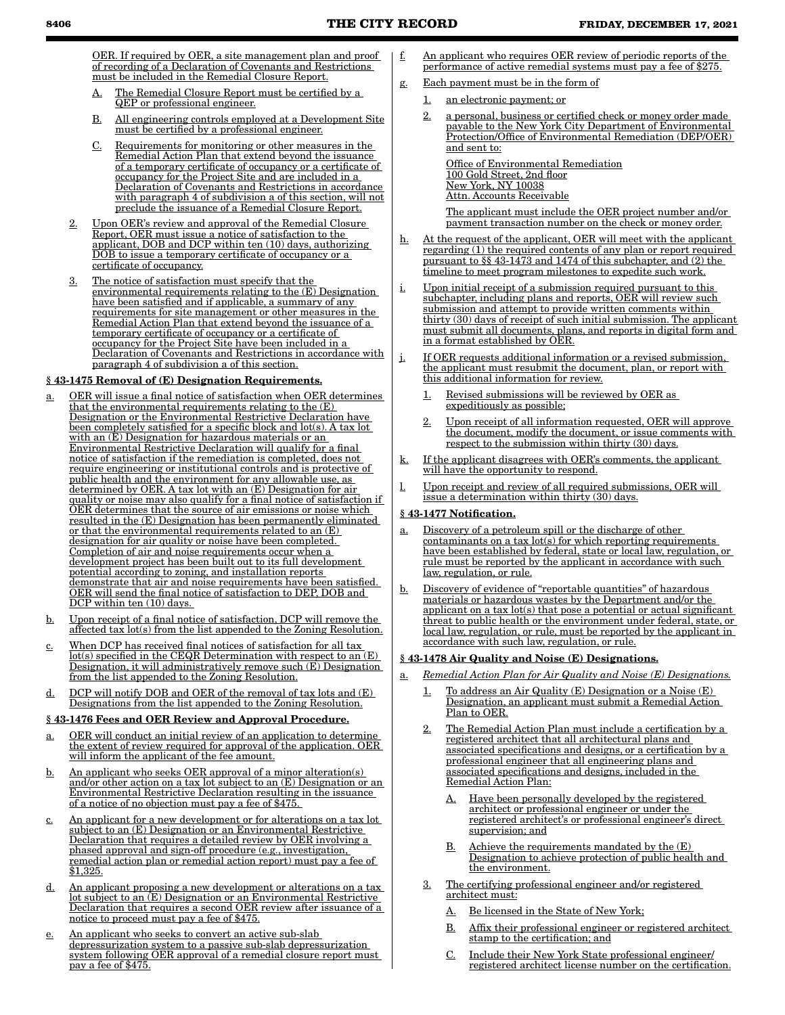OER. If required by OER, a site management plan and proof of recording of a Declaration of Covenants and Restrictions must be included in the Remedial Closure Report.

- The Remedial Closure Report must be certified by a QEP or professional engineer.
- B. All engineering controls employed at a Development Site must be certified by a professional engineer.
- C. Requirements for monitoring or other measures in the Remedial Action Plan that extend beyond the issuance of a temporary certificate of occupancy or a certificate of occupancy for the Project Site and are included in a Declaration of Covenants and Restrictions in accordance with paragraph 4 of subdivision a of this section, will not preclude the issuance of a Remedial Closure Report.
- 2. Upon OER's review and approval of the Remedial Closure Report, OER must issue a notice of satisfaction to the applicant, DOB and DCP within ten (10) days, authorizing DOB to issue a temporary certificate of occupancy or a certificate of occupancy.
- 3. The notice of satisfaction must specify that the environmental requirements relating to the (E) Designation have been satisfied and if applicable, a summary of any requirements for site management or other measures in the Remedial Action Plan that extend beyond the issuance of a temporary certificate of occupancy or a certificate of occupancy for the Project Site have been included in a Declaration of Covenants and Restrictions in accordance with paragraph 4 of subdivision a of this section.

# § 43-1475 Removal of (E) Designation Requirements.

- a. OER will issue a final notice of satisfaction when OER determines that the environmental requirements relating to the (E) Designation or the Environmental Restrictive Declaration have been completely satisfied for a specific block and lot(s). A tax lot with an (E) Designation for hazardous materials or an Environmental Restrictive Declaration will qualify for a final notice of satisfaction if the remediation is completed, does not require engineering or institutional controls and is protective of public health and the environment for any allowable use, as determined by OER. A tax lot with an (E) Designation for air quality or noise may also qualify for a final notice of satisfaction if OER determines that the source of air emissions or noise which resulted in the (E) Designation has been permanently eliminated or that the environmental requirements related to an (E) designation for air quality or noise have been completed. Completion of air and noise requirements occur when a development project has been built out to its full development potential according to zoning, and installation reports demonstrate that air and noise requirements have been satisfied. OER will send the final notice of satisfaction to DEP, DOB and DCP within ten (10) days.
- b. Upon receipt of a final notice of satisfaction, DCP will remove the affected tax lot(s) from the list appended to the Zoning Resolution.
- c. When DCP has received final notices of satisfaction for all tax lot(s) specified in the CEQR Determination with respect to an (E) Designation, it will administratively remove such (E) Designation from the list appended to the Zoning Resolution.
- d. DCP will notify DOB and OER of the removal of tax lots and (E) Designations from the list appended to the Zoning Resolution.

### § 43-1476 Fees and OER Review and Approval Procedure.

- a. OER will conduct an initial review of an application to determine the extent of review required for approval of the application. OER will inform the applicant of the fee amount.
- b. An applicant who seeks OER approval of a minor alteration(s) and/or other action on a tax lot subject to an (E) Designation or an Environmental Restrictive Declaration resulting in the issuance of a notice of no objection must pay a fee of \$475.
- c. An applicant for a new development or for alterations on a tax lot subject to an (E) Designation or an Environmental Restrictive Declaration that requires a detailed review by OER involving a phased approval and sign-off procedure (e.g., investigation, remedial action plan or remedial action report) must pay a fee of \$1,325.
- d. An applicant proposing a new development or alterations on a tax lot subject to an (E) Designation or an Environmental Restrictive Declaration that requires a second OER review after issuance of a notice to proceed must pay a fee of \$475.
- e. An applicant who seeks to convert an active sub-slab depressurization system to a passive sub-slab depressurization system following OER approval of a remedial closure report must pay a fee of \$475.

f. An applicant who requires OER review of periodic reports of the performance of active remedial systems must pay a fee of \$275.

# g. Each payment must be in the form of

- 1. an electronic payment; or
- 2. a personal, business or certified check or money order made payable to the New York City Department of Environmental Protection/Office of Environmental Remediation (DEP/OER) and sent to:

Office of Environmental Remediation 100 Gold Street, 2nd floor New York, NY 10038 Attn. Accounts Receivable

The applicant must include the OER project number and/or payment transaction number on the check or money order.

- h. At the request of the applicant, OER will meet with the applicant regarding (1) the required contents of any plan or report required pursuant to §§ 43-1473 and 1474 of this subchapter, and (2) the timeline to meet program milestones to expedite such work.
- i. Upon initial receipt of a submission required pursuant to this subchapter, including plans and reports, OER will review such submission and attempt to provide written comments within thirty (30) days of receipt of such initial submission. The applicant must submit all documents, plans, and reports in digital form and in a format established by OER.
- j. If OER requests additional information or a revised submission, the applicant must resubmit the document, plan, or report with this additional information for review.
	- 1. Revised submissions will be reviewed by OER as expeditiously as possible;
	- 2. Upon receipt of all information requested, OER will approve the document, modify the document, or issue comments with respect to the submission within thirty (30) days.
- k. If the applicant disagrees with OER's comments, the applicant will have the opportunity to respond.
- Upon receipt and review of all required submissions, OER will issue a determination within thirty (30) days.

#### § 43-1477 Notification.

- a. Discovery of a petroleum spill or the discharge of other  $contaminants$  on a tax  $lot(s)$  for which reporting requirements have been established by federal, state or local law, regulation, or rule must be reported by the applicant in accordance with such law, regulation, or rule.
- b. Discovery of evidence of "reportable quantities" of hazardous materials or hazardous wastes by the Department and/or the applicant on a tax lot(s) that pose a potential or actual significant threat to public health or the environment under federal, state, or local law, regulation, or rule, must be reported by the applicant in accordance with such law, regulation, or rule.

#### § 43-1478 Air Quality and Noise (E) Designations.

- a. *Remedial Action Plan for Air Quality and Noise (E) Designations.*
	- 1. To address an Air Quality (E) Designation or a Noise (E) Designation, an applicant must submit a Remedial Action Plan to OER.
	- 2. The Remedial Action Plan must include a certification by a registered architect that all architectural plans and associated specifications and designs, or a certification by a professional engineer that all engineering plans and associated specifications and designs, included in the Remedial Action Plan:
		- A. Have been personally developed by the registered architect or professional engineer or under the registered architect's or professional engineer's direct supervision; and
		- B. Achieve the requirements mandated by the (E) Designation to achieve protection of public health and the environment.
	- 3. The certifying professional engineer and/or registered architect must:
		- A. Be licensed in the State of New York;
		- B. Affix their professional engineer or registered architect stamp to the certification; and
		- C. Include their New York State professional engineer/ registered architect license number on the certification.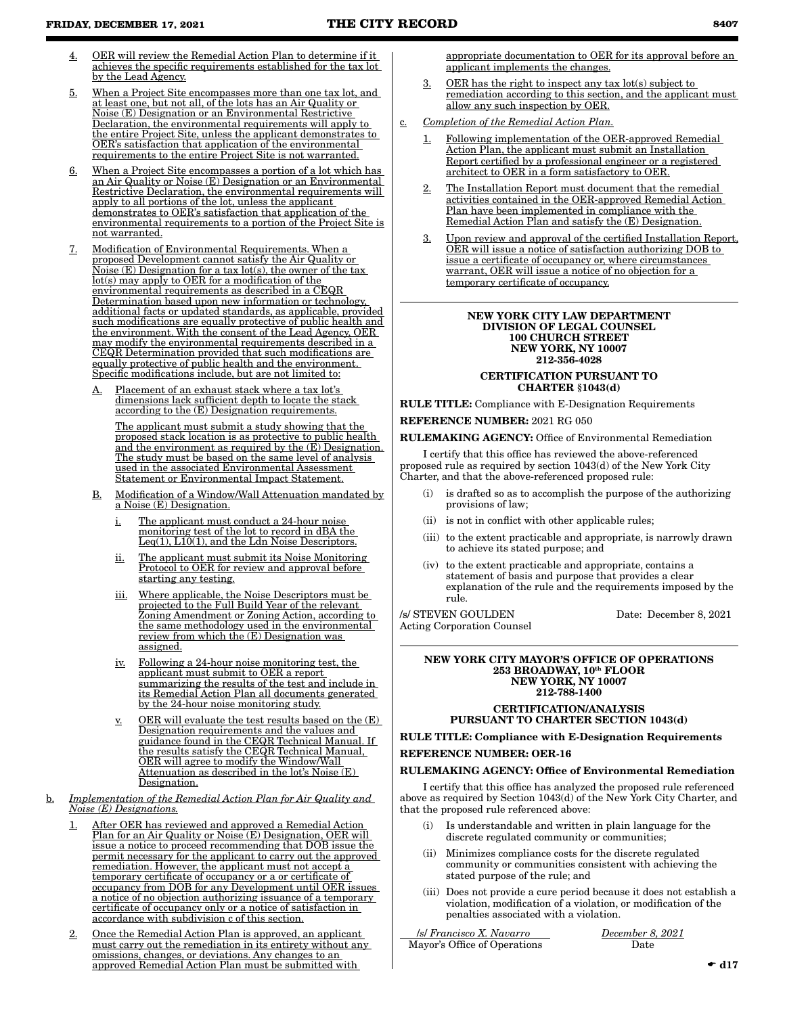- 4. OER will review the Remedial Action Plan to determine if it achieves the specific requirements established for the tax lot by the Lead Agency.
- 5. When a Project Site encompasses more than one tax lot, and at least one, but not all, of the lots has an Air Quality or Noise (E) Designation or an Environmental Restrictive Declaration, the environmental requirements will apply to the entire Project Site, unless the applicant demonstrates to OER's satisfaction that application of the environmental requirements to the entire Project Site is not warranted.
- 6. When a Project Site encompasses a portion of a lot which has an Air Quality or Noise (E) Designation or an Environmental Restrictive Declaration, the environmental requirements will apply to all portions of the lot, unless the applicant demonstrates to OER's satisfaction that application of the environmental requirements to a portion of the Project Site is not warranted.
- 7. Modification of Environmental Requirements. When a proposed Development cannot satisfy the Air Quality or Noise (E) Designation for a tax lot(s), the owner of the tax lot(s) may apply to OER for a modification of the environmental requirements as described in a CEQR Determination based upon new information or technology, additional facts or updated standards, as applicable, provided such modifications are equally protective of public health and the environment. With the consent of the Lead Agency, OER may modify the environmental requirements described in a CEQR Determination provided that such modifications are equally protective of public health and the environment. Specific modifications include, but are not limited to:
	- Placement of an exhaust stack where a tax lot's dimensions lack sufficient depth to locate the stack according to the (E) Designation requirements.

The applicant must submit a study showing that the proposed stack location is as protective to public health and the environment as required by the (E) Designation. The study must be based on the same level of analysis used in the associated Environmental Assessment Statement or Environmental Impact Statement.

- B. Modification of a Window/Wall Attenuation mandated by a Noise (E) Designation.
	- i. The applicant must conduct a 24-hour noise monitoring test of the lot to record in dBA the Leq(1), L10(1), and the Ldn Noise Descriptors.
	- ii. The applicant must submit its Noise Monitoring Protocol to OER for review and approval before starting any testing.
	- iii. Where applicable, the Noise Descriptors must be projected to the Full Build Year of the relevant Zoning Amendment or Zoning Action, according to the same methodology used in the environmental review from which the (E) Designation was assigned.
	- iv. Following a 24-hour noise monitoring test, the applicant must submit to OER a report summarizing the results of the test and include in its Remedial Action Plan all documents generated by the 24-hour noise monitoring study.
	- $\underline{v}$ . OER will evaluate the test results based on the  $(E)$ Designation requirements and the values and guidance found in the CEQR Technical Manual. If the results satisfy the CEQR Technical Manual, OER will agree to modify the Window/Wall Attenuation as described in the lot's Noise  $(E)$ Designation.
- b. *Implementation of the Remedial Action Plan for Air Quality and Noise (E) Designations.*
	- 1. After OER has reviewed and approved a Remedial Action Plan for an Air Quality or Noise (E) Designation, OER will issue a notice to proceed recommending that DOB issue the permit necessary for the applicant to carry out the approved remediation. However, the applicant must not accept a temporary certificate of occupancy or a or certificate of occupancy from DOB for any Development until OER issues a notice of no objection authorizing issuance of a temporary certificate of occupancy only or a notice of satisfaction in accordance with subdivision c of this section.
	- 2. Once the Remedial Action Plan is approved, an applicant must carry out the remediation in its entirety without any omissions, changes, or deviations. Any changes to an approved Remedial Action Plan must be submitted with

appropriate documentation to OER for its approval before an applicant implements the changes.

- 3. OER has the right to inspect any tax  $\text{lot}(s)$  subject to remediation according to this section, and the applicant must allow any such inspection by OER.
- c. *Completion of the Remedial Action Plan.*
	- 1. Following implementation of the OER-approved Remedial Action Plan, the applicant must submit an Installation Report certified by a professional engineer or a registered architect to OER in a form satisfactory to OER.
	- The Installation Report must document that the remedial activities contained in the OER-approved Remedial Action Plan have been implemented in compliance with the Remedial Action Plan and satisfy the (E) Designation.
	- 3. Upon review and approval of the certified Installation Report, OER will issue a notice of satisfaction authorizing DOB to issue a certificate of occupancy or, where circumstances warrant, OER will issue a notice of no objection for a temporary certificate of occupancy.

#### NEW YORK CITY LAW DEPARTMENT DIVISION OF LEGAL COUNSEL 100 CHURCH STREET NEW YORK, NY 10007 212-356-4028

### CERTIFICATION PURSUANT TO CHARTER §1043(d)

RULE TITLE: Compliance with E-Designation Requirements

REFERENCE NUMBER: 2021 RG 050

RULEMAKING AGENCY: Office of Environmental Remediation

I certify that this office has reviewed the above-referenced proposed rule as required by section 1043(d) of the New York City Charter, and that the above-referenced proposed rule:

- is drafted so as to accomplish the purpose of the authorizing provisions of law;
- (ii) is not in conflict with other applicable rules;
- (iii) to the extent practicable and appropriate, is narrowly drawn to achieve its stated purpose; and
- (iv) to the extent practicable and appropriate, contains a statement of basis and purpose that provides a clear explanation of the rule and the requirements imposed by the rule.

/s/ STEVEN GOULDEN Date: December 8, 2021 Acting Corporation Counsel

NEW YORK CITY MAYOR'S OFFICE OF OPERATIONS 253 BROADWAY, 10th FLOOR NEW YORK, NY 10007 212-788-1400

## CERTIFICATION/ANALYSIS PURSUANT TO CHARTER SECTION 1043(d)

RULE TITLE: Compliance with E-Designation Requirements REFERENCE NUMBER: OER-16

#### RULEMAKING AGENCY: Office of Environmental Remediation

I certify that this office has analyzed the proposed rule referenced above as required by Section 1043(d) of the New York City Charter, and that the proposed rule referenced above:

- (i) Is understandable and written in plain language for the discrete regulated community or communities;
- (ii) Minimizes compliance costs for the discrete regulated community or communities consistent with achieving the stated purpose of the rule; and
- (iii) Does not provide a cure period because it does not establish a violation, modification of a violation, or modification of the penalties associated with a violation.

/*s*/ *Francisco X. Navarro December 8, 2021* Mayor's Office of Operations Date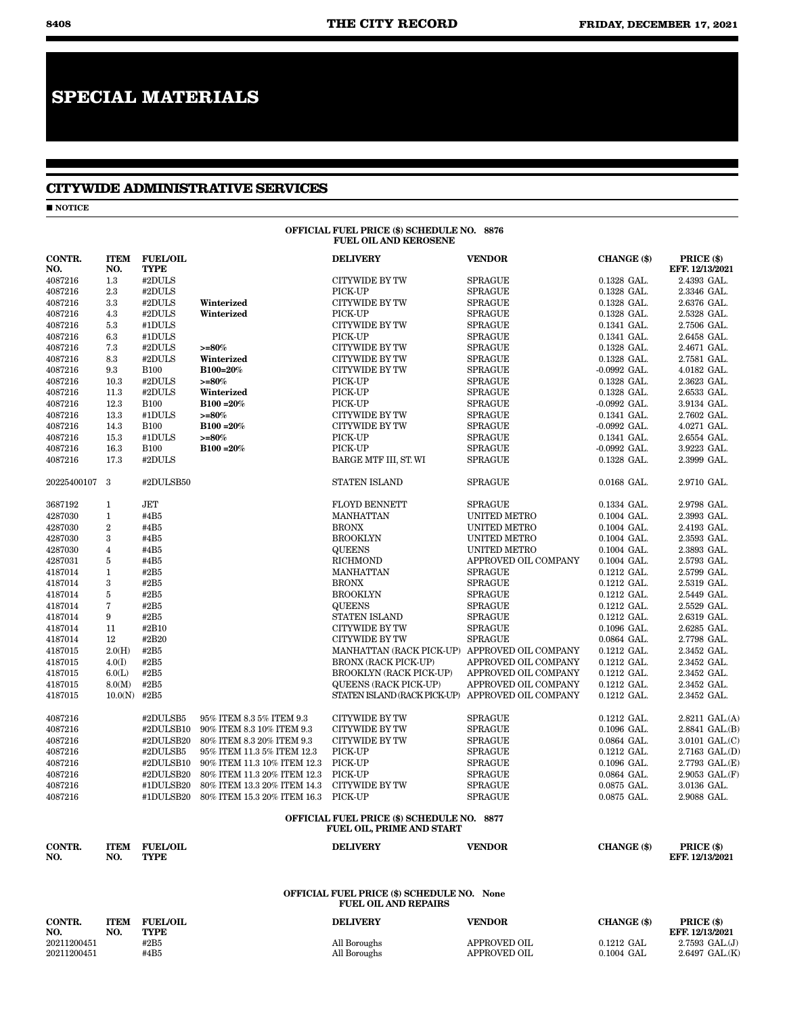# **SPECIAL MATERIALS**

# **CITYWIDE ADMINISTRATIVE SERVICES**

 $\blacksquare$  NOTICE

#### OFFICIAL FUEL PRICE (\$) SCHEDULE NO. 8876 FUEL OIL AND KEROSENE

| 4087216<br>4087216<br>4087216<br>4087216<br>4087216<br>4087216<br>4087216<br>4087216<br>4087216<br>4087216<br>4087216<br>4087216<br>4087216<br>4087216<br>4087216<br>4087216<br>16.3 | 1.3<br>2.3<br>3.3<br>4.3<br>5.3<br>6.3<br>7.3<br>8.3<br>9.3<br>10.3<br>11.3<br>12.3<br>13.3<br>14.3<br>15.3 | #2DULS<br>#2DULS<br>#2DULS<br>#2DULS<br>#1DULS<br>#1DULS<br>#2DULS<br>#2DULS<br><b>B100</b><br>#2DULS<br>#2DULS<br><b>B100</b><br>#1DULS<br><b>B100</b> | Winterized<br>Winterized<br>$>= 80\%$<br>Winterized<br>B100=20%<br>$>= 80\%$<br>Winterized<br>B100 = 20% | <b>CITYWIDE BY TW</b><br>PICK-UP<br><b>CITYWIDE BY TW</b><br>PICK-UP<br><b>CITYWIDE BY TW</b><br>PICK-UP<br>CITYWIDE BY TW<br><b>CITYWIDE BY TW</b><br><b>CITYWIDE BY TW</b><br>PICK-UP | <b>SPRAGUE</b><br><b>SPRAGUE</b><br><b>SPRAGUE</b><br><b>SPRAGUE</b><br><b>SPRAGUE</b><br><b>SPRAGUE</b><br><b>SPRAGUE</b><br><b>SPRAGUE</b><br><b>SPRAGUE</b> | 0.1328 GAL.<br>0.1328 GAL.<br>0.1328 GAL.<br>0.1328 GAL.<br>0.1341 GAL.<br>0.1341 GAL.<br>0.1328 GAL.<br>0.1328 GAL.<br>$-0.0992$ GAL. | 2.4393 GAL.<br>2.3346 GAL.<br>2.6376 GAL.<br>2.5328 GAL.<br>2.7506 GAL.<br>2.6458 GAL.<br>2.4671 GAL.<br>2.7581 GAL. |
|--------------------------------------------------------------------------------------------------------------------------------------------------------------------------------------|-------------------------------------------------------------------------------------------------------------|---------------------------------------------------------------------------------------------------------------------------------------------------------|----------------------------------------------------------------------------------------------------------|-----------------------------------------------------------------------------------------------------------------------------------------------------------------------------------------|----------------------------------------------------------------------------------------------------------------------------------------------------------------|----------------------------------------------------------------------------------------------------------------------------------------|----------------------------------------------------------------------------------------------------------------------|
|                                                                                                                                                                                      |                                                                                                             |                                                                                                                                                         |                                                                                                          |                                                                                                                                                                                         |                                                                                                                                                                |                                                                                                                                        |                                                                                                                      |
|                                                                                                                                                                                      |                                                                                                             |                                                                                                                                                         |                                                                                                          |                                                                                                                                                                                         |                                                                                                                                                                |                                                                                                                                        |                                                                                                                      |
|                                                                                                                                                                                      |                                                                                                             |                                                                                                                                                         |                                                                                                          |                                                                                                                                                                                         |                                                                                                                                                                |                                                                                                                                        |                                                                                                                      |
|                                                                                                                                                                                      |                                                                                                             |                                                                                                                                                         |                                                                                                          |                                                                                                                                                                                         |                                                                                                                                                                |                                                                                                                                        |                                                                                                                      |
|                                                                                                                                                                                      |                                                                                                             |                                                                                                                                                         |                                                                                                          |                                                                                                                                                                                         |                                                                                                                                                                |                                                                                                                                        |                                                                                                                      |
|                                                                                                                                                                                      |                                                                                                             |                                                                                                                                                         |                                                                                                          |                                                                                                                                                                                         |                                                                                                                                                                |                                                                                                                                        |                                                                                                                      |
|                                                                                                                                                                                      |                                                                                                             |                                                                                                                                                         |                                                                                                          |                                                                                                                                                                                         |                                                                                                                                                                |                                                                                                                                        |                                                                                                                      |
|                                                                                                                                                                                      |                                                                                                             |                                                                                                                                                         |                                                                                                          |                                                                                                                                                                                         |                                                                                                                                                                |                                                                                                                                        |                                                                                                                      |
|                                                                                                                                                                                      |                                                                                                             |                                                                                                                                                         |                                                                                                          |                                                                                                                                                                                         |                                                                                                                                                                |                                                                                                                                        | 4.0182 GAL.                                                                                                          |
|                                                                                                                                                                                      |                                                                                                             |                                                                                                                                                         |                                                                                                          |                                                                                                                                                                                         | <b>SPRAGUE</b>                                                                                                                                                 | 0.1328 GAL.                                                                                                                            | 2.3623 GAL.                                                                                                          |
|                                                                                                                                                                                      |                                                                                                             |                                                                                                                                                         |                                                                                                          | PICK-UP                                                                                                                                                                                 | <b>SPRAGUE</b>                                                                                                                                                 | 0.1328 GAL.                                                                                                                            | 2.6533 GAL.                                                                                                          |
|                                                                                                                                                                                      |                                                                                                             |                                                                                                                                                         |                                                                                                          | PICK-UP                                                                                                                                                                                 | <b>SPRAGUE</b>                                                                                                                                                 | $-0.0992$ GAL.                                                                                                                         | 3.9134 GAL.                                                                                                          |
|                                                                                                                                                                                      |                                                                                                             |                                                                                                                                                         | $>= 80%$                                                                                                 | <b>CITYWIDE BY TW</b>                                                                                                                                                                   | <b>SPRAGUE</b>                                                                                                                                                 | 0.1341 GAL.                                                                                                                            | 2.7602 GAL.                                                                                                          |
|                                                                                                                                                                                      |                                                                                                             |                                                                                                                                                         | B100 = 20%                                                                                               | <b>CITYWIDE BY TW</b>                                                                                                                                                                   | <b>SPRAGUE</b>                                                                                                                                                 | -0.0992 GAL.                                                                                                                           | 4.0271 GAL.                                                                                                          |
|                                                                                                                                                                                      |                                                                                                             | #1DULS                                                                                                                                                  | $>= 80\%$                                                                                                | PICK-UP                                                                                                                                                                                 | <b>SPRAGUE</b>                                                                                                                                                 | 0.1341 GAL.                                                                                                                            | 2.6554 GAL.                                                                                                          |
|                                                                                                                                                                                      |                                                                                                             | <b>B100</b>                                                                                                                                             | $B100 = 20%$                                                                                             | PICK-UP                                                                                                                                                                                 | <b>SPRAGUE</b>                                                                                                                                                 | $-0.0992$ GAL.                                                                                                                         | 3.9223 GAL.                                                                                                          |
| 4087216                                                                                                                                                                              | 17.3                                                                                                        | #2DULS                                                                                                                                                  |                                                                                                          | BARGE MTF III, ST. WI                                                                                                                                                                   | <b>SPRAGUE</b>                                                                                                                                                 | 0.1328 GAL.                                                                                                                            | 2.3999 GAL.                                                                                                          |
| 20225400107 3                                                                                                                                                                        |                                                                                                             | #2DULSB50                                                                                                                                               |                                                                                                          | <b>STATEN ISLAND</b>                                                                                                                                                                    | <b>SPRAGUE</b>                                                                                                                                                 | 0.0168 GAL.                                                                                                                            | 2.9710 GAL.                                                                                                          |
| 3687192<br>$\mathbf{1}$                                                                                                                                                              |                                                                                                             | JET                                                                                                                                                     |                                                                                                          | <b>FLOYD BENNETT</b>                                                                                                                                                                    | <b>SPRAGUE</b>                                                                                                                                                 | 0.1334 GAL.                                                                                                                            | 2.9798 GAL.                                                                                                          |
| $\mathbf{1}$<br>4287030                                                                                                                                                              |                                                                                                             | #4B5                                                                                                                                                    |                                                                                                          | MANHATTAN                                                                                                                                                                               | <b>UNITED METRO</b>                                                                                                                                            | 0.1004 GAL.                                                                                                                            | 2.3993 GAL.                                                                                                          |
| $\,2$<br>4287030                                                                                                                                                                     |                                                                                                             | #4B5                                                                                                                                                    |                                                                                                          | <b>BRONX</b>                                                                                                                                                                            | <b>UNITED METRO</b>                                                                                                                                            | 0.1004 GAL.                                                                                                                            | 2.4193 GAL.                                                                                                          |
| 4287030<br>3                                                                                                                                                                         |                                                                                                             | #4B5                                                                                                                                                    |                                                                                                          | <b>BROOKLYN</b>                                                                                                                                                                         | <b>UNITED METRO</b>                                                                                                                                            | 0.1004 GAL.                                                                                                                            | 2.3593 GAL.                                                                                                          |
| 4287030<br>$\overline{4}$                                                                                                                                                            |                                                                                                             | #4B5                                                                                                                                                    |                                                                                                          | <b>QUEENS</b>                                                                                                                                                                           | <b>UNITED METRO</b>                                                                                                                                            | 0.1004 GAL.                                                                                                                            | 2.3893 GAL.                                                                                                          |
| 4287031<br>5                                                                                                                                                                         |                                                                                                             | #4B5                                                                                                                                                    |                                                                                                          | <b>RICHMOND</b>                                                                                                                                                                         | APPROVED OIL COMPANY                                                                                                                                           | 0.1004 GAL.                                                                                                                            | 2.5793 GAL.                                                                                                          |
| 4187014<br>$\mathbf{1}$                                                                                                                                                              |                                                                                                             | #2B5                                                                                                                                                    |                                                                                                          | <b>MANHATTAN</b>                                                                                                                                                                        | <b>SPRAGUE</b>                                                                                                                                                 | 0.1212 GAL.                                                                                                                            | 2.5799 GAL.                                                                                                          |
| 4187014<br>$\boldsymbol{3}$                                                                                                                                                          |                                                                                                             | #2B5                                                                                                                                                    |                                                                                                          | <b>BRONX</b>                                                                                                                                                                            | <b>SPRAGUE</b>                                                                                                                                                 | 0.1212 GAL.                                                                                                                            | 2.5319 GAL.                                                                                                          |
| 4187014<br>5                                                                                                                                                                         |                                                                                                             | #2B5                                                                                                                                                    |                                                                                                          | <b>BROOKLYN</b>                                                                                                                                                                         | <b>SPRAGUE</b>                                                                                                                                                 | $0.1212$ GAL.                                                                                                                          | 2.5449 GAL.                                                                                                          |
| $\scriptstyle{7}$<br>4187014                                                                                                                                                         |                                                                                                             | #2B5                                                                                                                                                    |                                                                                                          | <b>QUEENS</b>                                                                                                                                                                           | <b>SPRAGUE</b>                                                                                                                                                 | 0.1212 GAL.                                                                                                                            | 2.5529 GAL.                                                                                                          |
| 4187014<br>9                                                                                                                                                                         |                                                                                                             | #2B5                                                                                                                                                    |                                                                                                          | <b>STATEN ISLAND</b>                                                                                                                                                                    | <b>SPRAGUE</b>                                                                                                                                                 | 0.1212 GAL.                                                                                                                            | 2.6319 GAL.                                                                                                          |
| 4187014<br>11                                                                                                                                                                        |                                                                                                             | #2B10                                                                                                                                                   |                                                                                                          | <b>CITYWIDE BY TW</b>                                                                                                                                                                   | <b>SPRAGUE</b>                                                                                                                                                 | 0.1096 GAL.                                                                                                                            | 2.6285 GAL.                                                                                                          |
| 4187014<br>12                                                                                                                                                                        |                                                                                                             | #2B20                                                                                                                                                   |                                                                                                          | <b>CITYWIDE BY TW</b>                                                                                                                                                                   | <b>SPRAGUE</b>                                                                                                                                                 | 0.0864 GAL.                                                                                                                            | 2.7798 GAL.                                                                                                          |
| 4187015                                                                                                                                                                              | 2.0(H)                                                                                                      | #2B5                                                                                                                                                    |                                                                                                          | MANHATTAN (RACK PICK-UP) APPROVED OIL COMPANY                                                                                                                                           |                                                                                                                                                                | 0.1212 GAL.                                                                                                                            | 2.3452 GAL.                                                                                                          |
| 4187015                                                                                                                                                                              | 4.0(I)                                                                                                      | #2B5                                                                                                                                                    |                                                                                                          | <b>BRONX (RACK PICK-UP)</b>                                                                                                                                                             | APPROVED OIL COMPANY                                                                                                                                           | 0.1212 GAL.                                                                                                                            | 2.3452 GAL.                                                                                                          |
| 4187015                                                                                                                                                                              | 6.0(L)                                                                                                      | #2B5                                                                                                                                                    |                                                                                                          | <b>BROOKLYN (RACK PICK-UP)</b>                                                                                                                                                          | APPROVED OIL COMPANY                                                                                                                                           | 0.1212 GAL.                                                                                                                            | 2.3452 GAL.                                                                                                          |
| 4187015                                                                                                                                                                              | 8.0(M)                                                                                                      | #2B5                                                                                                                                                    |                                                                                                          | <b>QUEENS (RACK PICK-UP)</b>                                                                                                                                                            | APPROVED OIL COMPANY                                                                                                                                           | 0.1212 GAL.                                                                                                                            | 2.3452 GAL.                                                                                                          |
| 4187015                                                                                                                                                                              | $10.0(N)$ #2B5                                                                                              |                                                                                                                                                         |                                                                                                          | STATEN ISLAND (RACK PICK-UP) APPROVED OIL COMPANY                                                                                                                                       |                                                                                                                                                                | 0.1212 GAL.                                                                                                                            | 2.3452 GAL.                                                                                                          |
| 4087216                                                                                                                                                                              |                                                                                                             | #2DULSB5                                                                                                                                                | 95% ITEM 8.3 5% ITEM 9.3                                                                                 | <b>CITYWIDE BY TW</b>                                                                                                                                                                   | <b>SPRAGUE</b>                                                                                                                                                 | $0.1212$ GAL.                                                                                                                          | $2.8211$ GAL. $(A)$                                                                                                  |
| 4087216                                                                                                                                                                              |                                                                                                             | #2DULSB10                                                                                                                                               | 90% ITEM 8.3 10% ITEM 9.3                                                                                | <b>CITYWIDE BY TW</b>                                                                                                                                                                   | <b>SPRAGUE</b>                                                                                                                                                 | 0.1096 GAL.                                                                                                                            | 2.8841 GAL.(B)                                                                                                       |
| 4087216                                                                                                                                                                              |                                                                                                             | #2DULSB20                                                                                                                                               | 80% ITEM 8.3 20% ITEM 9.3                                                                                | <b>CITYWIDE BY TW</b>                                                                                                                                                                   | <b>SPRAGUE</b>                                                                                                                                                 | 0.0864 GAL.                                                                                                                            | 3.0101 GAL.(C)                                                                                                       |
| 4087216                                                                                                                                                                              |                                                                                                             | #2DULSB5                                                                                                                                                | 95% ITEM 11.3 5% ITEM 12.3                                                                               | PICK-UP                                                                                                                                                                                 | <b>SPRAGUE</b>                                                                                                                                                 | 0.1212 GAL.                                                                                                                            | 2.7163 GAL.(D)                                                                                                       |
| 4087216                                                                                                                                                                              |                                                                                                             | #2DULSB10                                                                                                                                               | 90% ITEM 11.3 10% ITEM 12.3                                                                              | PICK-UP                                                                                                                                                                                 | <b>SPRAGUE</b>                                                                                                                                                 | 0.1096 GAL.                                                                                                                            | 2.7793 GAL.(E)                                                                                                       |
| 4087216                                                                                                                                                                              |                                                                                                             | #2DULSB20                                                                                                                                               | 80% ITEM 11.3 20% ITEM 12.3                                                                              | PICK-UP                                                                                                                                                                                 | <b>SPRAGUE</b>                                                                                                                                                 | 0.0864 GAL.                                                                                                                            | 2.9053 GAL.(F)                                                                                                       |
| 4087216                                                                                                                                                                              |                                                                                                             | #1DULSB20                                                                                                                                               | 80% ITEM 13.3 20% ITEM 14.3                                                                              | <b>CITYWIDE BY TW</b>                                                                                                                                                                   | <b>SPRAGUE</b>                                                                                                                                                 | 0.0875 GAL.                                                                                                                            | 3.0136 GAL.                                                                                                          |
| 4087216                                                                                                                                                                              |                                                                                                             | #1DULSB20                                                                                                                                               | 80% ITEM 15.3 20% ITEM 16.3                                                                              | PICK-UP                                                                                                                                                                                 | <b>SPRAGUE</b>                                                                                                                                                 | 0.0875 GAL.                                                                                                                            | 2.9088 GAL.                                                                                                          |
|                                                                                                                                                                                      |                                                                                                             |                                                                                                                                                         |                                                                                                          | OFFICIAL FUEL PRICE (\$) SCHEDULE NO. 8877<br><b>FUEL OIL, PRIME AND START</b>                                                                                                          |                                                                                                                                                                |                                                                                                                                        |                                                                                                                      |
| <b>CONTR.</b><br>NO.                                                                                                                                                                 | ITEM<br>NO.                                                                                                 | <b>FUEL/OIL</b><br><b>TYPE</b>                                                                                                                          |                                                                                                          | <b>DELIVERY</b>                                                                                                                                                                         | <b>VENDOR</b>                                                                                                                                                  | CHANGE (\$)                                                                                                                            | PRICE (\$)<br>EFF. 12/13/2021                                                                                        |

# FUEL OIL AND REPAIRS

| <b>CONTR.</b> | TTEM | <b>FUEL/OIL</b> | <b>DELIVERY</b> | VENDOR       | CHANGE (\$)  | PRICE (\$)                      |
|---------------|------|-----------------|-----------------|--------------|--------------|---------------------------------|
| NO.           | NO.  | TYPE            |                 |              |              | EFF. 12/13/2021                 |
| 20211200451   |      | #2B5            | All Boroughs    | APPROVED OIL | $0.1212$ GAL | $2.7593 \text{ GAL}.(\text{J})$ |
| 20211200451   |      | #4B5            | All Boroughs    | APPROVED OIL | 0.1004 GAL   | $2.6497$ GAL. $(K)$             |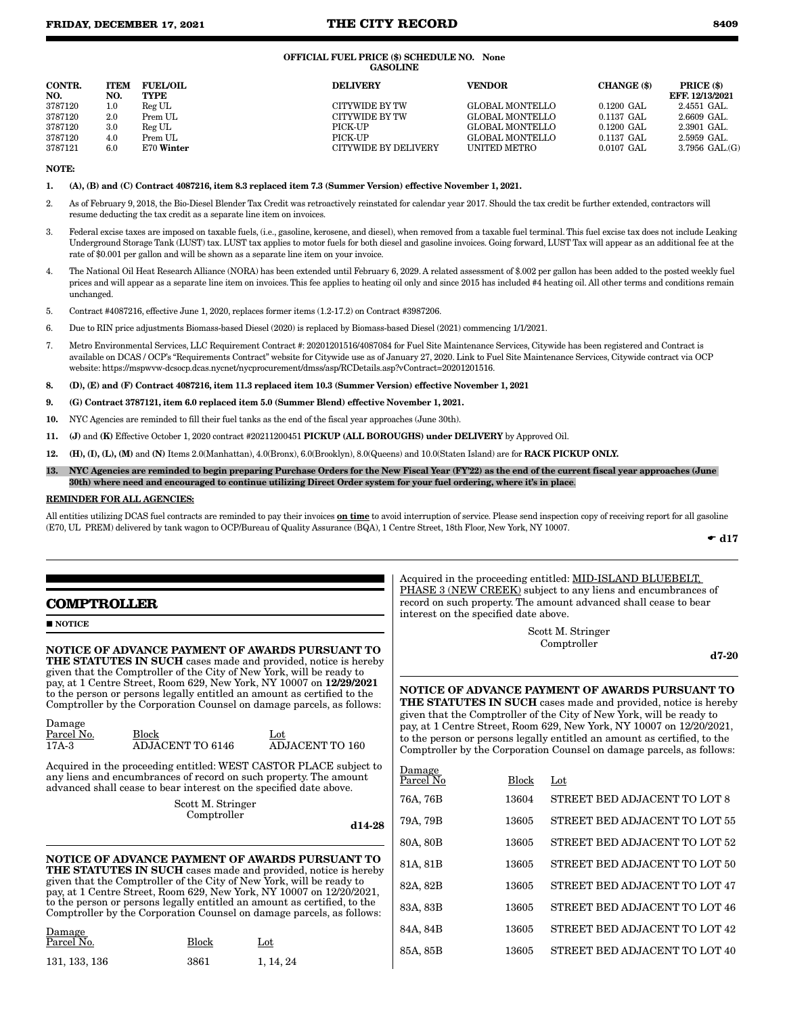#### OFFICIAL FUEL PRICE (\$) SCHEDULE NO. None GASOLINE

| CONTR.<br>NO. | <b>ITEM</b><br>NO. | <b>FUEL/OIL</b><br><b>TYPE</b> | <b>DELIVERY</b>      | <b>VENDOR</b>   | CHANGE (\$)           | PRICE (\$)<br>EFF. 12/13/2021 |
|---------------|--------------------|--------------------------------|----------------------|-----------------|-----------------------|-------------------------------|
| 3787120       | $1.0\,$            | Reg UL                         | CITYWIDE BY TW       | GLOBAL MONTELLO | $0.1200$ GAL          | 2.4551 GAL.                   |
| 3787120       | 2.0                | Prem UL                        | CITYWIDE BY TW       | GLOBAL MONTELLO | $0.1137 \text{ GAI}.$ | $2.6609$ GAL.                 |
| 3787120       | $3.0\,$            | Reg UL                         | PICK-UP              | GLOBAL MONTELLO | $0.1200 \text{ GAI}.$ | 2.3901 GAL.                   |
| 3787120       | 4.0                | Prem UL                        | PICK-UP              | GLOBAL MONTELLO | $0.1137$ GAL          | 2.5959 GAL.                   |
| 3787121       | 6.0                | E70 Winter                     | CITYWIDE BY DELIVERY | UNITED METRO    | $0.0107$ GAL          | $3.7956$ GAL. $(G)$           |

#### NOTE:

1. (A), (B) and (C) Contract 4087216, item 8.3 replaced item 7.3 (Summer Version) effective November 1, 2021.

- 2. As of February 9, 2018, the Bio-Diesel Blender Tax Credit was retroactively reinstated for calendar year 2017. Should the tax credit be further extended, contractors will resume deducting the tax credit as a separate line item on invoices.
- 3. Federal excise taxes are imposed on taxable fuels, (i.e., gasoline, kerosene, and diesel), when removed from a taxable fuel terminal. This fuel excise tax does not include Leaking Underground Storage Tank (LUST) tax. LUST tax applies to motor fuels for both diesel and gasoline invoices. Going forward, LUST Tax will appear as an additional fee at the rate of \$0.001 per gallon and will be shown as a separate line item on your invoice.
- 4. The National Oil Heat Research Alliance (NORA) has been extended until February 6, 2029. A related assessment of \$.002 per gallon has been added to the posted weekly fuel prices and will appear as a separate line item on invoices. This fee applies to heating oil only and since 2015 has included #4 heating oil. All other terms and conditions remain unchanged.
- 5. Contract #4087216, effective June 1, 2020, replaces former items (1.2-17.2) on Contract #3987206.
- 6. Due to RIN price adjustments Biomass-based Diesel (2020) is replaced by Biomass-based Diesel (2021) commencing 1/1/2021.
- 7. Metro Environmental Services, LLC Requirement Contract #: 20201201516/4087084 for Fuel Site Maintenance Services, Citywide has been registered and Contract is available on DCAS / OCP's "Requirements Contract" website for Citywide use as of January 27, 2020. Link to Fuel Site Maintenance Services, Citywide contract via OCP website: https://mspwvw-dcsocp.dcas.nycnet/nycprocurement/dmss/asp/RCDetails.asp?vContract=20201201516.
- 8. (D), (E) and (F) Contract 4087216, item 11.3 replaced item 10.3 (Summer Version) effective November 1, 2021
- 9. (G) Contract 3787121, item 6.0 replaced item 5.0 (Summer Blend) effective November 1, 2021.
- 10. NYC Agencies are reminded to fill their fuel tanks as the end of the fiscal year approaches (June 30th).
- 11. (J) and (K) Effective October 1, 2020 contract #20211200451 PICKUP (ALL BOROUGHS) under DELIVERY by Approved Oil.
- 12. (H), (I), (L), (M) and (N) Items 2.0(Manhattan), 4.0(Bronx), 6.0(Brooklyn), 8.0(Queens) and 10.0(Staten Island) are for RACK PICKUP ONLY.
- 13. NYC Agencies are reminded to begin preparing Purchase Orders for the New Fiscal Year (FY'22) as the end of the current fiscal year approaches (June 30th) where need and encouraged to continue utilizing Direct Order system for your fuel ordering, where it's in place.

#### REMINDER FOR ALL AGENCIES:

All entities utilizing DCAS fuel contracts are reminded to pay their invoices **on time** to avoid interruption of service. Please send inspection copy of receiving report for all gasoline (E70, UL PREM) delivered by tank wagon to OCP/Bureau of Quality Assurance (BQA), 1 Centre Street, 18th Floor, New York, NY 10007.

 $\bullet$  d17

# **COMPTROLLER**

#### **NOTICE**

Damage

NOTICE OF ADVANCE PAYMENT OF AWARDS PURSUANT TO THE STATUTES IN SUCH cases made and provided, notice is hereby given that the Comptroller of the City of New York, will be ready to pay, at 1 Centre Street, Room 629, New York, NY 10007 on 12/29/2021 to the person or persons legally entitled an amount as certified to the Comptroller by the Corporation Counsel on damage parcels, as follows:

| $  -$<br>Parcel No. | Block            | $_{\rm Lot}$           |
|---------------------|------------------|------------------------|
| 17A-3               | ADJACENT TO 6146 | <b>ADJACENT TO 160</b> |

Acquired in the proceeding entitled: WEST CASTOR PLACE subject to any liens and encumbrances of record on such property. The amount advanced shall cease to bear interest on the specified date above.

> Scott M. Stringer Comptroller

d14-28

NOTICE OF ADVANCE PAYMENT OF AWARDS PURSUANT TO THE STATUTES IN SUCH cases made and provided, notice is hereby given that the Comptroller of the City of New York, will be ready to pay, at 1 Centre Street, Room 629, New York, NY 10007 on 12/20/2021, to the person or persons legally entitled an amount as certified, to the Comptroller by the Corporation Counsel on damage parcels, as follows:

| Damage<br>Parcel No. | <b>Block</b> | Lot       |
|----------------------|--------------|-----------|
| 131, 133, 136        | 3861         | 1, 14, 24 |

Acquired in the proceeding entitled: MID-ISLAND BLUEBELT, PHASE 3 (NEW CREEK) subject to any liens and encumbrances of record on such property. The amount advanced shall cease to bear interest on the specified date above.

> Scott M. Stringer Comptroller

d7-20

### NOTICE OF ADVANCE PAYMENT OF AWARDS PURSUANT TO THE STATUTES IN SUCH cases made and provided, notice is hereby

given that the Comptroller of the City of New York, will be ready to pay, at 1 Centre Street, Room 629, New York, NY 10007 on 12/20/2021, to the person or persons legally entitled an amount as certified, to the Comptroller by the Corporation Counsel on damage parcels, as follows:

| <u>Damage</u><br>Parcel No | <b>Block</b> | $_{\rm Lot}$                  |
|----------------------------|--------------|-------------------------------|
| 76A, 76B                   | 13604        | STREET BED ADJACENT TO LOT 8  |
| 79A, 79B                   | 13605        | STREET BED ADJACENT TO LOT 55 |
| 80A, 80B                   | 13605        | STREET BED ADJACENT TO LOT 52 |
| 81A, 81B                   | 13605        | STREET BED ADJACENT TO LOT 50 |
| 82A, 82B                   | 13605        | STREET BED ADJACENT TO LOT 47 |
| 83A, 83B                   | 13605        | STREET BED ADJACENT TO LOT 46 |
| 84A, 84B                   | 13605        | STREET BED ADJACENT TO LOT 42 |
| 85A, 85B                   | 13605        | STREET BED ADJACENT TO LOT 40 |
|                            |              |                               |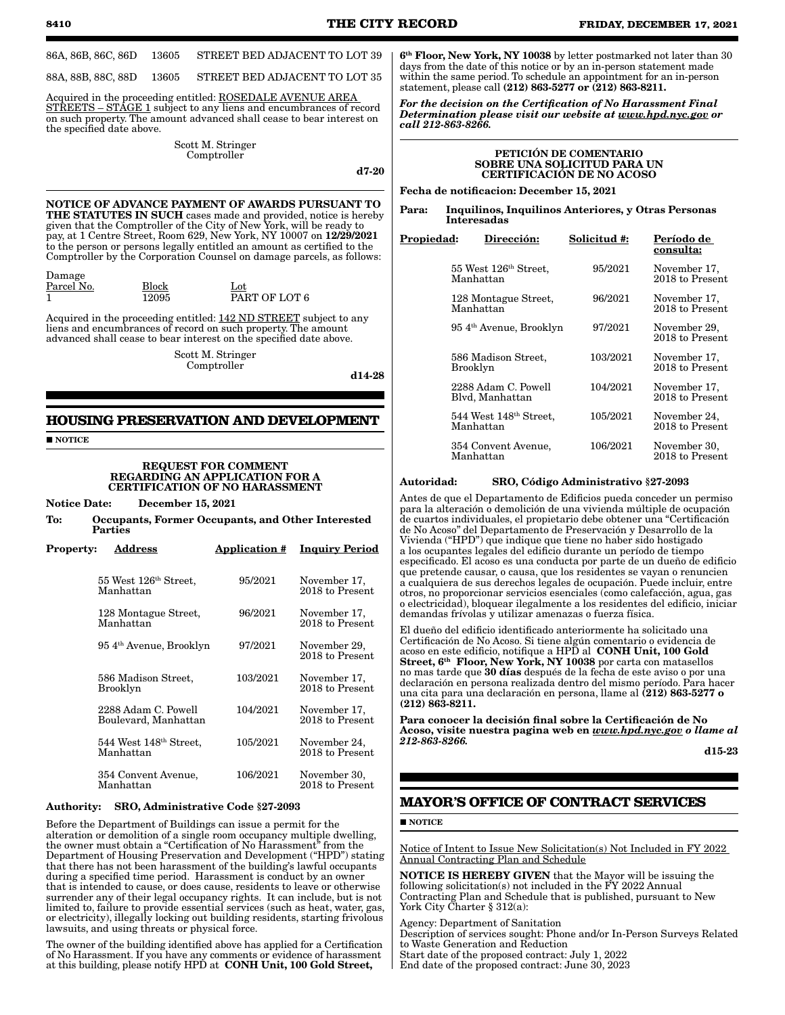**8410 THE CITY RECORD FRIDAY, DECEMBER 17, 2021** 86A, 86B, 86C, 86D 13605 STREET BED ADJACENT TO LOT 39 88A, 88B, 88C, 88D 13605 STREET BED ADJACENT TO LOT 35 Acquired in the proceeding entitled: ROSEDALE AVENUE AREA STREETS – STAGE 1 subject to any liens and encumbrances of record on such property. The amount advanced shall cease to bear interest on the specified date above. Scott M. Stringer Comptroller d7-20 NOTICE OF ADVANCE PAYMENT OF AWARDS PURSUANT TO THE STATUTES IN SUCH cases made and provided, notice is hereby given that the Comptroller of the City of New York, will be ready to pay, at 1 Centre Street, Room 629, New York, NY 10007 on 12/29/2021 to the person or persons legally entitled an amount as certified to the Comptroller by the Corporation Counsel on damage parcels, as follows: Damage Parcel No. Block Lot Lot  $\overline{\text{PART}}$  OF LOT 6 Acquired in the proceeding entitled: 142 ND STREET subject to any *call 212-863-8266.* PETICIÓN DE COMENTARIO Fecha de notificacion: December 15, 2021 Interesadas Propiedad: Dirección: Solicitud #: Período de 55 West 126th Street, Manhattan 128 Montague Street, Manhattan

liens and encumbrances of record on such property. The amount advanced shall cease to bear interest on the specified date above.

> Scott M. Stringer Comptroller

d14-28

# **HOUSING PRESERVATION AND DEVELOPMENT**

**NOTICE** 

#### REQUEST FOR COMMENT REGARDING AN APPLICATION FOR A CERTIFICATION OF NO HARASSMENT

#### Notice Date: December 15, 2021

To: Occupants, Former Occupants, and Other Interested Parties

| <b>Property:</b> | Address                                        | <b>Application #</b> | <b>Inquiry Period</b>             |
|------------------|------------------------------------------------|----------------------|-----------------------------------|
|                  | 55 West 126 <sup>th</sup> Street,<br>Manhattan | 95/2021              | November 17,<br>2018 to Present   |
|                  | 128 Montague Street,<br>Manhattan              | 96/2021              | November 17,<br>2018 to Present   |
|                  | 954 <sup>th</sup> Avenue, Brooklyn             | 97/2021              | November 29,<br>2018 to Present   |
|                  | 586 Madison Street.<br>Brooklyn                | 103/2021             | November 17,<br>2018 to Present   |
|                  | 2288 Adam C. Powell<br>Boulevard, Manhattan    | 104/2021             | November 17,<br>2018 to Present   |
|                  | $544$ West $148th$ Street,<br>Manhattan        | 105/2021             | November 24,<br>2018 to Present   |
|                  | 354 Convent Avenue,<br>Manhattan               | 106/2021             | November 30,<br>$2018$ to Present |

#### Authority: SRO, Administrative Code §27-2093

Before the Department of Buildings can issue a permit for the alteration or demolition of a single room occupancy multiple dwelling, the owner must obtain a "Certification of No Harassment" from the Department of Housing Preservation and Development ("HPD") stating that there has not been harassment of the building's lawful occupants during a specified time period. Harassment is conduct by an owner that is intended to cause, or does cause, residents to leave or otherwise surrender any of their legal occupancy rights. It can include, but is not limited to, failure to provide essential services (such as heat, water, gas, or electricity), illegally locking out building residents, starting frivolous lawsuits, and using threats or physical force.

The owner of the building identified above has applied for a Certification of No Harassment. If you have any comments or evidence of harassment at this building, please notify HPD at CONH Unit, 100 Gold Street,

6th Floor, New York, NY 10038 by letter postmarked not later than 30 days from the date of this notice or by an in-person statement made within the same period. To schedule an appointment for an in-person statement, please call (212) 863-5277 or (212) 863-8211.

*For the decision on the Certification of No Harassment Final Determination please visit our website at www.hpd.nyc.gov or* 

# SOBRE UNA SOLICITUD PARA UN CERTIFICACIÓN DE NO ACOSO

Para: Inquilinos, Inquilinos Anteriores, y Otras Personas

| opiedad: | <b>Direccion:</b>                               | Solicitud #: | Período de<br>consulta:         |
|----------|-------------------------------------------------|--------------|---------------------------------|
|          | 55 West 126 <sup>th</sup> Street,<br>Manhattan  | 95/2021      | November 17,<br>2018 to Present |
|          | 128 Montague Street,<br>Manhattan               | 96/2021      | November 17,<br>2018 to Present |
|          | 954 <sup>th</sup> Avenue, Brooklyn              | 97/2021      | November 29,<br>2018 to Present |
|          | 586 Madison Street.<br>Brooklyn                 | 103/2021     | November 17,<br>2018 to Present |
|          | 2288 Adam C. Powell<br>Blyd, Manhattan          | 104/2021     | November 17,<br>2018 to Present |
|          | 544 West 148 <sup>th</sup> Street.<br>Manhattan | 105/2021     | November 24,<br>2018 to Present |
|          | 354 Convent Avenue,<br>Manhattan                | 106/2021     | November 30.<br>2018 to Present |

#### Autoridad: SRO, Código Administrativo §27-2093

Antes de que el Departamento de Edificios pueda conceder un permiso para la alteración o demolición de una vivienda múltiple de ocupación de cuartos individuales, el propietario debe obtener una "Certificación de No Acoso" del Departamento de Preservación y Desarrollo de la Vivienda ("HPD") que indique que tiene no haber sido hostigado a los ocupantes legales del edificio durante un período de tiempo especificado. El acoso es una conducta por parte de un dueño de edificio que pretende causar, o causa, que los residentes se vayan o renuncien a cualquiera de sus derechos legales de ocupación. Puede incluir, entre otros, no proporcionar servicios esenciales (como calefacción, agua, gas o electricidad), bloquear ilegalmente a los residentes del edificio, iniciar demandas frívolas y utilizar amenazas o fuerza física.

El dueño del edificio identificado anteriormente ha solicitado una Certificación de No Acoso. Si tiene algún comentario o evidencia de acoso en este edificio, notifique a HPD al  $\,$  CONH Unit, 100 Gold  $\,$ Street, 6<sup>th</sup> Floor, New York, NY 10038 por carta con matasellos no mas tarde que 30 días después de la fecha de este aviso o por una declaración en persona realizada dentro del mismo período. Para hacer una cita para una declaración en persona, llame al (212) 863-5277 o (212) 863-8211.

Para conocer la decisión final sobre la Certificación de No Acoso, visite nuestra pagina web en *www.hpd.nyc.gov o llame al 212-863-8266.*

d15-23

# **MAYOR'S OFFICE OF CONTRACT SERVICES**

**NOTICE** 

Notice of Intent to Issue New Solicitation(s) Not Included in FY 2022 Annual Contracting Plan and Schedule

NOTICE IS HEREBY GIVEN that the Mayor will be issuing the following solicitation(s) not included in the FY 2022 Annual Contracting Plan and Schedule that is published, pursuant to New York City Charter § 312(a):

Agency: Department of Sanitation Description of services sought: Phone and/or In-Person Surveys Related to Waste Generation and Reduction Start date of the proposed contract: July 1, 2022 End date of the proposed contract: June 30, 2023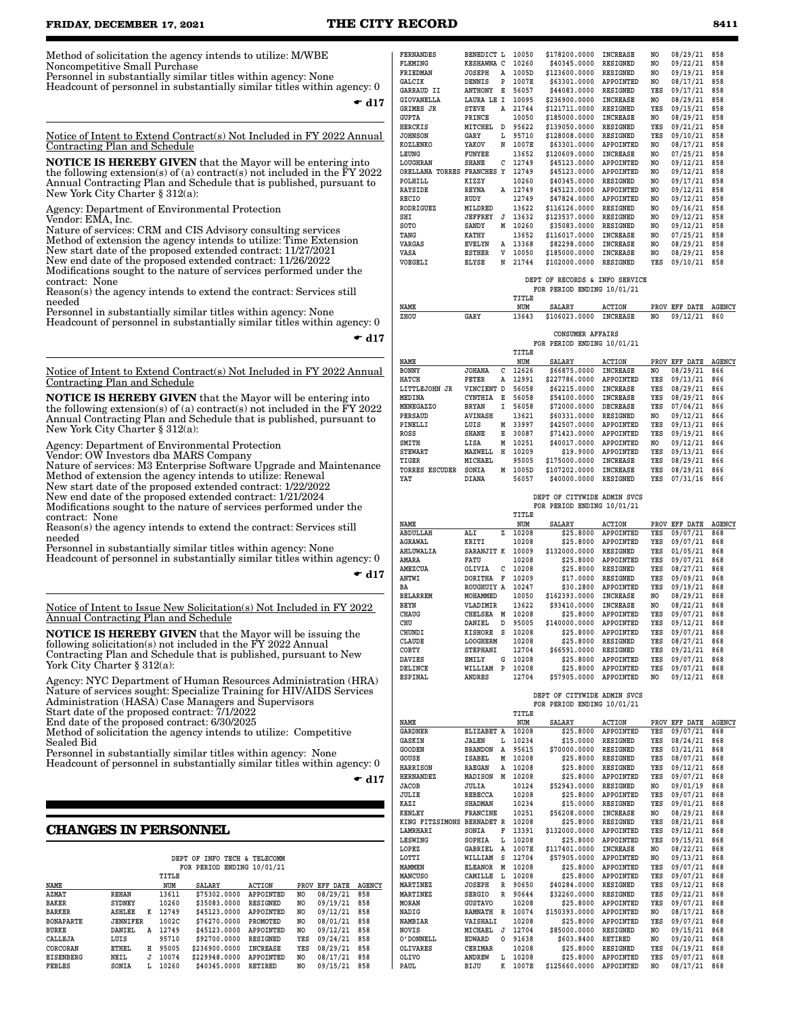# **FRIDAY, DECEMBER 17, 2021 THE CITY RECORD 8411**

Method of solicitation the agency intends to utilize: M/WBE Noncompetitive Small Purchase

Personnel in substantially similar titles within agency: None Headcount of personnel in substantially similar titles within agency: 0

 $\bullet$  d17

Notice of Intent to Extend Contract(s) Not Included in FY 2022 Annual Contracting Plan and Schedule

**NOTICE IS HEREBY GIVEN** that the Mayor will be entering into the following extension(s) of (a) contract(s) not included in the FY 2022 Annual Contracting Plan and Schedule that is published, pursuant to New York City Charter § 312(a):

Agency: Department of Environmental Protection Vendor: EMA, Inc.

Nature of services: CRM and CIS Advisory consulting services Method of extension the agency intends to utilize: Time Extension New start date of the proposed extended contract: 11/27/2021 New end date of the proposed extended contract: 11/26/2022 Modifications sought to the nature of services performed under the contract: None

Reason(s) the agency intends to extend the contract: Services still needed

Personnel in substantially similar titles within agency: None Headcount of personnel in substantially similar titles within agency: 0

 $\bullet$  d17

Notice of Intent to Extend Contract(s) Not Included in FY 2022 Annual Contracting Plan and Schedule

NOTICE IS HEREBY GIVEN that the Mayor will be entering into the following extension(s) of (a) contract(s) not included in the  $\overline{F}Y$  2022 Annual Contracting Plan and Schedule that is published, pursuant to New York City Charter § 312(a):

Agency: Department of Environmental Protection

Vendor: OW Investors dba MARS Company Nature of services: M3 Enterprise Software Upgrade and Maintenance Method of extension the agency intends to utilize: Renewal New start date of the proposed extended contract: 1/22/2022

New end date of the proposed extended contract: 1/21/2024 Modifications sought to the nature of services performed under the contract: None

Reason(s) the agency intends to extend the contract: Services still needed

Personnel in substantially similar titles within agency: None

Headcount of personnel in substantially similar titles within agency: 0

 $\bullet$  d17

Notice of Intent to Issue New Solicitation(s) Not Included in FY 2022 Annual Contracting Plan and Schedule

NOTICE IS HEREBY GIVEN that the Mayor will be issuing the following solicitation(s) not included in the FY 2022 Annual Contracting Plan and Schedule that is published, pursuant to New York City Charter § 312(a):

Agency: NYC Department of Human Resources Administration (HRA) Nature of services sought: Specialize Training for HIV/AIDS Services Administration (HASA) Case Managers and Supervisors Start date of the proposed contract: 7/1/2022

End date of the proposed contract: 6/30/2025

Method of solicitation the agency intends to utilize: Competitive Sealed Bid

Personnel in substantially similar titles within agency: None

Headcount of personnel in substantially similar titles within agency: 0

 $\bullet$  d17

## **CHANGES IN PERSONNEL**

|                  |              |   |       | DEPT OF INFO TECH & TELECOMM |                  |      |          |               |
|------------------|--------------|---|-------|------------------------------|------------------|------|----------|---------------|
|                  |              |   |       | FOR PERIOD ENDING 10/01/21   |                  |      |          |               |
|                  |              |   | TITLE |                              |                  |      |          |               |
| NAME             |              |   | NUM   | <b>SALARY</b>                | <b>ACTION</b>    | PROV | EFF DATE | <b>AGENCY</b> |
| <b>AZMAT</b>     | <b>REHAN</b> |   | 13611 | \$75302.0000                 | <b>APPOINTED</b> | NO   | 08/29/21 | 858           |
| <b>BAKER</b>     | SYDNEY       |   | 10260 | \$35083,0000                 | RESIGNED         | NO   | 09/19/21 | 858           |
| <b>BARKER</b>    | ASHLEE       | к | 12749 | \$45123.0000                 | <b>APPOINTED</b> | NO   | 09/12/21 | 858           |
| <b>BONAPARTE</b> | JENNIFER     |   | 1002C | \$76270,0000                 | PROMOTED         | NO   | 08/01/21 | 858           |
| <b>BURKE</b>     | DANIEL       | Α | 12749 | \$45123.0000                 | <b>APPOINTED</b> | NO   | 09/12/21 | 858           |
| CALLEJA          | LUIS         |   | 95710 | \$92700.0000                 | <b>RESIGNED</b>  | YES  | 09/24/21 | 858           |
| CORCORAN         | <b>ETHEL</b> | н | 95005 | \$236900.0000                | <b>INCREASE</b>  | YES  | 08/29/21 | 858           |
| EISENBERG        | NEIL         | J | 10074 | \$229948.0000                | APPOINTED        | NO   | 08/17/21 | 858           |
| <b>FEBLES</b>    | SONIA        | L | 10260 | \$40345.0000                 | <b>RETIRED</b>   | NO   | 09/15/21 | 858           |

| <b>FERNANDES</b> | BENEDICT L      |             | 10050 | \$178200.0000 | <b>INCREASE</b>  | NO             | 08/29/21 | 858 |
|------------------|-----------------|-------------|-------|---------------|------------------|----------------|----------|-----|
| FLEMING          | KESHAWNA C      |             | 10260 | \$40345.0000  | <b>RESIGNED</b>  | NO             | 09/22/21 | 858 |
| FRIEDMAN         | <b>JOSEPH</b>   | Α           | 1005D | \$123600.0000 | <b>RESIGNED</b>  | NO             | 09/19/21 | 858 |
| GALCIK           | DENNIS          | P           | 1007E | \$63301.0000  | <b>APPOINTED</b> | NO             | 08/17/21 | 858 |
| GARRAUD II       | <b>ANTHONY</b>  | Е           | 56057 | \$44083.0000  | <b>RESIGNED</b>  | YES            | 09/17/21 | 858 |
| GIOVANELLA       | LAURA LE        | $\mathbf I$ | 10095 | \$236900.0000 | <b>INCREASE</b>  | NO             | 08/29/21 | 858 |
| GRIMES JR        | <b>STEVE</b>    | Α           | 21744 | \$121711.0000 | <b>RESIGNED</b>  | YES            | 09/15/21 | 858 |
| <b>GUPTA</b>     | PRINCE          |             | 10050 | \$185000.0000 | <b>INCREASE</b>  | NO             | 08/29/21 | 858 |
| <b>HERCKIS</b>   | MITCHEL         | D           | 95622 | \$139050.0000 | <b>RESIGNED</b>  | YES            | 09/21/21 | 858 |
| <b>JOHNSON</b>   | GARY            | г           | 95710 | \$128008.0000 | <b>RESIGNED</b>  | YES            | 09/10/21 | 858 |
| KOZLENKO         | YAKOV           | N           | 1007E | \$63301.0000  | APPOINTED        | NO             | 08/17/21 | 858 |
| LEUNG            | <b>FUNYEE</b>   |             | 13652 | \$120609.0000 | <b>INCREASE</b>  | NO.            | 07/25/21 | 858 |
| LOUGHRAN         | <b>SHANE</b>    | с           | 12749 | \$45123.0000  | APPOINTED        | NO.            | 09/12/21 | 858 |
| ORELLANA TORRES  | <b>FRANCHES</b> | Y           | 12749 | \$45123.0000  | APPOINTED        | NO.            | 09/12/21 | 858 |
| POLHILL          | KIZZY           |             | 10260 | \$40345.0000  | <b>RESIGNED</b>  | NO             | 09/17/21 | 858 |
| <b>RAYSIDE</b>   | <b>REYNA</b>    | A           | 12749 | \$45123.0000  | <b>APPOINTED</b> | NO             | 09/12/21 | 858 |
| <b>RECIO</b>     | RUDY            |             | 12749 | \$47824.0000  | APPOINTED        | NO             | 09/12/21 | 858 |
| <b>RODRIGUEZ</b> | MILDRED         |             | 13622 | \$116126.0000 | <b>RESIGNED</b>  | N <sub>O</sub> | 09/16/21 | 858 |
| SHI              | <b>JEFFREY</b>  | J           | 13632 | \$123537.0000 | <b>RESIGNED</b>  | NO             | 09/12/21 | 858 |
| SOTO             | SANDY           | М           | 10260 | \$35083.0000  | <b>RESIGNED</b>  | NO             | 09/12/21 | 858 |
| TANG             | <b>KATHY</b>    |             | 13652 | \$116017.0000 | <b>INCREASE</b>  | NO             | 07/25/21 | 858 |
| <b>VARGAS</b>    | EVELYN          | Α           | 13368 | \$82298.0000  | <b>INCREASE</b>  | NO             | 08/29/21 | 858 |
| VASA             | <b>ESTHER</b>   | v           | 10050 | \$185000.0000 | <b>INCREASE</b>  | NO             | 08/29/21 | 858 |
| VOEGELI          | ELYSE           | N           | 21744 | \$102000.0000 | <b>RESIGNED</b>  | YES            | 09/10/21 | 858 |
|                  |                 |             |       |               |                  |                |          |     |

|       |                            |  | DEPT OF RECORDS & INFO SERVICE |  |
|-------|----------------------------|--|--------------------------------|--|
|       | FOR PERIOD ENDING 10/01/21 |  |                                |  |
| TITLE |                            |  |                                |  |

| NAME |      | NUM | SALARY                       | ACTION | PROV EFF DATE AGENCY |  |
|------|------|-----|------------------------------|--------|----------------------|--|
| ZHOU | GARY |     | 13643 \$106023.0000 INCREASE |        | NO 09/12/21 860      |  |

|  |                            | CONSUMER AFFAIRS |  |
|--|----------------------------|------------------|--|
|  | FOR PERIOD ENDING 10/01/21 |                  |  |

|                          |                |   | TITLE |               |                  |      |             |               |
|--------------------------|----------------|---|-------|---------------|------------------|------|-------------|---------------|
| NAME                     |                |   | NUM   | <b>SALARY</b> | <b>ACTION</b>    | PROV | EFF<br>DATE | <b>AGENCY</b> |
| <b>BONNY</b>             | <b>JOHANA</b>  | c | 12626 | \$66875.0000  | <b>INCREASE</b>  | NO   | 08/29/21    | 866           |
| HATCH                    | PETER          | A | 12991 | \$227786.0000 | APPOINTED        | YES  | 09/13/21    | 866           |
| LITTLEJOHN JR            | VINCIENT D     |   | 56058 | \$62215.0000  | <b>INCREASE</b>  | YES  | 08/29/21    | 866           |
| MEDINA                   | <b>CYNTHIA</b> | Е | 56058 | \$54100.0000  | <b>INCREASE</b>  | YES  | 08/29/21    | 866           |
| MENEGAZZO                | <b>BRYAN</b>   | I | 56058 | \$72000.0000  | <b>DECREASE</b>  | YES  | 07/04/21    | 866           |
| PERSAUD                  | <b>AVINASH</b> |   | 13621 | \$60331.0000  | <b>RESIGNED</b>  | NO   | 09/12/21    | 866           |
| PINELLI                  | LUIS           | M | 33997 | \$42507.0000  | <b>APPOINTED</b> | YES  | 09/13/21    | 866           |
| ROSS                     | <b>SHANE</b>   | Е | 30087 | \$71423.0000  | APPOINTED        | YES  | 09/19/21    | 866           |
| SMITH                    | LISA           | M | 10251 | \$40017.0000  | <b>APPOINTED</b> | NO   | 09/12/21    | 866           |
| <b>STEWART</b>           | MAXWELL        | н | 10209 | \$19,9000     | APPOINTED        | YES  | 09/13/21    | 866           |
| TIGER                    | MICHAEL        |   | 95005 | \$175000.0000 | <b>INCREASE</b>  | YES  | 08/29/21    | 866           |
| <b>ESCUDER</b><br>TORRES | SONIA          | M | 1005D | \$107202.0000 | <b>INCREASE</b>  | YES  | 08/29/21    | 866           |
| YAT                      | <b>DIANA</b>   |   | 56057 | \$40000.0000  | <b>RESIGNED</b>  | YES  | 07/31/16    | 866           |

| DEPT OF CITYWIDE ADMIN SVCS |  |
|-----------------------------|--|
| FOR PERIOD ENDING 10/01/21  |  |
| TTTLR                       |  |

| NAME            |                 |   | NUM   | <b>SALARY</b> | <b>ACTION</b>    | PROV | DATE<br>EFF | <b>AGENCY</b> |
|-----------------|-----------------|---|-------|---------------|------------------|------|-------------|---------------|
| ABDULLAH        | ALI             | z | 10208 | \$25,8000     | APPOINTED        | YES  | 09/07/21    | 868           |
| AGRAWAL         | KRITI           |   | 10208 | \$25,8000     | APPOINTED        | YES  | 09/07/21    | 868           |
| AHLUWALIA       | SARANJIT K      |   | 10009 | \$132000.0000 | <b>RESIGNED</b>  | YES  | 01/05/21    | 868           |
| AMARA           | FATU            |   | 10208 | \$25.8000     | APPOINTED        | YES  | 09/07/21    | 868           |
| AMEZCUA         | OLIVIA          | c | 10208 | \$25,8000     | <b>RESIGNED</b>  | YES  | 08/27/21    | 868           |
| ANTWI           | <b>DORITHA</b>  | F | 10209 | \$17,0000     | <b>RESIGNED</b>  | YES  | 09/09/21    | 868           |
| BA              | ROUGHUIY A      |   | 10247 | \$30,2800     | APPOINTED        | YES  | 09/19/21    | 868           |
| <b>BELARREM</b> | MOHAMMED        |   | 10050 | \$162393.0000 | <b>INCREASE</b>  | NO   | 08/29/21    | 868           |
| BEYN            | VLADIMIR        |   | 13622 | \$93410.0000  | <b>INCREASE</b>  | NO   | 08/22/21    | 868           |
| <b>CHAUG</b>    | CHELSEA         | М | 10208 | \$25,8000     | APPOINTED        | YES  | 09/07/21    | 868           |
| CHU             | DANIEL          | D | 95005 | \$140000.0000 | APPOINTED        | YES  | 09/12/21    | 868           |
| CHUNDI          | <b>KISHORE</b>  | s | 10208 | \$25,8000     | <b>APPOINTED</b> | YES  | 09/07/21    | 868           |
| CLAUDE          | <b>LOOGHERM</b> |   | 10208 | \$25,8000     | <b>RESIGNED</b>  | YES  | 08/27/21    | 868           |
| COBTY           | <b>STEPHANI</b> |   | 12704 | \$66591.0000  | <b>RESIGNED</b>  | YES  | 09/21/21    | 868           |
| DAVIES          | EMILY           | G | 10208 | \$25,8000     | APPOINTED        | YES  | 09/07/21    | 868           |
| DELINCE         | WILLIAM         | P | 10208 | \$25,8000     | APPOINTED        | YES  | 09/07/21    | 868           |
| <b>ESPINAL</b>  | <b>ANDRES</b>   |   | 12704 | \$57905.0000  | APPOINTED        | NO.  | 09/12/21    | 868           |
|                 |                 |   |       |               |                  |      |             |               |

#### **DEPT OF CITYWIDE ADMIN SVCS FOR PERIOD ENDING 10/01/21**

|                  |                   |         | TITLE |               |                  |     |               |               |
|------------------|-------------------|---------|-------|---------------|------------------|-----|---------------|---------------|
| <b>NAME</b>      |                   |         | NUM   | <b>SALARY</b> | <b>ACTION</b>    |     | PROV EFF DATE | <b>AGENCY</b> |
| <b>GARDNER</b>   | ELIZABET A        |         | 10208 | \$25,8000     | APPOINTED        | YES | 09/07/21      | 868           |
| <b>GASKIN</b>    | <b>JALEN</b>      | L       | 10234 | \$15,0000     | <b>RESIGNED</b>  | YES | 08/24/21      | 868           |
| <b>GOODEN</b>    | <b>BRANDON</b>    | Α       | 95615 | \$70000.0000  | <b>RESIGNED</b>  | YES | 03/21/21      | 868           |
| GOUSE            | <b>ISABEL</b>     | M       | 10208 | \$25,8000     | <b>RESIGNED</b>  | YES | 08/07/21      | 868           |
| <b>HARRISON</b>  | <b>RAEGAN</b>     | Α       | 10208 | \$25.8000     | <b>RESIGNED</b>  | YES | 09/12/21      | 868           |
| <b>HERNANDEZ</b> | MADISON           | M       | 10208 | \$25.8000     | APPOINTED        | YES | 09/07/21      | 868           |
| <b>JACOB</b>     | JULIA             |         | 10124 | \$52943.0000  | <b>RESIGNED</b>  | NO. | 09/01/19      | 868           |
| JULIE            | <b>REBECCA</b>    |         | 10208 | \$25.8000     | APPOINTED        | YES | 09/07/21      | 868           |
| KAZI             | <b>SHADMAN</b>    |         | 10234 | \$15,0000     | RESIGNED         | YES | 09/01/21      | 868           |
| <b>KENLEY</b>    | <b>FRANCINE</b>   |         | 10251 | \$56208.0000  | <b>INCREASE</b>  | NO. | 08/29/21      | 868           |
| KING FITZSIMONS  | <b>BERNADET R</b> |         | 10208 | \$25.8000     | <b>RESIGNED</b>  | YES | 08/21/21      | 868           |
| <b>LAMRHARI</b>  | SONIA             | F       | 13391 | \$132000.0000 | APPOINTED        | YES | 09/12/21      | 868           |
| <b>LESWING</b>   | SOPHIA            | L       | 10208 | \$25,8000     | APPOINTED        | YES | 09/15/21      | 868           |
| LOPEZ            | <b>GABRIEL</b>    | Α       | 1007E | \$117401.0000 | <b>INCREASE</b>  | NO. | 08/22/21      | 868           |
| LOTTI            | WILLIAM           | s       | 12704 | \$57905.0000  | <b>APPOINTED</b> | NO. | 09/13/21      | 868           |
| <b>MAMMEN</b>    | <b>ELEANOR</b>    | M       | 10208 | \$25,8000     | APPOINTED        | YES | 09/07/21      | 868           |
| <b>MANCUSO</b>   | CAMILLE           | г       | 10208 | \$25,8000     | APPOINTED        | YES | 09/07/21      | 868           |
| <b>MARTINEZ</b>  | <b>JOSEPH</b>     | R       | 90650 | \$40284.0000  | <b>RESIGNED</b>  | YES | 09/12/21      | 868           |
| <b>MARTINEZ</b>  | <b>SERGIO</b>     | R       | 90644 | \$32260.0000  | <b>RESIGNED</b>  | YES | 09/22/21      | 868           |
| <b>MORAN</b>     | <b>GUSTAVO</b>    |         | 10208 | \$25,8000     | <b>APPOINTED</b> | YES | 09/07/21      | 868           |
| NADIG            | <b>RAMNATH</b>    | R       | 10074 | \$150393.0000 | APPOINTED        | NO  | 08/17/21      | 868           |
| <b>NAMBIAR</b>   | VAISHALI          |         | 10208 | \$25,8000     | APPOINTED        | YES | 09/07/21      | 868           |
| <b>NOVIS</b>     | MICHAEL           | J       | 12704 | \$85000.0000  | <b>RESIGNED</b>  | NO. | 09/15/21      | 868           |
| O'DONNELL        | <b>EDWARD</b>     | $\circ$ | 91638 | \$603.8400    | <b>RETIRED</b>   | NO. | 09/20/21      | 868           |
| <b>OLIVARES</b>  | <b>CERIMAR</b>    |         | 10208 | \$25,8000     | <b>RESIGNED</b>  | YES | 06/19/21      | 868           |
| <b>OLIVO</b>     | <b>ANDREW</b>     | L       | 10208 | \$25.8000     | APPOINTED        | YES | 09/07/21      | 868           |
| PAUL             | <b>BIJU</b>       | к       | 1007E | \$125660.0000 | APPOINTED        | NO. | 08/17/21      | 868           |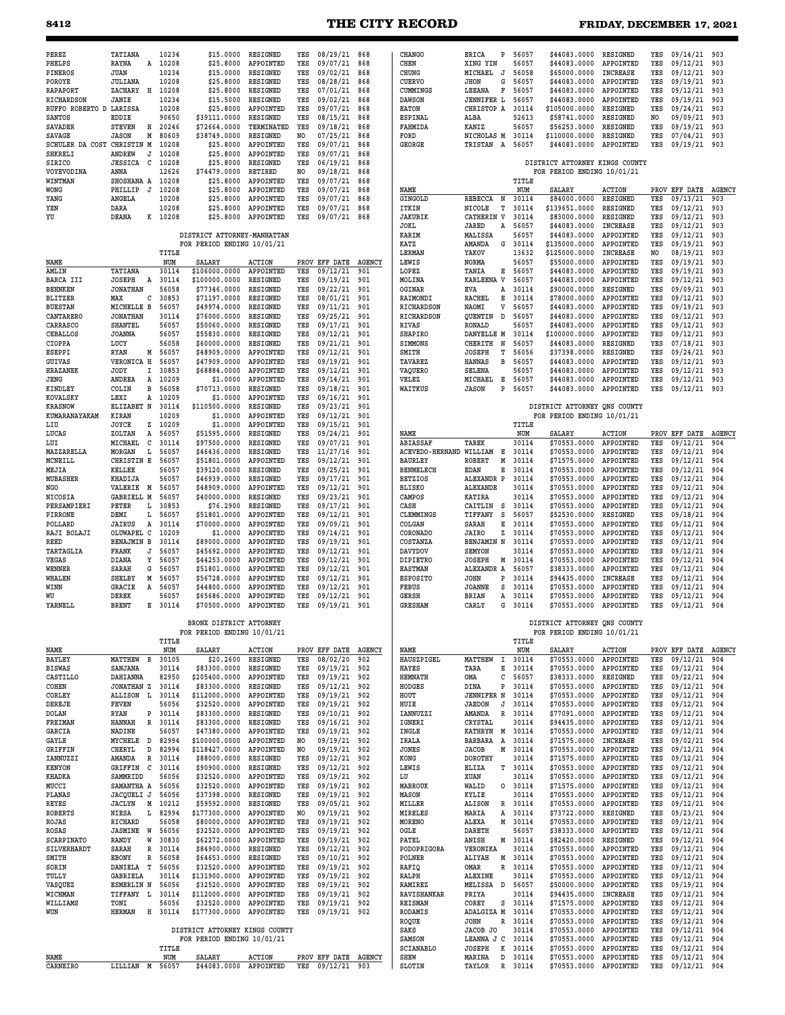# **8412 THE CITY RECORD FRIDAY, DECEMBER 17, 2021**

| PEREZ                             | TATIANA                                 | 10234          | \$15,0000                                             | RESIGNED                      | YES                   | 08/29/21                  | 868                  | CHANGO                            | ERICA<br>P                             | 56057          | \$44083.0000                                               | RESIGNED                     | YES                   | 09/14/21                  | 903                  |
|-----------------------------------|-----------------------------------------|----------------|-------------------------------------------------------|-------------------------------|-----------------------|---------------------------|----------------------|-----------------------------------|----------------------------------------|----------------|------------------------------------------------------------|------------------------------|-----------------------|---------------------------|----------------------|
| PHELPS<br>PINEROS                 | RAYNA<br>A<br><b>JUAN</b>               | 10208<br>10234 | \$25,8000<br>\$15,0000                                | APPOINTED<br>RESIGNED         | YES<br>YES            | 09/07/21<br>09/02/21      | 868<br>868           | CHEN<br>CHUNG                     | XING YIN<br>MICHAEL<br>J               | 56057<br>56058 | \$44083.0000<br>\$65000.0000                               | APPOINTED<br>INCREASE        | YES<br>YES            | 09/12/21<br>09/12/21      | 903<br>903           |
| POROYE<br>RAPAPORT                | <b>JULIANA</b><br>ZACHARY<br>Н          | 10208<br>10208 | \$25.8000<br>\$25.8000                                | RESIGNED<br>RESIGNED          | YES<br>YES            | 08/28/21<br>07/01/21      | 868<br>868           | CUERVO<br>CUMMINGS                | <b>JHON</b><br>G<br>LEEANA<br>F        | 56057<br>56057 | \$44083.0000<br>\$44083.0000                               | APPOINTED<br>APPOINTED       | YES<br>YES            | 09/19/21<br>09/12/21      | 903<br>903           |
| RICHARDSON                        | <b>JANIE</b>                            | 10234          | \$15.5000                                             | RESIGNED                      | YES                   | 09/02/21                  | 868                  | <b>DAWSON</b>                     | <b>JENNIFER L</b>                      | 56057          | \$44083.0000                                               | APPOINTED                    | YES                   | 09/19/21                  | 903                  |
| RUFFO ROBERTO D LARISSA<br>SANTOS | EDDIE                                   | 10208<br>90650 | \$25,8000<br>\$39111.0000                             | APPOINTED<br>RESIGNED         | YES<br>YES            | 09/07/21<br>08/15/21      | 868<br>868           | <b>EATON</b><br><b>ESPINAL</b>    | CHRISTOP A<br>ALBA                     | 30114<br>52613 | \$105000.0000<br>\$58741.0000                              | <b>RESIGNED</b><br>RESIGNED  | YES<br>NO             | 09/24/21<br>09/09/21      | 903<br>903           |
| <b>SAVADER</b><br><b>SAVAGE</b>   | <b>STEVEN</b><br>н<br><b>JASON</b><br>М | 20246<br>80609 | \$72664.0000<br>\$38749.0000                          | TERMINATED<br><b>RESIGNED</b> | YES<br>N <sub>O</sub> | 09/18/21<br>07/25/21      | 868<br>868           | FAHMIDA<br>FORD                   | KANIZ<br>NICHOLAS M                    | 56057<br>30114 | \$56253.0000<br>\$110000.0000                              | RESIGNED<br>RESIGNED         | YES<br>YES            | 09/19/21<br>07/04/21      | 903<br>903           |
| SCHULER DA COST                   | CHRISTIN M                              | 10208          | \$25.8000                                             | APPOINTED                     | YES                   | 09/07/21                  | 868                  | <b>GEORGE</b>                     | TRISTAN<br>A                           | 56057          | \$44083.0000                                               | APPOINTED                    | YES                   | 09/19/21                  | 903                  |
| <b>SHKRELI</b><br><b>SIRICO</b>   | ANDREW<br>J<br><b>JESSICA</b><br>C      | 10208<br>10208 | \$25,8000<br>\$25.8000                                | APPOINTED<br><b>RESIGNED</b>  | YES<br>YES            | 09/07/21<br>06/19/21      | 868<br>868           |                                   |                                        |                | DISTRICT ATTORNEY KINGS COUNTY                             |                              |                       |                           |                      |
| VOYEVODINA<br>WINTMAN             | ANNA<br>SHOSHANA A                      | 12626<br>10208 | \$74479.0000<br>\$25.8000                             | RETIRED<br>APPOINTED          | NO.<br>YES            | 09/18/21<br>09/07/21      | 868<br>868           |                                   |                                        | TITLE          | FOR PERIOD ENDING 10/01/21                                 |                              |                       |                           |                      |
| <b>WONG</b>                       | PHILLIP<br>$\cdot$ T                    | 10208          | \$25,8000                                             | APPOINTED                     | YES                   | 09/07/21                  | 868                  | NAME                              |                                        | NUM            | <b>SALARY</b>                                              | <b>ACTION</b>                |                       | PROV EFF DATE             | <b>AGENCY</b>        |
| YANG<br>YEN                       | <b>ANGELA</b><br>DARA                   | 10208<br>10208 | \$25.8000<br>\$25.8000                                | APPOINTED<br>APPOINTED        | YES<br>YES            | 09/07/21<br>09/07/21      | 868<br>868           | <b>GINGOLD</b><br>ITKIN           | REBECCA<br>N<br>NICOLE<br>т            | 30114<br>30114 | \$84000.0000<br>\$139651.0000                              | RESIGNED<br>RESIGNED         | YES<br>YES            | 09/13/21<br>09/12/21      | 903<br>903           |
| YU                                | DEANA                                   | K 10208        | \$25,8000                                             | APPOINTED                     | YES                   | 09/07/21                  | 868                  | <b>JAKUBIK</b><br>JOKL            | CATHERIN<br>V<br>JARED<br>Α            | 30114<br>56057 | \$83000.0000<br>\$44083.0000                               | RESIGNED<br><b>INCREASE</b>  | YES<br>YES            | 09/12/21<br>09/12/21      | 903<br>903           |
|                                   |                                         |                | DISTRICT ATTORNEY-MANHATTAN                           |                               |                       |                           |                      | KARIM                             | MALISSA                                | 56057          | \$44083.0000                                               | APPOINTED                    | YES                   | 09/12/21                  | 903                  |
|                                   |                                         | TITLE          | FOR PERIOD ENDING 10/01/21                            |                               |                       |                           |                      | KATZ<br><b>LERMAN</b>             | AMANDA<br>G<br>YAKOV                   | 30114<br>13632 | \$135000.0000<br>\$125000.0000                             | APPOINTED<br><b>INCREASE</b> | YES<br>N <sub>O</sub> | 09/19/21<br>08/19/21      | 903<br>903           |
| NAME<br>AMLIN                     | TATIANA                                 | NUM<br>30114   | SALARY<br>\$106000.0000                               | <b>ACTION</b><br>APPOINTED    | YES                   | PROV EFF DATE<br>09/12/21 | <b>AGENCY</b><br>901 | LEWIS<br>LOPEZ                    | NORMA<br>TANIA<br>Е                    | 56057<br>56057 | \$55000.0000<br>\$44083.0000                               | APPOINTED<br>APPOINTED       | YES<br>YES            | 09/19/21<br>09/19/21      | 903<br>903           |
| BARCA III                         | <b>JOSEPH</b><br>A                      | 30114          | \$100000.0000                                         | RESIGNED                      | YES                   | 09/19/21                  | 901                  | MOLINA                            | <b>KARLEENA V</b>                      | 56057          | \$44083.0000                                               | APPOINTED                    | YES                   | 09/12/21                  | 903                  |
| <b>BEHNKEN</b><br><b>BLITZER</b>  | <b>JONATHAN</b><br>с<br>MAX             | 56058<br>30853 | \$77346.0000<br>\$71197.0000                          | RESIGNED<br>RESIGNED          | YES<br>YES            | 09/22/21<br>08/01/21      | 901<br>901           | OGINAR<br>RAIMONDI                | EVA<br>А<br>RACHEL<br>Е                | 30114<br>30114 | \$90000.0000<br>\$78000.0000                               | RESIGNED<br>APPOINTED        | YES<br>YES            | 09/09/21<br>09/12/21      | 903<br>903           |
| <b>BUESTAN</b>                    | MICHELLE B<br><b>JONATHAN</b>           | 56057          | \$49974.0000                                          | RESIGNED                      | YES                   | 09/11/21                  | 901                  | RICHARDSON                        | NAOMI<br>v                             | 56057          | \$44083.0000<br>\$44083.0000                               | APPOINTED                    | YES                   | 09/19/21                  | 903                  |
| CANTARERO<br>CARRASCO             | SHANTEL                                 | 30114<br>56057 | \$76000.0000<br>\$50060.0000                          | <b>RESIGNED</b><br>RESIGNED   | YES<br>YES            | 09/25/21<br>09/17/21      | 901<br>901           | RICHARDSON<br>RIVAS               | QUENTIN<br>D<br>RONALD                 | 56057<br>56057 | \$44083.0000                                               | APPOINTED<br>APPOINTED       | YES<br>YES            | 09/12/21<br>09/12/21      | 903<br>903           |
| CEBALLOS<br>CIOPPA                | <b>JOANNA</b><br>LUCY                   | 56057<br>56058 | \$55830.0000<br>\$60000.0000                          | RESIGNED<br>RESIGNED          | YES<br>YES            | 09/12/21<br>09/21/21      | 901<br>901           | <b>SHAPIRO</b><br>SIMMONS         | DANYELLE M<br>CHERITH<br>N             | 30114<br>56057 | \$100000.0000<br>\$44083.0000                              | APPOINTED<br>RESIGNED        | YES<br>YES            | 09/12/21<br>07/18/21      | 903<br>903           |
| <b>ESEPPI</b>                     | RYAN<br>М                               | 56057          | \$48909.0000                                          | APPOINTED                     | YES                   | 09/12/21                  | 901                  | SMITH                             | <b>JOSEPH</b><br>т                     | 56056          | \$37398.0000                                               | RESIGNED                     | YES                   | 09/24/21                  | 903                  |
| GUIVAS<br><b>HRAZANEK</b>         | <b>VERONICA H</b><br>JODY<br>I          | 56057<br>30853 | \$47909.0000<br>\$68884.0000                          | APPOINTED<br>APPOINTED        | YES<br>YES            | 09/19/21<br>09/12/21      | 901<br>901           | TAVAREZ<br>VAQUERO                | <b>HANNAS</b><br>в<br><b>SELENA</b>    | 56057<br>56057 | \$44083.0000<br>\$44083.0000                               | APPOINTED<br>APPOINTED       | YES<br>YES            | 09/12/21<br>09/12/21      | 903<br>903           |
| JENG                              | ANDREA<br>Α                             | 10209          | \$1,0000                                              | APPOINTED                     | YES                   | 09/14/21                  | 901                  | VELEZ                             | MICHAEL<br>Е                           | 56057          | \$44083.0000                                               | APPOINTED                    | YES<br>YES            | 09/12/21                  | 903                  |
| KINDLEY<br>KOVALSKY               | COLIN<br>в<br>LEXI<br>Α                 | 56058<br>10209 | \$70713.0000<br>\$1.0000                              | RESIGNED<br>APPOINTED         | YES<br>YES            | 09/18/21<br>09/16/21      | 901<br>901           | WAITKUS                           | <b>JASON</b><br>P                      | 56057          | \$44083.0000                                               | APPOINTED                    |                       | 09/12/21                  | 903                  |
| <b>KRASNOW</b><br>KUMARANAYAKAM   | ELIZABET N<br>KIRAN                     | 30114<br>10209 | \$110500.0000<br>\$1,0000                             | RESIGNED<br>APPOINTED         | YES<br>YES            | 09/23/21<br>09/12/21      | 901<br>901           |                                   |                                        |                | DISTRICT ATTORNEY ONS COUNTY<br>FOR PERIOD ENDING 10/01/21 |                              |                       |                           |                      |
| LIU                               | JOYCE<br>z                              | 10209          | \$1.0000                                              | APPOINTED                     | YES                   | 09/15/21                  | 901                  |                                   |                                        | TITLE          |                                                            |                              |                       |                           |                      |
| LUCAS<br>LUI                      | ZOLTAN<br>Α<br>MICHAEL<br>с             | 56057<br>30114 | \$51595.0000<br>\$97500.0000                          | <b>RESIGNED</b><br>RESIGNED   | YES<br>YES            | 09/24/21<br>09/07/21      | 901<br>901           | NAME<br>ABIASSAF                  | TAREK                                  | NUM<br>30114   | SALARY<br>\$70553.0000                                     | <b>ACTION</b><br>APPOINTED   | YES                   | PROV EFF DATE<br>09/12/21 | <b>AGENCY</b><br>904 |
| MAZZARELLA<br>MCNEILL             | MORGAN<br>L                             | 56057<br>56057 | \$46436.0000                                          | RESIGNED<br>APPOINTED         | YES<br>YES            | 11/27/16                  | 901<br>901           | ACEVEDO-HERNAND<br><b>BAURLEY</b> | WILLIAM<br>Е<br><b>ROBERT</b><br>M     | 30114<br>30114 | \$70553.0000                                               | APPOINTED<br>APPOINTED       | YES<br>YES            | 09/12/21                  | 904<br>904           |
| MEJIA                             | CHRISTIN E<br>KELLEE                    | 56057          | \$51801.0000<br>\$39120.0000                          | RESIGNED                      | YES                   | 09/12/21<br>09/25/21      | 901                  | <b>BENMELECH</b>                  | EDAN<br>Е                              | 30114          | \$71575.0000<br>\$70553.0000                               | APPOINTED                    | YES                   | 09/12/21<br>09/12/21      | 904                  |
| MUBASHER<br>NGO                   | KHADIJA<br>VALERIE M                    | 56057<br>56057 | \$46939.0000<br>\$48909.0000                          | RESIGNED<br>APPOINTED         | YES<br>YES            | 09/17/21<br>09/12/21      | 901<br>901           | <b>BETZIOS</b><br><b>BLISKO</b>   | ALEXANDR P<br><b>ALEXANDE</b>          | 30114<br>30114 | \$70553.0000<br>\$70553.0000                               | APPOINTED<br>APPOINTED       | YES<br>YES            | 09/12/21<br>09/12/21      | 904<br>904           |
| <b>NICOSIA</b>                    | GABRIELL M                              | 56057          | \$40000.0000                                          | RESIGNED                      | YES                   | 09/23/21                  | 901                  | CAMPOS                            | <b>KATIRA</b>                          | 30114          | \$70553.0000                                               | APPOINTED                    | YES                   | 09/12/21                  | 904                  |
| PERSAMPIERI<br>PIRRONE            | PETER<br>L<br>DEMI<br>L                 | 30853<br>56057 | \$76.2900<br>\$51801.0000                             | RESIGNED<br>APPOINTED         | YES<br>YES            | 09/17/21<br>09/12/21      | 901<br>901           | CASH<br>CLEMMINGS                 | CAITLIN<br>s<br>s<br>TIFFANY           | 30114<br>56057 | \$70553.0000<br>\$52530.0000                               | APPOINTED<br>RESIGNED        | YES<br>YES            | 09/12/21<br>09/18/21      | 904<br>904           |
| POLLARD                           | <b>JAIRUS</b><br>Α                      | 30114          | \$70000.0000                                          | APPOINTED                     | YES                   | 09/09/21                  | 901                  | COLGAN                            | SARAH<br>Е                             | 30114          | \$70553.0000                                               | APPOINTED                    | YES                   | 09/12/21                  | 904                  |
| RAJI BOLAJI<br><b>REED</b>        | c<br>OLUWAPEL<br><b>BENAJMIN B</b>      | 10209<br>30114 | \$1.0000<br>\$89000.0000                              | APPOINTED<br>APPOINTED        | YES<br>YES            | 09/14/21<br>09/19/21      | 901<br>901           | CORONADO<br>COSTANZA              | JAIRO<br>z<br>BENJAMIN N               | 30114<br>30114 | \$70553.0000<br>\$70553.0000                               | APPOINTED<br>APPOINTED       | YES<br>YES            | 09/12/21<br>09/12/21      | 904<br>904           |
| TARTAGLIA<br>VEGAS                | FRANK<br>J<br>DIANA<br>Υ                | 56057<br>56057 | \$45692.0000<br>\$44253.0000                          | APPOINTED<br>APPOINTED        | YES<br>YES            | 09/12/21<br>09/12/21      | 901<br>901           | DAVYDOV<br><b>DIPIETRO</b>        | <b>SEMYON</b><br><b>JOSEPH</b><br>M    | 30114<br>30114 | \$70553.0000<br>\$70553.0000                               | APPOINTED<br>APPOINTED       | YES<br>YES            | 09/12/21<br>09/12/21      | 904<br>904           |
| WENNER                            | SARAH<br>G                              | 56057          | \$51801.0000                                          | APPOINTED                     | YES                   | 09/12/21                  | 901                  | <b>EASTMAN</b>                    | ALEXANDR A                             | 56057          | \$38333.0000                                               | APPOINTED                    | YES                   | 09/12/21                  | 904                  |
| WHALEN<br>WINN                    | SHELBY<br>М<br>GRACIE<br>Α              | 56057<br>56057 | \$56728.0000<br>\$44800.0000                          | APPOINTED<br>APPOINTED        | YES<br>YES            | 09/12/21<br>09/12/21      | 901<br>901           | <b>ESPOSITO</b><br>FEBUS          | <b>JOHN</b><br>P<br>s<br><b>JOANNE</b> | 30114<br>30114 | \$94435.0000<br>\$70553.0000                               | <b>INCREASE</b><br>APPOINTED | YES<br>YES            | 09/12/21<br>09/12/21      | 904<br>904           |
| WU                                | DEREK                                   | 56057          | \$65686.0000                                          | APPOINTED                     | YES                   | 09/12/21                  | 901                  | GERSH                             | BRIAN<br>А                             | 30114          | \$70553.0000                                               | APPOINTED                    | YES                   | 09/12/21                  | 904                  |
| YARNELL                           | <b>BRENT</b><br>Е                       | 30114          | \$70500.0000                                          | APPOINTED                     | YES                   | 09/19/21                  | 901                  | <b>GRESHAM</b>                    | CARLY<br>G                             | 30114          | \$70553.0000                                               | APPOINTED                    | YES                   | 09/12/21                  | 904                  |
|                                   |                                         | TITLE          | BRONX DISTRICT ATTORNEY<br>FOR PERIOD ENDING 10/01/21 |                               |                       |                           |                      |                                   |                                        | TITLE          | DISTRICT ATTORNEY QNS COUNTY<br>FOR PERIOD ENDING 10/01/21 |                              |                       |                           |                      |
| NAME                              |                                         | NUM            | SALARY                                                | <b>ACTION</b>                 |                       | PROV EFF DATE AGENCY      |                      | NAME                              |                                        | NUM            | <b>SALARY</b>                                              | <b>ACTION</b>                |                       | PROV EFF DATE AGENCY      |                      |
| BAYLEY<br><b>BISWAS</b>           | MATTHEW<br>R<br>SANJANA                 | 30105<br>30114 | \$20.2600<br>\$83300.0000                             | RESIGNED<br>RESIGNED          | YES<br>YES            | 08/02/20<br>09/19/21      | 902<br>902           | HAUSZPIGEL<br>HAYES               | MATTHEW<br>1<br>TARA<br>Е              | 30114<br>30114 | \$70553.0000<br>\$70553.0000                               | APPOINTED<br>APPOINTED       | YES<br>YES            | 09/12/21<br>09/12/21      | 904<br>904           |
| CASTILLO<br>COHEN                 | <b>DAHIANNA</b><br><b>JONATHAN Z</b>    | 82950<br>30114 | \$205400.0000<br>\$83300.0000                         | APPOINTED<br>RESIGNED         | YES<br>YES            | 09/19/21<br>09/12/21      | 902<br>902           | <b>HEMNATH</b><br>HODGES          | OMA<br>с<br>DINA<br>P                  | 56057<br>30114 | \$38333.0000<br>\$70553.0000                               | RESIGNED<br>APPOINTED        | YES<br>YES            | 09/22/21<br>09/12/21      | 904<br>904           |
| CORLEY                            | ALLISON L                               | 30114          | \$112000.0000                                         | APPOINTED                     | YES                   | 09/19/21                  | 902                  | HOUT                              | <b>JENNIFER N</b>                      | 30114          | \$70553.0000                                               | APPOINTED                    | YES                   | 09/12/21                  | 904                  |
| DEREJE<br>DOLAN                   | FEVEN<br>RYAN<br>P                      | 56056<br>30114 | \$32520.0000<br>\$83300.0000                          | APPOINTED<br>RESIGNED         | YES<br>YES            | 09/19/21<br>09/10/21      | 902<br>902           | HUIE<br>IANNUZZI                  | <b>JAEDON</b><br>J<br>AMANDA<br>R      | 30114<br>30114 | \$70553.0000<br>\$77091.0000                               | APPOINTED<br>APPOINTED       | YES<br>YES            | 09/12/21<br>09/12/21      | 904<br>904           |
| FREIMAN                           | $\mathbb R$<br>HANNAH                   | 30114          | \$83300.0000                                          | RESIGNED                      | YES                   | 09/16/21                  | 902                  | IGNERI                            | CRYSTAL                                | 30114          | \$94435.0000                                               | APPOINTED                    | YES                   | 09/12/21                  | 904                  |
| GARCIA<br>GAYLE                   | NADINE<br>MYCHELE D                     | 56057<br>82994 | \$47380.0000<br>\$100000.0000                         | APPOINTED<br>APPOINTED        | YES<br>NO.            | 09/19/21<br>09/19/21      | 902<br>902           | INGLE<br>IRALA                    | KATHRYN M<br>BARBARA A                 | 30114<br>30114 | \$70553.0000<br>\$71575.0000                               | APPOINTED<br>INCREASE        | YES<br>YES            | 09/12/21<br>09/02/21      | 904<br>904           |
| GRIFFIN<br>IANNUZZI               | CHERYL<br>D<br>AMANDA<br>R              | 82994<br>30114 | \$118427.0000<br>\$88000.0000                         | APPOINTED<br>RESIGNED         | NO<br>YES             | 09/19/21<br>09/12/21      | 902<br>902           | JONES<br>KONG                     | <b>JACOB</b><br>М<br><b>DOROTHY</b>    | 30114<br>30114 | \$70553.0000<br>\$71575.0000                               | APPOINTED<br>APPOINTED       | YES<br>YES            | 09/12/21<br>09/12/21      | 904<br>904           |
| <b>KENYON</b>                     | GRIFFIN<br>C                            | 30114          | \$90900.0000                                          | RESIGNED                      | YES                   | 09/12/21                  | 902                  | LEWIS                             | ELIZA<br>т                             | 30114          | \$70553.0000                                               | APPOINTED                    | YES                   | 09/12/21                  | 904                  |
| <b>KHADKA</b><br>MUCCI            | SAMMRIDD<br>SAMANTHA A                  | 56056<br>56056 | \$32520.0000<br>\$32520.0000                          | APPOINTED<br>APPOINTED        | YES<br>YES            | 09/19/21<br>09/19/21      | 902<br>902           | LU<br><b>MABROUK</b>              | XUAN<br>WALID<br>0                     | 30114<br>30114 | \$70553.0000<br>\$71575.0000                               | APPOINTED<br>APPOINTED       | YES<br>YES            | 09/12/21<br>09/12/21      | 904<br>904           |
| PLANAS                            | JACQUELI J                              | 56056          | \$37398.0000                                          | RESIGNED                      | YES                   | 09/19/21                  | 902                  | MASON                             | KYLIE                                  | 30114          | \$70553.0000                                               | APPOINTED                    | YES                   | 09/12/21                  | 904                  |
| REYES<br><b>ROBERTS</b>           | <b>JACLYN</b><br>M<br><b>NIESA</b><br>L | 10212<br>82994 | \$59592.0000<br>\$177300.0000                         | RESIGNED<br>APPOINTED         | YES<br>NO             | 09/05/21<br>09/19/21      | 902<br>902           | MILLER<br>MIRELES                 | R<br><b>ALISON</b><br>MARIA<br>Α       | 30114<br>30114 | \$70553.0000<br>\$73722.0000                               | APPOINTED<br>RESIGNED        | YES<br>YES            | 09/12/21<br>09/23/21      | 904<br>904           |
| ROJAS<br>ROSAS                    | RICHARD<br><b>JASMINE</b> W             | 56058<br>56056 | \$80000.0000<br>\$32520.0000                          | APPOINTED<br>APPOINTED        | YES<br>YES            | 09/19/21<br>09/19/21      | 902<br>902           | <b>MORENO</b><br>OGLE             | ALEXA<br>М<br>DARETH                   | 30114<br>56057 | \$70553.0000<br>\$38333.0000                               | APPOINTED<br>APPOINTED       | YES<br>YES            | 09/12/21<br>09/12/21      | 904<br>904           |
| SCARPINATO                        | W<br>RANDY                              | 30830          | \$62272.0000                                          | APPOINTED                     | YES                   | 09/19/21                  | 902                  | PATEL                             | ANISH<br>M                             | 30114          | \$82420.0000                                               | RESIGNED                     | YES                   | 09/12/21                  | 904                  |
| SILVERHARDT<br>SMITH              | SARAH<br>R<br><b>EBONY</b><br>R         | 30114<br>56058 | \$84900.0000<br>\$64653.0000                          | RESIGNED<br>RESIGNED          | YES<br>YES            | 09/12/21<br>09/10/21      | 902<br>902           | PODOPRIGORA<br>POLNER             | VERONIKA<br>ALIYAH<br>M                | 30114<br>30114 | \$70553.0000<br>\$70553.0000                               | APPOINTED<br>APPOINTED       | YES<br>YES            | 09/12/21<br>09/12/21      | 904<br>904           |
| SORIN                             | DANIELA T                               | 56056          | \$32520.0000                                          | APPOINTED                     | YES                   | 09/19/21                  | 902                  | RAFIQ                             | OMAR<br>R                              | 30114          | \$70553.0000                                               | APPOINTED                    | YES                   | 09/12/21                  | 904                  |
| TULLY<br>VASQUEZ                  | GABRIELA<br><b>ESMERLIN N</b>           | 30114<br>56056 | \$131900.0000<br>\$32520.0000                         | APPOINTED<br>APPOINTED        | YES<br>YES            | 09/19/21<br>09/19/21      | 902<br>902           | RALPH<br>RAMIREZ                  | <b>ALEXINE</b><br>MELISSA D            | 30114<br>56057 | \$70553.0000<br>\$50000.0000                               | APPOINTED<br>APPOINTED       | YES<br>YES            | 09/12/21<br>09/19/21      | 904<br>904           |
| WICHMAN<br>WILLIAMS               | TIFFANY L<br>TONI                       | 30114<br>56056 | \$112000.0000<br>\$32520.0000                         | APPOINTED<br>APPOINTED        | YES<br>YES            | 09/19/21<br>09/19/21      | 902<br>902           | RAVISHANKAR<br>REISMAN            | PRIYA<br>COREY<br>s                    | 30114<br>30114 | \$94435.0000<br>\$71575.0000                               | INCREASE<br>APPOINTED        | YES<br>YES            | 09/12/21<br>09/12/21      | 904<br>904           |
| WUN                               | <b>HERMAN</b>                           | H 30114        | \$177300.0000                                         | APPOINTED                     | YES                   | 09/19/21 902              |                      | RODAMIS                           | ADALGIZA M                             | 30114          | \$70553.0000                                               | APPOINTED                    | YES                   | 09/12/21                  | 904                  |
|                                   |                                         |                | DISTRICT ATTORNEY KINGS COUNTY                        |                               |                       |                           |                      | ROQUE<br>SAKS                     | JOHN<br>R<br>JACOB JO                  | 30114<br>30114 | \$70553.0000<br>\$70553.0000                               | APPOINTED<br>APPOINTED       | YES<br>YES            | 09/12/21<br>09/12/21      | 904<br>904           |
|                                   |                                         |                | FOR PERIOD ENDING 10/01/21                            |                               |                       |                           |                      | SAMSON                            | LEANNA J C                             | 30114          | \$70553.0000                                               | APPOINTED                    | YES                   | 09/12/21                  | 904                  |
| NAME                              |                                         | TITLE<br>NUM   | SALARY                                                | <b>ACTION</b>                 |                       | PROV EFF DATE AGENCY      |                      | SCIANABLO<br>SHEW                 | <b>JOSEPH</b><br>к<br>D<br>MARINA      | 30114<br>30114 | \$70553.0000<br>\$70553.0000                               | APPOINTED<br>APPOINTED       | YES<br>YES            | 09/12/21<br>09/12/21      | 904<br>904           |
| CARNEIRO                          | LILLIAN M 56057                         |                | \$44083.0000                                          | APPOINTED                     |                       | YES 09/12/21 903          |                      | SLOTIN                            | TAYLOR                                 | R 30114        | \$70553.0000                                               | APPOINTED                    | YES                   | 09/12/21 904              |                      |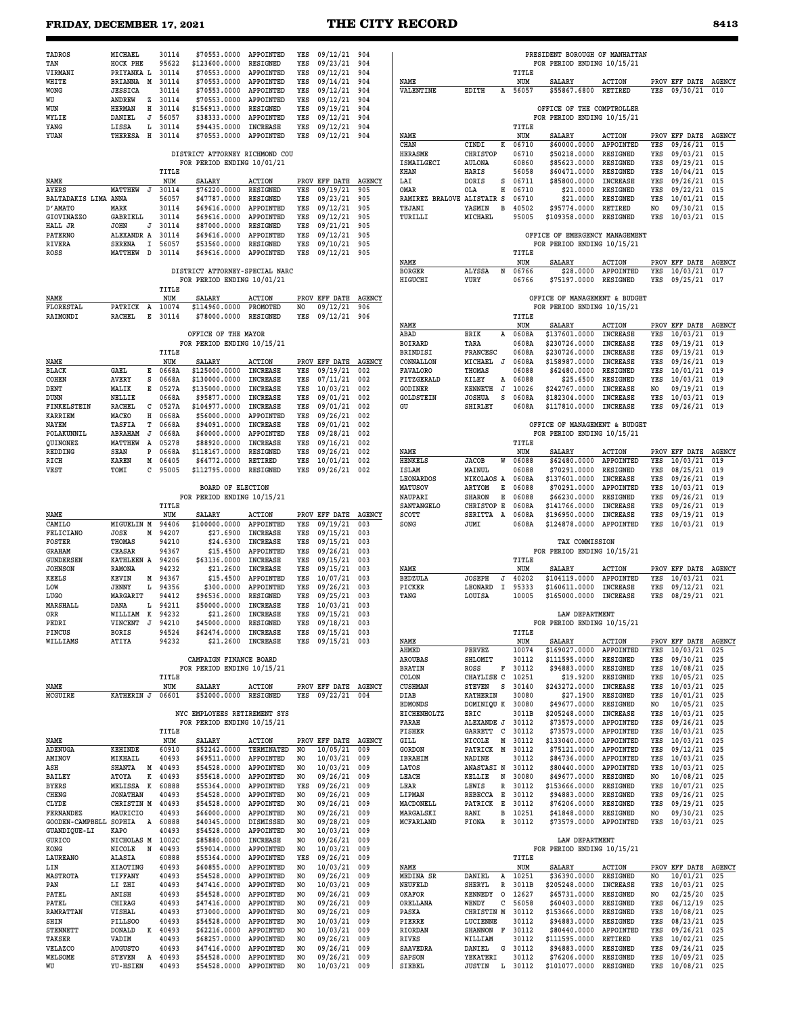# FRIDAY, DECEMBER 17, 2021 **THE CITY RECORD**

| $\sim$<br>$\sim$ |
|------------------|
|------------------|

| TADROS                        | MICHAEL                          | 30114            | \$70553.0000                   | APPOINTED                          | YES        | 09/12/21 904                         |               |                                    |                                  |                | PRESIDENT BOROUGH OF MANHATTAN |                                    |            |                                  |                      |
|-------------------------------|----------------------------------|------------------|--------------------------------|------------------------------------|------------|--------------------------------------|---------------|------------------------------------|----------------------------------|----------------|--------------------------------|------------------------------------|------------|----------------------------------|----------------------|
| TAN                           | HOCK PHE                         | 95622            | \$123600.0000                  | RESIGNED                           | YES        | 09/23/21                             | 904           |                                    |                                  |                | FOR PERIOD ENDING 10/15/21     |                                    |            |                                  |                      |
| VIRMANI<br>WHITE              | PRIYANKA L<br>BRIANNA M          | 30114<br>30114   | \$70553.0000<br>\$70553.0000   | APPOINTED<br>APPOINTED             | YES<br>YES | 09/12/21<br>09/14/21                 | 904<br>904    | NAME                               |                                  | TITLE<br>NUM   | SALARY                         | <b>ACTION</b>                      |            | PROV EFF DATE AGENCY             |                      |
| <b>WONG</b>                   | <b>JESSICA</b>                   | 30114            | \$70553.0000                   | APPOINTED                          | YES        | 09/12/21                             | 904           | VALENTINE                          | EDITH                            | A 56057        | \$55867.6800                   | RETIRED                            | YES        | 09/30/21                         | 010                  |
| WU                            | ANDREW<br>z                      | 30114            | \$70553.0000                   | APPOINTED                          | YES        | 09/12/21                             | 904           |                                    |                                  |                |                                |                                    |            |                                  |                      |
| WUN                           | <b>HERMAN</b><br>н               | 30114            | \$156913.0000                  | RESIGNED                           | YES        | 09/19/21                             | 904           |                                    |                                  |                | OFFICE OF THE COMPTROLLER      |                                    |            |                                  |                      |
| WYLIE                         | DANIEL<br>J                      | 56057            | \$38333.0000                   | APPOINTED                          | YES        | 09/12/21                             | 904           |                                    |                                  |                | FOR PERIOD ENDING 10/15/21     |                                    |            |                                  |                      |
| YANG<br>YUAN                  | LISSA<br>L<br>THERESA H 30114    | 30114            | \$94435.0000<br>\$70553.0000   | <b>INCREASE</b><br>APPOINTED       | YES<br>YES | 09/12/21<br>09/12/21                 | 904<br>904    | NAME                               |                                  | TITLE<br>NUM   | <b>SALARY</b>                  | <b>ACTION</b>                      |            | PROV EFF DATE AGENCY             |                      |
|                               |                                  |                  |                                |                                    |            |                                      |               | CHAN                               | CINDI<br>к                       | 06710          | \$60000.0000                   | APPOINTED                          | YES        | 09/26/21                         | 015                  |
|                               |                                  |                  | DISTRICT ATTORNEY RICHMOND COU |                                    |            |                                      |               | <b>HERASME</b>                     | CHRISTOP                         | 06710          | \$50218.0000                   | RESIGNED                           | YES        | 09/03/21                         | 015                  |
|                               |                                  |                  | FOR PERIOD ENDING 10/01/21     |                                    |            |                                      |               | ISMAILGECI                         | <b>AULONA</b>                    | 60860          | \$85623.0000                   | RESIGNED                           | YES        | 09/29/21                         | 015                  |
|                               |                                  | TITLE            |                                |                                    |            |                                      |               | KHAN                               | HARIS                            | 56058          | \$60471.0000                   | RESIGNED                           | YES        | 10/04/21                         | 015                  |
| NAME                          |                                  | NUM              | <b>SALARY</b>                  | <b>ACTION</b>                      |            | PROV EFF DATE                        | <b>AGENCY</b> | LAI                                | DORIS<br>s                       | 06711          | \$85800.0000                   | <b>INCREASE</b>                    | YES        | 09/26/21                         | 015                  |
| AYERS<br>BALTADAKIS LIMA ANNA | MATTHEW<br>J                     | 30114<br>56057   | \$76220.0000<br>\$47787.0000   | RESIGNED<br>RESIGNED               | YES<br>YES | 09/19/21<br>09/23/21                 | 905<br>905    | OMAR<br>RAMIREZ BRALOVE ALISTAIR S | <b>OLA</b><br>н                  | 06710<br>06710 | \$21,0000<br>\$21,0000         | RESIGNED<br>RESIGNED               | YES<br>YES | 09/22/21<br>10/01/21             | 015<br>015           |
| D'AMATO                       | MARK                             | 30114            | \$69616.0000                   | APPOINTED                          | YES        | 09/12/21                             | 905           | TEJANI                             | YASMIN<br>в                      | 40502          | \$95774.0000                   | RETIRED                            | NO         | 09/30/21                         | 015                  |
| <b>GIOVINAZZO</b>             | <b>GABRIELL</b>                  | 30114            | \$69616.0000                   | APPOINTED                          | YES        | 09/12/21                             | 905           | TURILLI                            | MICHAEL                          | 95005          | \$109358.0000                  | <b>RESIGNED</b>                    | YES        | 10/03/21                         | 015                  |
| HALL JR                       | <b>JOHN</b><br>J                 | 30114            | \$87000.0000                   | RESIGNED                           | YES        | 09/21/21                             | 905           |                                    |                                  |                |                                |                                    |            |                                  |                      |
| <b>PATERNO</b>                | ALEXANDR A                       | 30114            | \$69616.0000                   | APPOINTED                          | YES        | 09/12/21                             | 905           |                                    |                                  |                | OFFICE OF EMERGENCY MANAGEMENT |                                    |            |                                  |                      |
| RIVERA                        | SERENA<br>I                      | 56057            | \$53560.0000                   | RESIGNED                           | YES        | 09/10/21                             | 905           |                                    |                                  |                | FOR PERIOD ENDING 10/15/21     |                                    |            |                                  |                      |
| ROSS                          | MATTHEW D                        | 30114            | \$69616.0000                   | APPOINTED                          | YES        | 09/12/21 905                         |               |                                    |                                  | TITLE          |                                |                                    |            |                                  |                      |
|                               |                                  |                  | DISTRICT ATTORNEY-SPECIAL NARC |                                    |            |                                      |               | NAME<br><b>BORGER</b>              | N<br>ALYSSA                      | NUM<br>06766   | <b>SALARY</b><br>\$28,0000     | <b>ACTION</b><br>APPOINTED         | YES        | PROV EFF DATE<br>10/03/21        | <b>AGENCY</b><br>017 |
|                               |                                  |                  | FOR PERIOD ENDING 10/01/21     |                                    |            |                                      |               | HIGUCHI                            | YURY                             | 06766          | \$75197.0000                   | RESIGNED                           | YES        | 09/25/21                         | 017                  |
|                               |                                  | TITLE            |                                |                                    |            |                                      |               |                                    |                                  |                |                                |                                    |            |                                  |                      |
| NAME                          |                                  | NUM              | <b>SALARY</b>                  | <b>ACTION</b>                      |            | PROV EFF DATE AGENCY                 |               |                                    |                                  |                | OFFICE OF MANAGEMENT & BUDGET  |                                    |            |                                  |                      |
| FLORESTAL                     | PATRICK<br>A                     | 10074            | \$114960.0000                  | PROMOTED                           | NO         | 09/12/21                             | 906           |                                    |                                  |                | FOR PERIOD ENDING 10/15/21     |                                    |            |                                  |                      |
| RAIMONDI                      | <b>RACHEL</b><br>Е               | 30114            | \$78000.0000                   | RESIGNED                           | YES        | 09/12/21 906                         |               | NAME                               |                                  | TITLE<br>NUM   | <b>SALARY</b>                  | <b>ACTION</b>                      |            | PROV EFF DATE AGENCY             |                      |
|                               |                                  |                  | OFFICE OF THE MAYOR            |                                    |            |                                      |               | ABAD                               | ERIK<br>Α                        | 0608A          | \$137601.0000                  | <b>INCREASE</b>                    | YES        | 10/03/21                         | 019                  |
|                               |                                  |                  | FOR PERIOD ENDING 10/15/21     |                                    |            |                                      |               | <b>BOIRARD</b>                     | TARA                             | 0608A          | \$230726.0000                  | <b>INCREASE</b>                    | YES        | 09/19/21                         | 019                  |
|                               |                                  | TITLE            |                                |                                    |            |                                      |               | BRINDISI                           | <b>FRANCESC</b>                  | 0608A          | \$230726.0000                  | <b>INCREASE</b>                    | YES        | 09/19/21                         | 019                  |
| NAME                          |                                  | NUM              | <b>SALARY</b>                  | <b>ACTION</b>                      |            | PROV EFF DATE AGENCY                 |               | CONNALLON                          | MICHAEL J                        | 0608A          | \$158987.0000                  | <b>INCREASE</b>                    | YES        | 09/26/21                         | 019                  |
| <b>BLACK</b>                  | <b>GAEL</b><br>Е                 | 0668A            | \$125000.0000                  | <b>INCREASE</b>                    | YES        | 09/19/21                             | 002           | <b>FAVALORO</b>                    | THOMAS                           | 06088          | \$62480.0000                   | RESIGNED                           | YES        | 10/01/21                         | 019                  |
| COHEN<br>DENT                 | AVERY<br>s<br>MALIK<br>Е         | 0668A<br>0527A   | \$130000.0000<br>\$135000.0000 | <b>INCREASE</b><br><b>INCREASE</b> | YES<br>YES | 07/11/21<br>10/03/21                 | 002<br>002    | FITZGERALD<br>GODINER              | KILEY<br>А<br>KENNETH J          | 06088<br>10026 | \$25.6500<br>\$242767.0000     | RESIGNED<br><b>INCREASE</b>        | YES<br>NO  | 10/03/21<br>09/19/21             | 019<br>019           |
| <b>DUNN</b>                   | NELLIE                           | 0668A            | \$95877.0000                   | <b>INCREASE</b>                    | YES        | 09/01/21                             | 002           | <b>GOLDSTEIN</b>                   | <b>JOSHUA</b><br>s               | 0608A          | \$182304.0000                  | <b>INCREASE</b>                    | YES        | 10/03/21                         | 019                  |
| FINKELSTEIN                   | <b>RACHEL</b><br>c               | 0527A            | \$104977.0000                  | <b>INCREASE</b>                    | YES        | 09/01/21                             | 002           | GU                                 | <b>SHIRLEY</b>                   | 0608A          | \$117810.0000                  | <b>INCREASE</b>                    | YES        | 09/26/21                         | 019                  |
| KARRIEM                       | MACEO<br>н                       | 0668A            | \$56000.0000                   | APPOINTED                          | YES        | 09/26/21                             | 002           |                                    |                                  |                |                                |                                    |            |                                  |                      |
| NAYEM                         | TASFIA<br>т                      | 0668A            | \$94091.0000                   | <b>INCREASE</b>                    | YES        | 09/01/21                             | 002           |                                    |                                  |                | OFFICE OF MANAGEMENT & BUDGET  |                                    |            |                                  |                      |
| POLAKUNNIL                    | ABRAHAM<br>J                     | 0668A            | \$60000.0000                   | APPOINTED                          | YES        | 09/28/21                             | 002           |                                    |                                  |                | FOR PERIOD ENDING 10/15/21     |                                    |            |                                  |                      |
| QUINONEZ<br>REDDING           | MATTHEW<br>A<br><b>SEAN</b><br>P | 05278<br>0668A   | \$88920.0000<br>\$118167.0000  | <b>INCREASE</b><br>RESIGNED        | YES<br>YES | 09/16/21<br>09/26/21                 | 002<br>002    | NAME                               |                                  | TITLE<br>NUM   | SALARY                         | <b>ACTION</b>                      |            | PROV EFF DATE AGENCY             |                      |
| RICH                          | <b>KAREN</b><br>м                | 06405            | \$64772.0000                   | RETIRED                            | YES        | 10/01/21                             | 002           | <b>HENKELS</b>                     | <b>JACOB</b><br>W                | 06088          | \$62480.0000                   | APPOINTED                          | YES        | 10/03/21                         | 019                  |
| <b>VEST</b>                   | TOMI<br>c                        | 95005            | \$112795.0000                  | RESIGNED                           | YES        | 09/26/21                             | 002           | ISLAM                              | MAINUL                           | 06088          | \$70291.0000                   | RESIGNED                           | YES        | 08/25/21                         | 019                  |
|                               |                                  |                  |                                |                                    |            |                                      |               | LEONARDOS                          | NIKOLAOS A                       | 0608A          | \$137601.0000                  | <b>INCREASE</b>                    | YES        | 09/26/21                         | 019                  |
|                               |                                  |                  | <b>BOARD OF ELECTION</b>       |                                    |            |                                      |               | <b>MATUSOV</b>                     | ARTYOM<br>Е                      | 06088          | \$70291.0000                   | APPOINTED                          | YES        | 10/03/21                         | 019                  |
|                               |                                  |                  | FOR PERIOD ENDING 10/15/21     |                                    |            |                                      |               | NAUPARI                            | <b>SHARON</b><br>Е               | 06088          | \$66230.0000                   | RESIGNED                           | YES        | 09/26/21                         | 019                  |
| NAME                          |                                  | TITLE<br>NUM     | SALARY                         | <b>ACTION</b>                      |            | PROV EFF DATE AGENCY                 |               | SANTANGELO<br>SCOTT                | CHRISTOP E<br>SERITTA A          | 0608A<br>0608A | \$141766.0000<br>\$196950.0000 | <b>INCREASE</b><br><b>INCREASE</b> | YES<br>YES | 09/26/21<br>09/19/21             | 019<br>019           |
| CAMILO                        | MIGUELIN M                       | 94406            | \$100000.0000                  | APPOINTED                          | YES        | 09/19/21                             | 003           | SONG                               | JUMI                             | 0608A          | \$124878.0000                  | APPOINTED                          | YES        | 10/03/21                         | 019                  |
| FELICIANO                     | JOSE<br>м                        | 94207            | \$27.6900                      | <b>INCREASE</b>                    | YES        | 09/15/21                             | 003           |                                    |                                  |                |                                |                                    |            |                                  |                      |
| FOSTER                        | THOMAS                           | 94210            | \$24.6300                      | <b>INCREASE</b>                    | YES        | 09/15/21                             | 003           |                                    |                                  |                | TAX COMMISSION                 |                                    |            |                                  |                      |
| <b>GRAHAM</b>                 | <b>CEASAR</b>                    | 94367            | \$15.4500                      | APPOINTED                          | YES        | 09/26/21                             | 003           |                                    |                                  |                | FOR PERIOD ENDING 10/15/21     |                                    |            |                                  |                      |
| <b>GUNDERSEN</b>              | KATHLEEN A 94206                 |                  | \$63136.0000                   | <b>INCREASE</b><br><b>INCREASE</b> | YES        | 09/15/21                             | 003           |                                    |                                  | TITLE          |                                |                                    |            |                                  |                      |
| <b>JOHNSON</b><br>KEELS       | <b>RAMONA</b><br>KEVIN           | 94232<br>M 94367 | \$21,2600<br>\$15.4500         | APPOINTED                          | YES<br>YES | 09/15/21<br>10/07/21                 | 003<br>003    | NAME<br><b>BEDZULA</b>             | <b>JOSEPH</b><br>J               | NUM<br>40202   | SALARY<br>\$104119.0000        | <b>ACTION</b><br>APPOINTED         | YES        | PROV EFF DATE<br>10/03/21        | <b>AGENCY</b><br>021 |
| LOW                           | JENNY<br>L                       | 94356            | \$300.0000                     | APPOINTED                          | YES        | 09/26/21                             | 003           | PICKER                             | LEONARD<br>I                     | 95333          | \$160611.0000                  | <b>INCREASE</b>                    | YES        | 09/12/21                         | 021                  |
| <b>LUGO</b>                   | MARGARIT                         | 94412            | \$96536.0000                   | RESIGNED                           | YES        | 09/25/21                             | 003           | TANG                               | LOUISA                           | 10005          | \$165000.0000                  | INCREASE                           | YES        | 08/29/21                         | 021                  |
| MARSHALL                      | DANA<br>L                        | 94211            | \$50000.0000                   | <b>INCREASE</b>                    | YES        | 10/03/21                             | 003           |                                    |                                  |                |                                |                                    |            |                                  |                      |
| ORR                           | WILLIAM<br>к                     | 94232            | \$21,2600                      | <b>INCREASE</b>                    | YES        | 09/15/21                             | 003           |                                    |                                  |                | LAW DEPARTMENT                 |                                    |            |                                  |                      |
| PEDRI<br>PINCUS               | VINCENT J<br><b>BORIS</b>        | 94210<br>94524   | \$45000.0000<br>\$62474.0000   | RESIGNED<br><b>INCREASE</b>        | YES<br>YES | 09/18/21 003<br>09/15/21 003         |               |                                    |                                  | TITLE          | FOR PERIOD ENDING 10/15/21     |                                    |            |                                  |                      |
| WILLIAMS                      | ATIYA                            | 94232            | \$21.2600                      | INCREASE                           |            | YES 09/15/21 003                     |               | NAME                               |                                  | NUM            | SALARY                         | <b>ACTION</b>                      |            | PROV EFF DATE AGENCY             |                      |
|                               |                                  |                  |                                |                                    |            |                                      |               | AHMED                              | <b>PERVEZ</b>                    | 10074          | \$169027.0000                  | APPOINTED                          | YES        | 10/03/21                         | 025                  |
|                               |                                  |                  | CAMPAIGN FINANCE BOARD         |                                    |            |                                      |               | AROUBAS                            | SHLOMIT                          | 30112          | \$111595.0000                  | RESIGNED                           | YES        | 09/30/21                         | 025                  |
|                               |                                  |                  | FOR PERIOD ENDING 10/15/21     |                                    |            |                                      |               | <b>BRATIN</b>                      | ROSS                             | F 30112        | \$94883.0000                   | RESIGNED                           | YES        | 10/08/21                         | 025                  |
| NAME                          |                                  | TITLE<br>NUM     | SALARY                         |                                    |            | PROV EFF DATE AGENCY                 |               | COLON<br><b>CUSHMAN</b>            | CHAYLISE C<br><b>STEVEN</b><br>s | 10251<br>30140 | \$19.9200<br>\$243272.0000     | RESIGNED<br>INCREASE               | YES<br>YES | 10/05/21<br>10/03/21             | 025<br>025           |
| MCGUIRE                       | KATHERIN J                       | 06601            | \$52000.0000                   | <b>ACTION</b><br>RESIGNED          |            | YES 09/22/21 004                     |               | DIAB                               | <b>KATHERIN</b>                  | 30080          | \$27.1900                      | RESIGNED                           | YES        | 10/01/21                         | 025                  |
|                               |                                  |                  |                                |                                    |            |                                      |               | <b>EDMONDS</b>                     | DOMINIQU K 30080                 |                | \$49677.0000                   | RESIGNED                           | NO         | 10/05/21                         | 025                  |
|                               |                                  |                  | NYC EMPLOYEES RETIREMENT SYS   |                                    |            |                                      |               | EICHENHOLTZ                        | ERIC                             | 3011B          | \$205248.0000                  | INCREASE                           | YES        | 10/03/21                         | 025                  |
|                               |                                  |                  | FOR PERIOD ENDING 10/15/21     |                                    |            |                                      |               | FARAH                              | ALEXANDE J 30112                 |                | \$73579.0000                   | APPOINTED                          | YES        | 09/26/21                         | 025                  |
|                               |                                  | TITLE            |                                |                                    |            |                                      |               | FISHER                             | GARRETT C                        | 30112          | \$73579.0000                   | APPOINTED                          | YES        | 10/03/21                         | 025                  |
| NAME<br>ADENUGA               | KEHINDE                          | NUM<br>60910     | SALARY<br>\$52242.0000         | <b>ACTION</b><br>TERMINATED        | NO         | PROV EFF DATE AGENCY<br>10/05/21 009 |               | GILL<br>GORDON                     | M<br>NICOLE<br>PATRICK M 30112   | 30112          | \$133040.0000<br>\$75121.0000  | APPOINTED<br>APPOINTED             | YES<br>YES | 10/03/21<br>09/12/21 025         | 025                  |
| AMINOV                        | MIKHAIL                          | 40493            | \$69511.0000                   | APPOINTED                          | NO         | 10/03/21 009                         |               | IBRAHIM                            | NADINE                           | 30112          | \$84736.0000                   | APPOINTED                          | YES        | 10/03/21                         | 025                  |
| ASH                           | <b>SHANTA</b>                    | M 40493          | \$54528.0000                   | APPOINTED                          | NO.        | 10/03/21                             | 009           | LATOS                              | ANASTASI N 30112                 |                | \$80440.0000                   | APPOINTED                          | YES        | 10/03/21                         | 025                  |
| BAILEY                        | к<br>ATOYA                       | 40493            | \$55618.0000                   | APPOINTED                          | NO         | 09/26/21 009                         |               | LEACH                              | N<br>KELLIE                      | 30080          | \$49677.0000                   | RESIGNED                           | NO         | 10/08/21                         | 025                  |
| <b>BYERS</b>                  | MELISSA K                        | 60888            | \$55364.0000                   | APPOINTED                          | YES        | 09/26/21                             | 009           | LEAR                               | LEWIS<br>R                       | 30112          | \$153666.0000                  | RESIGNED                           | YES        | 10/07/21                         | 025                  |
| CHENG                         | <b>JONATHAN</b>                  | 40493            | \$54528.0000                   | APPOINTED                          | NO.        | 09/26/21                             | 009           | LIPMAN                             | REBECCA E                        | 30112          | \$94883.0000                   | RESIGNED                           | YES        | 09/26/21                         | 025                  |
| CLYDE<br>FERNANDEZ            | CHRISTIN M 40493<br>MAURICIO     | 40493            | \$54528.0000<br>\$66000.0000   | APPOINTED<br>APPOINTED             | NO<br>NO   | 09/26/21 009<br>09/26/21             | 009           | MACDONELL<br>MARGALSKI             | PATRICK E 30112<br>RANI          | B 10251        | \$76206.0000<br>\$41848.0000   | RESIGNED<br>RESIGNED               | YES<br>NO  | 09/29/21 025<br>09/30/21         | 025                  |
| GOODEN-CAMPBELL SOPHIA        |                                  | A 60888          | \$40345.0000                   | DISMISSED                          | NO.        | 09/28/21                             | 009           | MCFARLAND                          | FIONA                            | R 30112        | \$73579.0000                   | APPOINTED                          |            | YES 10/03/21                     | 025                  |
| GUANDIQUE-LI                  | KAPO                             | 40493            | \$54528.0000                   | APPOINTED                          | NO         | 10/03/21 009                         |               |                                    |                                  |                |                                |                                    |            |                                  |                      |
| GURICO                        | NICHOLAS M                       | 1002C            | \$85880.0000                   | INCREASE                           | NO         | 09/26/21                             | 009           |                                    |                                  |                | LAW DEPARTMENT                 |                                    |            |                                  |                      |
| KONG                          | NICOLE<br>$\mathbf N$            | 40493            | \$59014.0000                   | APPOINTED                          | NO.        | 10/03/21 009                         |               |                                    |                                  |                | FOR PERIOD ENDING 10/15/21     |                                    |            |                                  |                      |
| LAUREANO                      | ALASIA                           | 60888            | \$55364.0000                   | APPOINTED                          | YES        | 09/26/21 009                         |               |                                    |                                  | TITLE          |                                |                                    |            |                                  |                      |
| LIN<br>MASTROTA               | XIAOTING<br>TIFFANY              | 40493<br>40493   | \$60855.0000<br>\$54528.0000   | APPOINTED<br>APPOINTED             | NO<br>NO.  | 10/03/21<br>09/26/21 009             | 009           | NAME<br>MEDINA SR                  | DANIEL<br>Α                      | NUM<br>10251   | SALARY<br>\$36390.0000         | <b>ACTION</b><br>RESIGNED          | NO         | PROV EFF DATE AGENCY<br>10/01/21 | 025                  |
| PAN                           | LI ZHI                           | 40493            | \$47416.0000                   | APPOINTED                          | NO         | 10/03/21                             | 009           | NEUFELD                            | SHERYL<br>R                      | 3011B          | \$205248.0000                  | <b>INCREASE</b>                    | YES        | 10/03/21                         | 025                  |
| PATEL                         | ANISH                            | 40493            | \$54528.0000                   | APPOINTED                          | NO         | 09/26/21                             | 009           | OKAFOR                             | KENNEDY 0                        | 12627          | \$65731.0000                   | RESIGNED                           | NO         | 02/25/20                         | 025                  |
| PATEL                         | CHIRAG                           | 40493            | \$47416.0000                   | APPOINTED                          | NO         | 09/26/21                             | 009           | ORELLANA                           | с<br>WENDY                       | 56058          | \$60403.0000                   | RESIGNED                           | YES        | 06/12/19                         | 025                  |
| RAMRATTAN                     | VISHAL                           | 40493            | \$73000.0000                   | APPOINTED                          | NO         | 09/26/21                             | 009           | PASKA                              | CHRISTIN M                       | 30112          | \$153666.0000                  | RESIGNED                           | YES        | 10/08/21                         | 025                  |
| SHIN                          | PILLS00                          | 40493            | \$54528.0000                   | APPOINTED                          | NO         | 10/03/21                             | 009           | PIERRE                             | LUCIENNE                         | 30112          | \$94883.0000                   | RESIGNED                           | YES        | 08/23/21                         | 025<br>025           |
| <b>STENNETT</b><br>TAKSER     | DONALD<br>VADIM                  | K 40493<br>40493 | \$62216.0000<br>\$68257.0000   | APPOINTED<br>APPOINTED             | NO.<br>NO  | 10/03/21 009<br>09/26/21             | 009           | RIORDAN<br>RIVES                   | SHANNON F 30112<br>WILLIAM       | 30112          | \$80440.0000<br>\$111595.0000  | APPOINTED<br>RETIRED               | YES<br>YES | 09/26/21<br>10/02/21             | 025                  |
| VELAZCO                       | <b>AUGUSTO</b>                   | 40493            | \$47416.0000                   | APPOINTED                          | NO         | 09/26/21                             | 009           | SAAVEDRA                           | DANIEL<br>G                      | 30112          | \$94883.0000                   | RESIGNED                           | YES        | 09/24/21                         | 025                  |
| WELSOME                       | <b>STEVEN</b>                    | A 40493          | \$54528.0000                   | APPOINTED                          | NO         | 09/26/21 009                         |               | SAPSON                             | YEKATERI                         | 30112          | \$76206.0000                   | RESIGNED                           |            | YES 10/09/21 025                 |                      |
| WU                            | YU-HSIEN                         | 40493            | \$54528.0000 APPOINTED         |                                    | NO         | 10/03/21 009                         |               | SIEBEL                             | <b>JUSTIN</b> L 30112            |                | \$101077.0000 RESIGNED         |                                    |            | YES 10/08/21 025                 |                      |